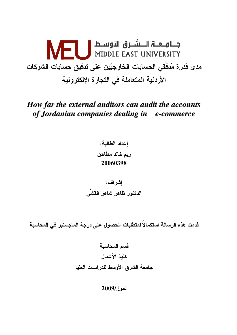

## How far the external auditors can audit the accounts of Jordanian companies dealing in e-commerce

إعداد الطالبة: ريم خالد مطاحن 20060398

إشر إف: الدكتور ظاهر شاهر القشّى

قدمت هذه الرسالة استكمالاً لمتطلبات الحصول على درجة الماجستير في المحاسبة

قسم المحاسبة كلية الأعمال جامعة الشرق الأوسط للدراسات العليا

تموز/2009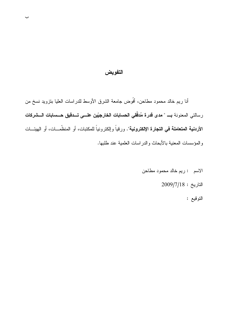#### التفويض

أنا ريم خالد محمود مطاحن، أفَّوض جامعة الشرق الأوسط للدراسات العليا بنزويد نسخ من رسالتي المعنونة بـــ " مدى قدرة مُدقِّقي الحسابات الخارجيِّين علـــى تـــدقيق حـــسابات الـــشركات الأ**ردنية المتعاملة في التجارة الإلكترونية**". ورقياً وإلكترونياً للمكتبات، أو المنظّمـــات، أو الهيئـــات والمؤسسات المعنية بالأبحاث والدراسات العلمية عند طلبها.

> الاسم : ريم خالد محمود مطاحن  $2009/7/18:$ التاريخ : النوقيع :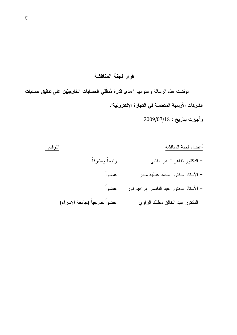## قرار لجنة المناقشة

نوقشت هذه الرسالة وعنوانها " **مدى قدرة مُدقّقي الحسابات الخارجيّين على تدقيق حسابات** الشركات الأردنية المتعاملة في التجارة الإلكترونية".

 $2009/07/18:$ وأجيزت بتاريخ

أعضاء لجنة المناقشة التوقيع رئيساً ومشرفاً – الدكتور ظاهر شاهر القشى عضواً – الأستاذ الدكتور محمد عطية مطر – الأستاذ الدكتور عبد الناصر إبراهيم نور مصحصواً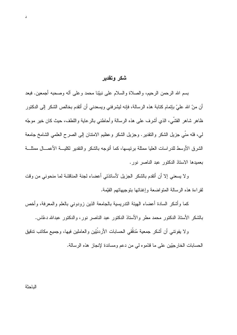### شكر وتقدير

بسم الله الرحمن الرحيم، والصلاة والسلام على نبيّنا محمد وعلى أله وصحبه أجمعين. فبعد أن منّ الله عليّ بإتمام كتابة هذه الرسالة، فإنه ليشرفني ويسعدني أن أتقدم بخالص الشكر إلى الدكتور ظاهر شاهر القشَّى، الذي أشرف على هذه الرسالة وأحاطني بالرعاية واللطف، حيث كان خير موجَّه لمي، فله منِّي جزيل الشكر والنقدير . وجزيل الشكر وعظيم الامتنان إلىي الصرح العلمي الشامخ جامعة الشرق الأوسط للدراسات العليا ممثلة برئيسها، كما أنوجه بالشكر والنقدير لكليسة الأعمـــال ممثلـــة بعميدها الاستاذ الدكتور عبد الناصر نور.

ولا يسعني إلا أن أنقدم بالشكر الجزيل لأساتذتي أعضاء لجنة المناقشة لما منحونبي من وقت لقراءة هذه الرسالة المنو اضعة وإغنائها بنوجيهاتهم القيّمة.

كما وأشكر السادة أعضاء الهيئة الندريسية بالجامعة الذين زودونبي بالعلم والمعرفة، وأخص بالشكر الأستاذ الدكتور محمد مطر والأستاذ الدكتور عبد الناصر نور، والدكتور عبدالله دعّاس.

ولا يفونني أن أشكر جمعية مُدقَّقى الحسابات الأردنَيِّين والعاملين فيها، وجميع مكانب ندقيق الحسابات الخارجيِّين على ما قدَّموه لي من دعم ومساندة لإنجاز هذه الرسالة.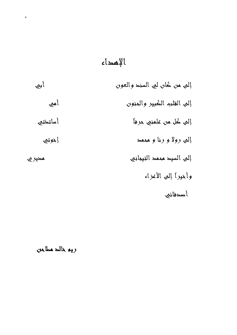# الإهداء

| أبيى      | إلى من كان لي السند والعون |
|-----------|----------------------------|
| أهيي      | إلىي الغلب الكبير والعنون  |
| أسا تكتبي | إلى كل من علمني مرفاً      |
| إخوتيى    | إلىي رولا و رنا و معمد     |
| محيري     | إلىي السيد محمد التيجانيي  |
|           | وأخيراً إلىي الأعزاء       |
|           | أصدقائيى                   |

## ريم خالد مطاحن

 $\ddot{\phantom{0}}$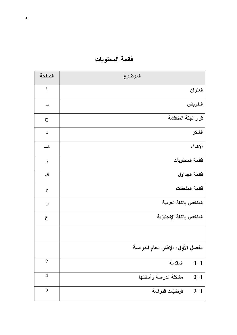| الصفحة         | الموضوع                           |  |  |
|----------------|-----------------------------------|--|--|
| أ              | العنوان                           |  |  |
| ب              | التفويض                           |  |  |
| ج              | قرار لجنة المناقشة                |  |  |
| د              | الشكر                             |  |  |
| ھـــ           | الإهداء                           |  |  |
| و              | قائمة المحتويات                   |  |  |
| ك              | قائمة الجداول                     |  |  |
| م              | قائمة الملحقات                    |  |  |
| ن              | الملخص باللغة العربية             |  |  |
| $\epsilon$     | الملخص باللغة الإنجليزية          |  |  |
|                |                                   |  |  |
|                | الفصل الأول: الإطار العام للدراسة |  |  |
| $\overline{2}$ | المقدمة<br>$1 - 1$                |  |  |
| $\overline{4}$ | مشكلة الدراسة وأسئلتها<br>$2 - 1$ |  |  |
| 5              | فرضيّات الدراسة<br>$3 - 1$        |  |  |

## فائمة المحتويات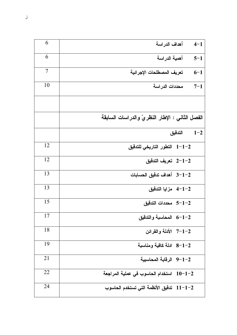| 6              | أهداف الدراسة                                   | $4 - 1$            |
|----------------|-------------------------------------------------|--------------------|
| 6              | أهمية الدراسة                                   | $5 - 1$            |
| $\overline{7}$ | تعريف المصطلحات الإجرائية                       | $6 - 1$            |
| 10             | محددات الدراسة                                  | $7 - 1$            |
|                |                                                 |                    |
|                | الفصل الثاني : الإطار النظريّ والدراسات السابقة |                    |
|                |                                                 | $1 - 2$<br>التدقيق |
| 12             | 1-1-2 التطور التاريخي للتدقيق                   |                    |
| 12             | 2-1-2 تعريف التدقيق                             |                    |
| 13             | 3–1–2 أهداف تدقيق الحسابات                      |                    |
| 13             | 4-1-2 مزايا التدقيق                             |                    |
| 15             | 5-1-2 محددات التدقيق                            |                    |
| 17             | −1−2 المحاسبة والتدقيق                          |                    |
| 18             | 7-1-2 الأدلمة والقرائن                          |                    |
| 19             | 8-1-2 ادلة كافية ومناسبة                        |                    |
| 21             | 9–1–2 الرقابة المحاسبية                         |                    |
| 22             | 10−1−2 استخدام الحاسوب في عملية المراجعة        |                    |
| 24             | 1–1–11   تدقيق الأنظمة التي تستخدم الحاسوب      |                    |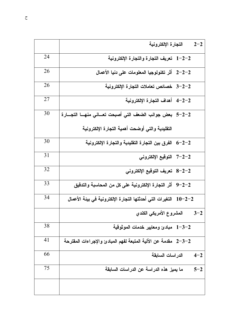| التجارة الإلكترونية<br>$2 - 2$                                     |
|--------------------------------------------------------------------|
| 1–2–2   تعريف التجارة والتجارة الإلكترونية                         |
| 2–2–2٪ أثر تكنولوجيا المعلومات على دنيا الأعمال                    |
| 2–2–3 خصائص تعاملات التجارة الإلكترونية                            |
| 4-2-2 أهداف التجارة الإلكترونية                                    |
| 2–2–5 بعض جوانب الضعف التى أصبحت تعسانى منهسا التجسارة             |
| التقليدية والتى أوضحت أهمية التجارة الإلكترونية                    |
| الفرق بين التجارة التقليدية والتجارة الإلكترونية<br>$6 - 2 - 2$    |
| 7–2–2 التوقيع الإلكتروني                                           |
| 2–2–8 تعريف التوقيع الإلكتروني                                     |
| أثر التجارة الإلكترونية على كل من المحاسبة والتدقيق<br>$9 - 2 - 2$ |
| 2−2−10   التغيرات التي أحدثتها التجارة الإلكترونية في بيئة الأعمال |
| المشروع الأمريكى الكندي<br>$3 - 2$                                 |
| 1–3–2   مبادئ ومعايير خدمات الموثوقية                              |
| 2−3−2   مقدمة عن الآلية المتبعة لفهم المبادئ والإجراءات المقترحة   |
| الدر اسات السابقة<br>$4 - 2$                                       |
| ما يميز هذه الدراسة عن الدراسات السابقة<br>$5 - 2$                 |
|                                                                    |
|                                                                    |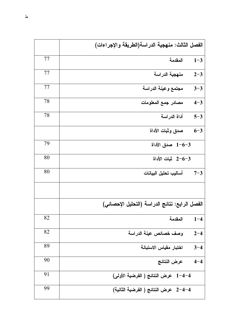|    | الفصل الثالث: منهجية الدراسة(الطريقة والإجراءات) |         |
|----|--------------------------------------------------|---------|
| 77 | المقدمة                                          | $1 - 3$ |
| 77 | منهجية الدراسة                                   | $2 - 3$ |
| 77 | مجتمع وعينة الدراسة                              | $3 - 3$ |
| 78 | مصادر جمع المعلومات                              | $4 - 3$ |
| 78 | أداة الدراسة                                     | $5 - 3$ |
|    | صدق وثبات الأداة                                 | $6 - 3$ |
| 79 | صدق الأداة $1 - 6 - 3$                           |         |
| 80 | ثبات الأداة $2-6-3$                              |         |
| 80 | أساليب تحليل البيانات                            | $7 - 3$ |
|    | الفصل الرابع: نتائج الدراسة (التحليل الإحصائي)   |         |
| 82 | المقدمة                                          | $1 - 4$ |
| 82 | وصف خصائص عينة الدراسة                           | $2 - 4$ |
| 89 | اختبار مقياس الاستبانة                           | $3 - 4$ |
| 90 | عرض النتائج                                      | $4 - 4$ |
| 91 | 4–4–1 عرض النتائج ( الفرضية الأولى)              |         |
| 99 | 4–4–2 عرض النتائج ( الفرضية الثانية)             |         |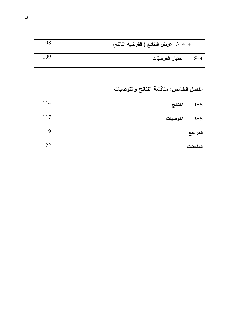| 108 | 4–4–3 عرض النتائج ( الفرضية الثالثة)   |          |
|-----|----------------------------------------|----------|
| 109 | اختبار الفرضيات                        | $5 - 4$  |
|     |                                        |          |
|     | الفصل الخامس: منافشة النتائج والتوصيات |          |
| 114 | النتائج                                | $1 - 5$  |
| 117 | التوصيات                               | $2 - 5$  |
| 119 |                                        | المراجع  |
| 122 |                                        | الملحقات |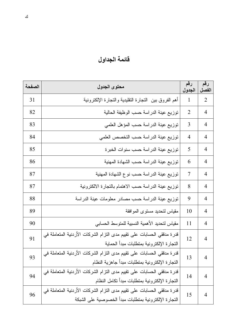|  | قائمة الجداول |  |
|--|---------------|--|
|  |               |  |

| الصفحة | محتوى الجدول                                                                                                                    | رقم<br>الجدول  | رقم<br>الفصل   |
|--------|---------------------------------------------------------------------------------------------------------------------------------|----------------|----------------|
| 31     | أهم الفروق بين النجارة النقليدية والنجارة الإلكترونية                                                                           | $\mathbf{1}$   | 2              |
| 82     | نوزيع عينة الدراسة حسب الوظيفة الحالية                                                                                          | $\overline{2}$ | 4              |
| 83     | نوزيع عينة الدراسة حسب المؤهل العلمى                                                                                            | $\overline{3}$ | $\overline{4}$ |
| 84     | نوزيع عينة الدراسة حسب التخصص العلمي                                                                                            | $\overline{4}$ | 4              |
| 85     | نوزيع عينة الدراسة حسب سنوات الخبرة                                                                                             | 5              | $\overline{4}$ |
| 86     | نوزيع عينة الدراسة حسب الشهادة المهنية                                                                                          | 6              | $\overline{4}$ |
| 87     | نوزيع عينة الدراسة حسب نوع الشهادة المهنية                                                                                      | 7              | 4              |
| 87     | توزيع عينة الدراسة حسب الاهتمام بالتجارة الالكترونية                                                                            | 8              | 4              |
| 88     | نوزيع عينة الدراسة حسب مصادر معلومات عينة الدراسة                                                                               | 9              | 4              |
| 89     | مقياس لتحديد مستوى الموافقة                                                                                                     | 10             | $\overline{4}$ |
| 90     | مقياس لتحديد الأهمية النسبية للمنوسط الحسابى                                                                                    | 11             | $\overline{4}$ |
| 91     | قدرة مدققي الحسابات على تقييم مدى النزام الشركات الأردنية المتعاملة في<br>التجارة الإلكترونية بمتطلبات مبدأ الحماية             | 12             | $\overline{4}$ |
| 93     | قدرة مدققي الحسابات على تقييم مدى النزام الشركات الأردنية المتعاملة في<br>النجارة الإلكترونية بمنطلبات مبدأ جاهزية النظام       | 13             | $\overline{4}$ |
| 94     | قدرة مدققي الحسابات على تقييم مدى النزام الشركات الأردنية المتعاملة في<br>النجارة الإلكترونية بمنطلبات مبدأ نكامل النظام        | 14             | $\overline{4}$ |
| 96     | قدرة مدققي الحسابات على تقييم مدى النزام الشركات الأردنية المتعاملة في<br>النجارة الإلكترونية بمنطلبات مبدأ الخصوصية على الشبكة | 15             | $\overline{4}$ |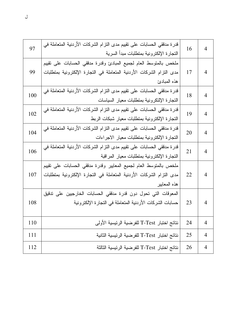| 97  | قدرة مدققي الحسابات على تقييم مدى النزام الشركات الأردنية المتعاملة في<br>التجارة الإلكترونية بمنطلبات مبدأ السرية                                         | 16 | $\overline{4}$ |
|-----|------------------------------------------------------------------------------------------------------------------------------------------------------------|----|----------------|
| 99  | ملخص بالمنوسط العام لجميع المبادئ وقدرة مدققي الحسابات علمى نقييم<br>مدى النزام الشركات الأردنية المتعاملة في التجارة الإلكترونية بمنطلبات<br>هذه المبادئ  | 17 | 4              |
| 100 | قدرة مدققي الحسابات على تقييم مدى النزام الشركات الأردنية المتعاملة في<br>النجارة الإلتكرونية بمنطلبات معيار السياسات                                      | 18 | $\overline{4}$ |
| 102 | قدرة مدققي الحسابات على تقييم مدى النزام الشركات الأردنية المتعاملة في<br>النجارة الإلكترونية بمنطلبات معيار شبكات الربط                                   | 19 | $\overline{4}$ |
| 104 | قدرة مدققي الحسابات على تقييم مدى النزام الشركات الأردنية المتعاملة في<br>النجارة الإلكترونية بمنطلبات معيار الاجراءات                                     | 20 | $\overline{4}$ |
| 106 | قدرة مدققي الحسابات على تقييم مدى النزام الشركات الأردنية المتعاملة في<br>التجارة الإلكترونية بمتطلبات معيار المراقبة                                      | 21 | $\overline{4}$ |
| 107 | ملخص بالمنوسط العام لجميع المعايير وقدرة مدققي الحسابات على نقييم<br>مدى النزام الشركات الأردنية المتعاملة في التجارة الإلكترونية بمنطلبات<br>هذه المعايير | 22 | $\overline{4}$ |
| 108 | المعوقات التي تحول دون قدرة مدققي الحسابات الخارجيين على تدقيق<br>حسابات الشركات الأردنية المتعاملة في التجارة الإلكترونية                                 | 23 | $\overline{4}$ |
| 110 | نتائج اختبار T-Test للفرضية الرئيسية الأولى                                                                                                                | 24 | $\overline{4}$ |
| 111 | نتائج اختبار T-Test للفرضية الرئيسية الثانية                                                                                                               | 25 | $\overline{4}$ |
| 112 | نتائج اختبار T-Test للفرضية الرئيسية الثالثة                                                                                                               | 26 | $\overline{4}$ |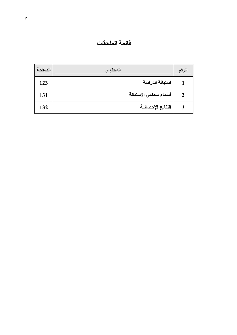### فائمة الملحقات

| الصفحة | المحتوى               | الرقم          |
|--------|-----------------------|----------------|
| 123    | استبانة الدراسة       |                |
| 131    | أسماء محكمي الاستبانة | $\overline{2}$ |
| 132    | النتائج الإحصائية     | 3              |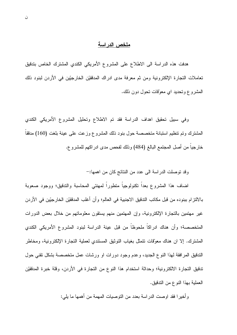#### ملخص الدراسة

هدفت هذه الدراسة الى الاطلاع على المشروع الأمريكي الكندي المشترك الخاص بتدقيق تعاملات التجارة الإلكترونية ومن ثم معرفة مدى ادراك المدفقيّن الخارجيّين في الأردن لبنود ذلك المشروع وتحديد اي معوّقات تحول دون ذلك.

وفي سبيل تحقيق اهداف الدراسة فقد تم الاطلاع وتحليل المشروع الأمريكي الكندى المشترك وتم تنظيم استبانة متخصصة حول بنود ذلك المشروع وزعت على عينة بلغت (160) مدققا خارجياً من أصل المجتمع البالغ (484) وذلك لفحص مدى ادر اكهم للمشروع.

وقد نوصلت الدراسة الى عدد من النتائج كان من اهمها:–

اضاف هذا المشروع بعداً نكنولوجياً متطوراً لمهنتي المحاسبة والتدقيق؛ ووجود صعوبة بالالتزام ببنوده من قبل مكاتب التدقيق الاجنبية في العالم؛ وأن أغلب المدققيّن الخارجيّين في الأردن غير مهتمين بالتجارة الإلكترونية، وإن المهتمين منهم يستقون معلوماتهم من خلال بعض الدورات المتخصصة؛ وأن هناك ادراكا ملحوظا من قبل عينة الدراسة لبنود المشروع الأمريكي الكندي المشتر ك. إلا ان هناك معوِّقات نتمثَّل بغياب النوثيق المستندي لعملية النجار ة الإلكتر ونية، ومخاطر الندقيق المر افقة لهذا النوع الجديد، وعدم وجود دورات او ورشات عمل متخصصة بشكل نقنى حول تدقيق التجارة الالكترونية؛ وحداثة استخدام هذا النوع من التجارة في الأردن، وقلة خبرة المدققيّن العملية بهذا النوع من الندقيق.

وأخيرًا فقد اوصت الدراسة بعدد من النوصيات المهمة من أهمها ما يلي: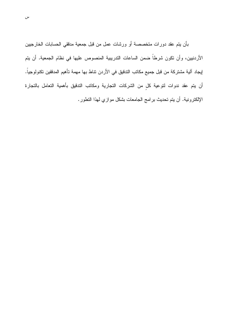بأن يتم عقد دورات متخصصة أو ورشات عمل من قبل جمعية مدققي الحسابات الخارجيين الأردنيين، وأن تكون شرطاً ضمن الساعات التدريبية المنصوص عليها في نظام الجمعية. أن يتم إيجاد آلية مشتركة من قبل جميع مكاتب التدقيق في الأردن نتاط بها مهمة تأهيم المدققين تكنولوجياً. أن يتم عقد ندوات لتوعية كل من الشركات التجارية ومكاتب التدقيق بأهمية التعامل بالتجارة الإلكترونية. أن يتم تحديث برامج الجامعات بشكل موازي لهذا النطور.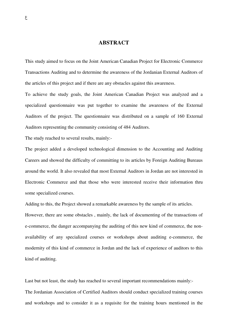#### **ABSTRACT**

This study aimed to focus on the Joint American Canadian Project for Electronic Commerce Transactions Auditing and to determine the awareness of the Jordanian External Auditors of the articles of this project and if there are any obstacles against this awareness.

To achieve the study goals, the Joint American Canadian Project was analyzed and a specialized questionnaire was put together to examine the awareness of the External Auditors of the project. The questionnaire was distributed on a sample of 160 External Auditors representing the community consisting of 484 Auditors.

The study reached to several results, mainly:-

The project added a developed technological dimension to the Accounting and Auditing Careers and showed the difficulty of committing to its articles by Foreign Auditing Bureaus around the world. It also revealed that most External Auditors in Jordan are not interested in Electronic Commerce and that those who were interested receive their information thru some specialized courses.

Adding to this, the Project showed a remarkable awareness by the sample of its articles.

However, there are some obstacles , mainly, the lack of documenting of the transactions of e-commerce, the danger accompanying the auditing of this new kind of commerce, the nonavailability of any specialized courses or workshops about auditing e-commerce, the modernity of this kind of commerce in Jordan and the lack of experience of auditors to this kind of auditing.

Last but not least, the study has reached to several important recommendations mainly:- The Jordanian Association of Certified Auditors should conduct specialized training courses and workshops and to consider it as a requisite for the training hours mentioned in the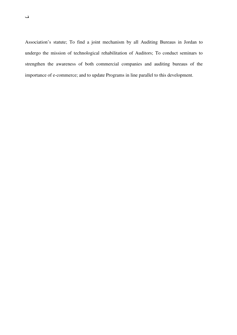Association's statute; To find a joint mechanism by all Auditing Bureaus in Jordan to undergo the mission of technological rehabilitation of Auditors; To conduct seminars to strengthen the awareness of both commercial companies and auditing bureaus of the importance of e-commerce; and to update Programs in line parallel to this development.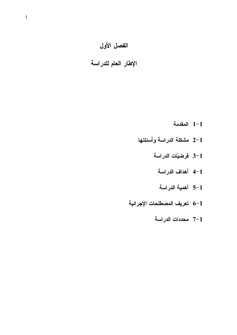## الفصل الأول

الإطار العام للدراسة

- المقدمة  $1 1$
- 2-1 مشكلة الدراسة وأسئلتها
	- 3-1 فرضيّات الدراسة
		- 4-1 أهداف الدراسة
		- 5-1 أهمية الدراسة
- 6–1 تعريف المصطلحات الإجرائية
	- 7-1 محددات الدراسة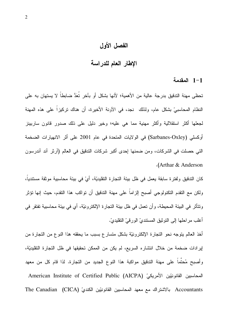#### الفصل الأول

### الإطار العام للدراسة

#### 1-1 المقدمة

تحظى مهنة الندقيق بدرجة عالية من الأهمية؛ لأنها بشكل أو بآخر نُعَدُّ ضابطاً لا يستهان به على النظام المحاسبيِّ بشكل عام، ولذلك نجد، في الآونة الأخيرة، أن هناك تركيزاً على هذه المهنة لجعلها أكثر استقلالية وأكثر مهنية مما هي عليه؛ وخير دليل على ذلك صدور قانون ساربينز أوكسلي (Sarbanes-Oxley) في الولايات المتحدة في عام 2001 على أثر الانهيارات الضخمة التي حصلت في الشركات، ومن ضمنها إحدى أكبر شركات التدقيق في العالم (آرثر آند آندرسون .(Arthar & Anderson

كان الندفيق ولفتر ة سابقة يعمل في ظل بيئة التجار ة التقليديّة، أيْ في بيئة محاسبية موثقة مستندياً، ولكن مع النقدم النكنولوجي أصبح إلزاماً على مهنة الندقيق أن نواكب هذا النقدم، حيث إنها نؤثر وتتأثَّر في البيئة المحيطة، وأن تعمل في ظل بيئة التجارة الإلكترونيَّة، أي في بيئة محاسبية تفتقر في أغلب مراحلها إلى التوثيق المستنديّ الورقيّ النقليديّ.

أخذ العالم يتوجه نحو التجارة الإلكترونيّة بشكل متسارع بسبب ما يحققه هذا النوع من التجارة من إيرادات ضخمة من خلال انتشاره السريع، لم يكن من الممكن تحقيقها في ظل التجارة التقليديّة، وأصبح مُحتَّماً على مهنة التدقيق مواكبة هذا النوع الجديد من التجارة. لذا قام كل من معهد المحاسبين القانونيّين الأمريكيّ (AlCPA) American Institute of Certified Public Accountants بالاشتراك مع معهد المحاسبين القانونتين الكنديّ (CICA) The Canadian (CICA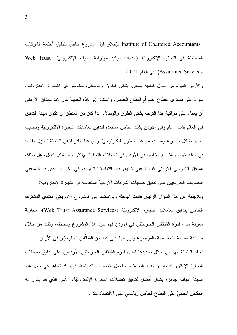Institute of Chartered Accountants بإطلاق أول مشروع خاص بندقيق أنظمة الشركات المتعاملة في التجارة الإلكترونيّة (خدمات توكيد موثوقية الموقع الإلكترونيّ Web Trust Assurance Services) في العام 2001.

والأردن كغيره من الدول النامية بسعى، بشتى الطرق والوسائل، للخوض في التجارة الإلكترونيَّة، سواءٌ على مستوى القطاع العام أم القطاع الخاص، واستنادا إلى هذه الحقيقة كان لابد للمدقق الأردنيّ أن يعمل على مواكبة هذا النوجه بشتَّى الطرق والوسائل. لذا كان من المنطق أن نكون مهنة الندقيق في العالم بشكل عام وفي الأردن بشكل خاص مستعدة لندقيق نعاملات النجارة الإلكترونيّة ونحديث نفسها بشكل متسارع ومتناغم مع هذا التطور التكنولوجيّ، ومن هنا نبادر لذهن الباحثة تساؤل مفاده: في حالة خوض القطاع الخاص في الأردن في تعاملات التجارة الإلكترونيّة بشكل كامل، هل يمتلك المدقق الخارجيِّ الأردنيِّ القدرة على تدقيق هذه التعاملات؟ أو بمعنى آخر ما مدى قدرة مدققي

الحسابات الخار جيين على تدقيق حسابات الشركات الأر دنية المتعاملة في التجار ة الإلكتر و نية؟ وللإجابة عن هذا السؤال الرئيس قامت الباحثة وبالاستناد إلى المشروع الأمريكيّ الكنديّ المشترك الخاص بندقيق تعاملات النجارة الإلكترونيّة (Web Trust Assurance Services)؛ محاولة معرفة مدى قدرة المُدققين الخارجيّين في الأردن فهم بنود هذا المشروع وتطبيقه، وذلك من خلال

صباغة استبانة متخصصة بالموضوع وتوزيعها على عدد من المُدقِّقين الخارجيّين في الأردن. تعتقد الباحثة أنها من خلال تحديدها لمدى قدرة المُدقِّقين الخارجيِّين الأردنيين على تدقيق تعاملات النجارة الإلكترونيَّة وإبراز نقاط الضعف، والعمل بنوصيات الدراسة، فإنها قد نساهم في جعل هذه المهنة الهامة جاهزة بشكل أفضل لتدقيق تعاملات التجارة الإلكترونيّة، الأمر الذي قد يكون له انعكاس إيجابيّ على القطاع الخاص وبالنالي على الاقتصاد ككل.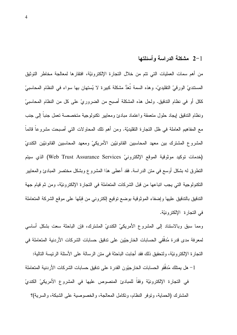#### 2-1 مشكلة الدراسة وأسئلتها

من أهم سمات العمليات التي نتم من خلال النجارة الإلكترونيّة، افتقارها لمعالجة مخاطر النوثيق المستنديّ الورقيّ النقليديّ، وهذه السمة تُعَدُّ مشكلة كبيرة لا يُستهان بها سواء في النظام المحاسبيّ ككل أو في نظام التدقيق. ولحل هذه المشكلة أصبح من الضروريِّ على كل من النظام المحاسبيِّ ونظام الندقيق إيجاد حلول متعمقة واعتماد مبادئ ومعايير تكنولوجية متخصصة تعمل جنبأ إلى جنب مع المفاهيم العاملة في ظل التجارة النقليديّة. ومن أهم نلك المحاولات التي أصبحت مشروعاً قائماً المشروع المشترك بين معهد المحاسبين القانونيّين الأمريكيّ ومعهد المحاسبين القانونيّين الكنديّ (خدمات نوكيد موثوقية الموقع الإلكترونيّ Web Trust Assurance Services) الذي سيتم النطرق له بشكل أوسع في منن الدراسة. فقد أعطـي هذا المشروع وبشكل مخنصر المبادئ والمعايير التكنولوجية التي يجب اتباعها من قبل الشركات المتعاملة في التجارة الإلكترونيّة، ومن ثم قيام جهة الندقيق بالتدقيق عليها وإضفاء الموثوقية بوضع نوقيع إلكتروني من قبلها على موقع الشركة المتعاملة في التجار ۃ الإلكتر و نبّة.

ومما سبق وبالاستناد إلى المشروع الأمريكيّ الكنديّ المشترك، فإن الباحثة سعت بشكل أساسي لمعرفة مدى قدرة مُدقِّقى الحسابات الخارجيِّين على تدقيق حسابات الشركات الأردنية المتعاملة في التجار ة الإلكتر ونيّة، ولتحقيق ذلك فقد أجابت الباحثة في متن الرسالة على الأسئلة الرئيسة التالية:

1– هل يمتلك مُدفقو الحسابات الخار جيّو ن القدر ة على تدقيق حسابات الشركات الأر دنية المتعاملة

في النجارة الإلكترونيَّة وفقاً للمبادئ المنصوص عليها في المشروع الأمريكيِّ الكنديِّ المشترك (الحماية، وتوفِّر النظام، وتكامل المعالجة، والخصوصية على الشبكة، والسرية)؟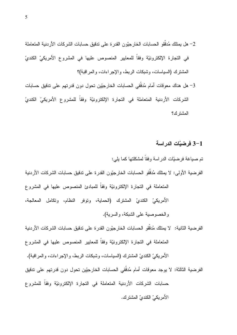- 2– هل يمتلك مُدققو الحسابات الخارجيّون القدرة على تدقيق حسابات الشركات الأردنية المتعاملة في التجارة الإلكترونيّة وفقا للمعايير المنصوص عليها في المشروع الأمريكيّ الكنديّ المشترك (السياسات، وشبكات الربط، والإجراءات، والمراقبة)؟
- 3– هل هناك معوقات أمام مُدققي الحسابات الخارجيّين تحول دون قدرتهم على تدقيق حسابات الشركات الأردنية المتعاملة في التجارة الإلكترونيّة وفقا للمشروع الأمريكيّ الكنديّ المشترك؟

3-1 فرضيّات الدراسة

تم صياغة فرضيّات الدراسة وفقا لمشكلتها كما يلي: الفرضية الأولى: لا يمتلك مُدققو الحسابات الخارجيّون القدرة على ندقيق حسابات الشركات الأردنية المتعاملة في التجارة الإلكترونيَّة وفقًا للمبادئ المنصوص عليها في المشروع الأمريكيّ الكنديّ المشترك (الحماية، ونوفر النظام، ونكامل المعالجة، والخصوصية على الشبكة، والسرية).

الفرضية الثانية: لا يمتلك مُدققو الحسابات الخارجيّون القدرة على تدقيق حسابات الشركات الأردنية المتعاملة في التجارة الإلكترونيَّة وفقًا للمعابير المنصوص عليها في المشروع

الأمريكيّ الكنديّ المشترك (السياسات، وشبكات الربط، والإجراءات، والمراقبة).

الفرضية الثالثة: لا يوجد معوقات أمام مُدققي الحسابات الخارجيّين تحول دون قدرتهم على تدقيق

حسابات الشركات الأردنية المتعاملة في التجارة الإلكترونيّة وفقا للمشروع الأمريكيّ الكنديّ المشترك.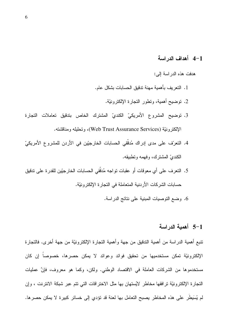#### 4-1 أهداف الدراسة

هدفت هذه الدر اسة إلى:

- 1. النعريف بأهمية مهنة تدقيق الحسابات بشكل عام.
	- 2. توضيح أهمية، وتطور التجارة الإلكترونيّة.
- 3. توضيح المشروع الأمريكيّ الكنديّ المشترك الخاص بتدقيق تعاملات التجارة الإلكتر ونبّة (Web Trust Assurance Services)، وتحليله ومناقشته.
- 4. التعرّف على مدى إدراك مُدفّقى الحسابات الخارجيّين في الأردن للمشروع الأمريكيّ الكنديّ المشترك، وفهمه وتطبيقه.
- 5. النعرف على أي معوفات أو عقبات نواجه مُدقِّقي الحسابات الخارجيّين للقدرة على ندقيق حسابات الشركات الأردنية المتعاملة في التجارة الإلكترونيّة.
	- 6. وضع التوصيات المبنية على نتائج الدراسة.

#### 1–5 أهمية الدراسة

نتبع أهمية الدراسة من أهمية التدقيق من جهة وأهمية التجارة الإلكترونيّة من جهة أخرى. فالتجارة الإلكترونيّة تمكن مستخدميها من تحقيق فوائد وعوائد لا يمكن حصرها، خصوصاً إن كان مستخدموها من الشركات العاملة في الاقتصاد الوطني. ولكن، وكما هو معروف، فإنَّ عمليات النجارة الإلكترونيّة ترافقها مخاطر لايُستهان بها مثل الاخترافات التي نتم عبر شبكة الانترنت ، وإن لم يُسَيطُر على هذه المخاطر يصبح التعامل بها لعنة قد تؤدي إلى خسائر كبيرة لا يمكن حصرها.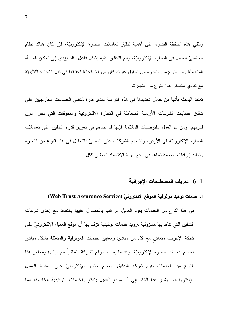وتلقى هذه الحقيقة الضوء على أهمية تدقيق تعاملات التجارة الإلكترونيّة، فإن كان هناك نظام محاسبيّ يتعامل في النجارة الإلكترونيّة، ويتم الندقيق عليه بشكل فاعل، فقد يؤدي إلى تمكين المنشأة المتعاملة بهذا النوع من التجارة من تحقيق عوائد كان من الاستحالة تحقيقها في ظل التجارة التقليديّة مع نفادي مخاطر هذا النوع من النجارة.

تعنقد الباحثة بأنها من خلال تحديدها في هذه الدراسة لمدى قدرة مُدقِّقى الحسابات الخارجيِّين على تدقيق حسابات الشركات الأردنية المتعاملة في التجارة الإلكترونيّة والمعوقات التي تحول دون قدرتهم، ومن ثم العمل بالتوصيات الملائمة فإنها قد تساهم في تعزيز قدرة التدقيق على تعاملات التجارة الإلكترونيَّة في الأردن، وتشجيع الشركات على المضيِّ بالتعامل في هذا النوع من التجارة وتوليد إيرادات ضخمة تساهم في رفع سوية الاقتصاد الوطني ككل.

#### 6–1 تعريف المصطلحات الإجر ائبة

#### 1. خدمات توكيد موثوقية الموقع الإلكترونيّ (Web Trust Assurance Service):

في هذا النوع من الخدمات يقوم العميل الراغب بالحصول عليها بالتعاقد مع إحدى شركات الندقيق التي نتاط بها مسؤولية نزويد خدمات نوكيدية نؤكد بها أن موقع العميل الإلكترونيّ على شبكة الإنترنت متماش مع كل من مبادئ ومعايير خدمات الموثوقية والمتعلقة بشكل مباشر بجميع عمليات النجارة الإلكترونيّة. وعندما يصبح موقع الشركة متماشياً مع مبادئ ومعايير هذا النوع من الخدمات نقوم شركة التدقيق بوضع ختمها الإلكترونيّ على صفحة العميل الإلكترونيَّة، يشير هذا الختم إلى أنّ موقع العميل يتمتع بالخدمات التوكيدية الخاصة، مما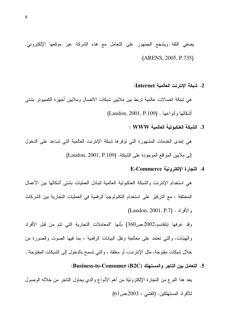يضفي الثقة ويشجع الجمهور على التعامل مع هذه الشركة عبر موقعها الإلكترونيّ. .( ARENS, 2005, P.735)

2. شبكة الانترنت العالمبة Internet:

هي شبكة اتصالات عالمية تربط بين ملايين شبكات الاتصال وملايين أجهزة الكمبيوتر بشتى أشكالها و أنو اعها . (Laudon, 2001, P.109)

3. الشبكة العنكبوتية العالمية WWW :

هي إحدى الخدمات المشهورة التي توفرها شبكة الإنترنت العالمية التي تساعد على الدخول إلى ملايين المواقع الموجودة على الشبكة. (Laudon, 2001, P.109)

4. التجارة الإلكترونيّة E-Commerce

هي استخدام الإنترنت والشبكة العنكبونية العالمية لتبادل العمليات بشتى اشكالها بين الأعمال المختلفة ، مع التركيز على استخدام التكنولوجيا الرقمية في العمليات التجارية بين الشركات و الأفر اد . (Laudon, 2001, P.7)

وقد عرفها (بلقاسم،2002،ص360) بأنها "المعاملات التجارية التي نتم من قبل الأفراد والهيئات، والتي تعتمد على معالجة ونقل البيانات الرقمية ، بما فيها الصوت والصورة من خلال شبكات مفتوحة، مثل الإنترنت، أو مغلقة ، والتي تسمح بالدخول إلى الشبكات المفتوحة".

#### 5. التعامل بين التاجر والمستهلك Business-to-Consumer (B2C):

يعد هذا النوع من النجارة الإلكترونيَّة من أهم الأنواع والذي يحاول الناجر من خلاله الوصول  $(61$ لأفراد المستهلكين. (القشي ، 2003،ص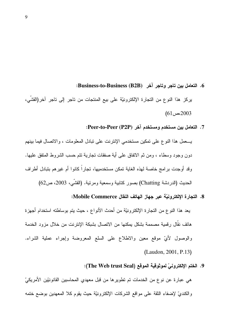#### 6. التعامل بين تاجر وتاجر آخر Business-to-Business (B2B):

بركز هذا النوع من النجارة الإلكترونيّة على بيع المنتجات من ناجر إلى ناجر اخر(القشي،  $(61)$ س $(2003)$ 

7. التعامل بين مستخدم ومستخدم آخر Peer-to-Peer (P2P):

يـــعمل هذا النوع علـى تمكين مستخدمـي الإنترنت علـى تبادل المعلومات ، والاتصـال فيمـا بينـهم دون وجود وسطاء ، ومن ثم الاتفاق على أية صفقات نجارية نتم حسب الشروط المنفق عليها. وقد أوجدت برامج خاصة لمهذه الغاية تمكن مستخدميها، تجارا كانوا أم غيرهم بتبادل أطراف الحديث (الدردشة Chatting) بصور كنابية وسمعية ومرئية. (القشي، 2003، ص62)

8. التجارة الإلكترونيّة عبر جهاز الهاتف النقال Mobile Commerce:

يعد هذا النوع من التجارة الإلكترونيَّة من أحدث الأنواع ، حيث يتم بوساطته استخدام أجهزة هاتف نقال رقمية مصممة بشكل يمكنها من الاتصال بشبكة الإنترنت من خلال مزود الخدمة والوصول لأيِّ موقع معين والاطلاع على السلع المعروضة وإجراء عملية الشراء. ( Laudon, 2001, P.13)

#### 9. الختم الإلكترون*ي*ّ لموثوقية الموقع (The Web trust Seal):

هي عبارة عن نوع من الخدمات تم تطويرها من قبل معهدي المحاسبين القانونيّين الأمريكيّ والكنديّ لإضفاء الثقة على مواقع الشركات الإلكترونيّة حيث يقوم كلا المعهدين بوضع ختمه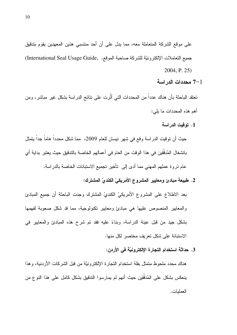على موقع الشركة المتعاملة معه، مما يدل على أن أحد منتسبى هذين المعهدين يقوم بتدقيق جميع التعاملات الإلكترونيّة للشركة صاحبة الموقع. (International Seal Usage Guide 2004, P. 25)

محددات الدر اسبة  $7 - 1$ 

تعتقد الباحثة بأن هناك عدداً من المحددات التي أثَّرت على نتائج الدراسة بشكل غير مباشر ، ومن أهم هذه المحددات ما يلي:

1. توقيت الدراسة

حيث أن نوقيت الدراسة وقع في شهر نيسان للعام 2009، مما شكل محددا هاما جدا يتمثل بانشغال المُدقَقين في هذا الوقت من العام في أعمالهم الخاصة بالندقيق حيث يعتبر بداية أي عام ذروة عملهم المهنى مما أدى إلى تأخير تجميع الاستبانات الخاصة بالدراسة.

2. طبيعة مبادئ ومعايير المشروع الأمريكيّ الكنديّ المشترك:

بعد الاطلاع على المشروع الأمريكيّ الكنديّ المشترك وجدت الباحثة أن جميع المبادئ والمعايير المنصوص عليها هي مبادئ ومعايير نكنولوجية، مما قد شكل صعوبة لفهمها بشكل جيدٍ من قبل عينة الدراسة، وبناءً عليه فقد تم شرحٍ هذه المبادئ والمعايير في الاستبانة على شكل تعريف مختصر لكل منها.

3. حداثة استخدام التجارة الإلكترونيّة في الأردن:

هناك محدد ملحوظ متمثل بقلة استخدام التجارة الإلكترونيّة من قبل الشركات الأردنية، وهذا ينعكس بشكل على المُدقَّقين حيث أنهم لم يمارسوا الندقيق بشكل كامل على هذا النوع من العملبات.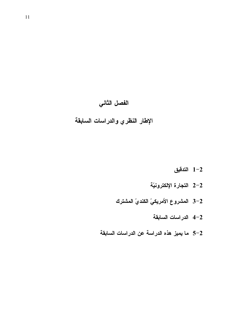## الفصل الثاني

## الإطار النظري والدراسات السابقة

## التدفيق  $1-2$

- 2-2 التجارة الإلكترونيّة
- 3–3٪ المشروع الأمريكيّ الكنديّ المشترك
	- 4-2 الدراسات السابقة
- 5–5٪ ما يميز. هذه الدراسة عن الدراسات السابقة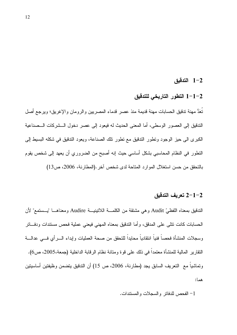#### التدقيق  $1-2$

#### 1–1–1 التطور التاريخي للتدقيق

تُعَدُّ مهنة تنقيق الحسابات مهنة قديمة منذ عصر قدماء المصريين والرومان والإغريق؛ ويرجع أصل الندفيق إلى العصور الوسطى، أما المعنى الحديث له فيعود إلى عصر دخول الــشركات الــصناعية الكبرى الى حيز الوجود ونطور الندقيق مع نطور نلك الصناعة، ويعود الندقيق في شكله البسيط إلى النطور في النظام المحاسبي بشكل أساسي حيث إنه أصبح من الضروري أن يعهد إلى شخص يقوم بالتحقق من حسن استغلال الموارد المتاحة لدى شخص آخر .(المطارنة، 2006، ص13)

#### 2-1-2 تعريف التدقيق

الندقيق بمعناه اللفظيّ Audit و هي مشتقة من الكلمــــة اللاتينيـــة Audire ومعناهــــا "بــــستمـع" لأن الحسابات كانت نتلَّى على المدقق، وأما الندقيق بمعناه المهنى فيعني عملية فحص مستندات ودفـــاتر وسجلات المنشأة فحصاً فنياً انتقادياً محايداً للتحقق من صحة العمليات وإبداء الـــر أي فــــى عدالــــة النقارير المالية للمنشأة معتمداً في ذلك على قوة ومتانة نظام الرقابة الداخلية (جمعة،2005، ص6). وتماشياً مع النعريف السابق يجد (مطارنة، 2006، ص 15) أن الندقيق يتضمن وظيفتين أساسيتين هما:

1– الفحص للدفاتر والسجلات والمستندات.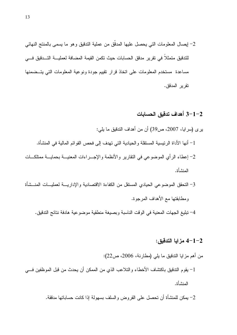2– إيصـال المعلومات التي يحصـل عليها المدقِّق من عملية التدقيق وهو ما يسمى بالمنتج النهائي للتدقيق متمثلا في تقرير ٍ مدقق الحسابات حيث تكمن القيمة المضافة لعمليـــة التـــدقيق فــــي مساعدة ًمستخدم المعلومات على اتخاذ قرار تقييم جودة ونوعية المعلومات التي يتــضمنها نقرير المدقق.

### 3-1-2 أهداف تدقيق الحسابات

- ير ي (سرايا، 2007، ص39) أن من أهداف التدقيق ما يلي: 1– أنها الأداة الرئيسية المستقلة والحيادية التي تهدف إلى فحص القوائم المالية في المنشأة. 2- إعطاء الرأى الموضوعي في التقارير والأنظمة والإجـــراءات المعنيـــة بحمايـــة ممتلكـــات المنشأة.
- 3– النحقق الموضوعي الحيادي المستقل من الكفاءة الاقتصادية والإداريــــة لعمليــــات المنـــشأة ومطابقتها مع الأهداف المرجوة.

4– نبليغ الجهات المعنية في الوقت الناسبة وبصيغة منطقية موضوعية هادفة نتائج التدقيق.

#### 4-1-2 مزايا التدقيق:

- من أهم مزايا الندقيق ما يلي (مطارنة، 2006، ص22): 1– يقوم الندقيق باكتشاف الأخطاء والنلاعب الذي من الممكن أن يحدث من قبل الموظفين فسي المنشأة.
	- 2– يمكن للمنشأة أن تحصل على القروض والسلف بسهولة إذا كانت حساباتها مدققة.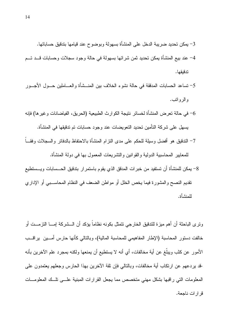- 3– يمكن تحديد ضريبة الدخل على المنشأة بسهولة وبوضوح عند قيامها بتدقيق حساباتها.
- 4– عند بيع المنشأة يمكن تحديد ثمن شرائها بسهولة في حالة وجود سجلات وحسابات قـــد تـــم تدقيقها.
- 5– تساعد الحسابات المدققة في حالة نشوء الخلاف بين المنـــشأة والعـــاملين حـــول الأجـــور والرواتب.
- يسهل على شركة النأمين تحديد النعويضات عند وجود حسابات تم تدقيقها في المنشأة.
- 7– التدقيق هو أفضل وسيلة للحكم على مدى التز ام المنشأة بالاحتفاظ بالدفاتر والسجلات وفقــا للمعابير المحاسبية الدولية و القو انين و النشر بعات المعمو ل بها في دولة المنشأة.
- 8– يمكن للمنشأة أن تستفيد من خبرات المدقق الذي يقوم باستمرار بتدقيق الحـــسابات ويـــستطيع تقديم النصح والمشورة فيما يخص الخلل أو مواطن الضعف في النظام المحاسبيي أو الإداري للمنشأة.

وتر ي الباحثة أن أهم ميز ة للتدقيق الخارجي تتمثل بكونه نظاما يؤكد أن الـــشركة إمــــا التزمـــت أو خالفت دستور المحاسبة (الإطار المفاهيمي للمحاسبة المالية)، وبالتالي كأنها حارس أمـــين يراقـــب الأمور عن كثب ويبلَّغ عن أية مخالفات، أي أنه لا يستطيع أن يمنعها ولكنه بمجرد علم الآخرين بأنه فَّد بردعهم عن ارتكاب أية مخالفات، وبالتالي فإن ثقة الآخرين بهذا الحارس وجعلهم يعتمدون على المعلومات التي راقبها بشكل مهنى متخصص مما يجعل القرارات المبنية علـــي تلــك المعلومـــات قر ار ات ناجعة.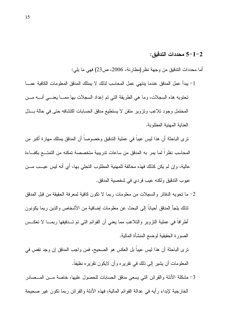#### $-1$ محددات التدقيق : $5-1-2$

أما محددات الندقيق من وجهة نظر (مطارنة، 2006، ص23) فهي ما يلي:

1– يبدأ عمل المدقق عندما ينتهي عمل المحاسب لذلك لا يمتلك المدقق المعلومات الكافية عمـــا تحتويه هذه السجلات، وما هي الطريقة التي تم إعداد السجلات بها ممـــا يعنــــي أنــــه مـــن المحتمل وجود تلاعب ونزوير منقن لا يستطيع مدقق الحسابات اكتشافه حتى في حالة بــذل العناية المهنية المطلوبة.

تر ِي الباحثة أن هذا ليس عيباً في عملية التدقيق و خصوصاً أن المدقق يمتلك مهار ة أكبر ٍ من المحاسب نظراً لما يمر به المدقق من ساعات ندريبية متخصصة تمكنه من التمتـــع بكفـــاءة عالية، وإن لم يكن كذلك فهذه مخالفة للمهنية المطلوب النحلي بها، أي أنه ليس عيــب مـــن عيوب الندقيق ولكنه عيب فردي في شخصية المدقق.

2– ما نحويه الدفاتر والسجلات من معلومات ربما لا نكون كافية لمعرفة الحقيقة من قبل المدقق لذلك يلجأ المدقق أحيانا إلىى البحث عن معلومات إضافية من الأشخاص والذين ربما يكونون أطرافا فـي عملية النزوير والنلاعب مما يعني أن القوائم النـي نم نــــدقيقها ربمــــا لا نـعكـــس الصورة الحقيقية لوضع المنشأة المالية.

تر ي الباحثة أن هذا ليس عيبا بل العكس هو الصـحيح، فمن واجب المدقق إن وجد نقص في المعلومات أن يشير إلى ذلك في نقريره وأن لايكون نقريره نظيفاً.

3– مشكلة الأدلة والقرائن التي يسعى مدقق الحسابات للحصول عليها، خاصة مـــن المـــصادر الخارجية لإبداء رأيه في عدالة القوائم المالية، فهذه الأدلة والقرائن ربما نكون غير صحيحة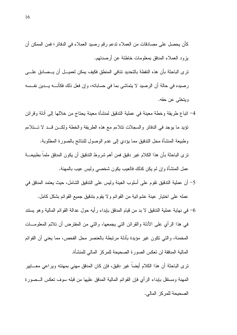- كأن يحصل على مصادقات من العملاء تدعم رقم رصيد العملاء في الدفاتر ؛ فمن الممكن أن يزود العملاء المدقق بمعلومات خاطئة عن أرصدتهم. تر ي الباحثة بأن هذه النقطة بالتحديد نتافي المنطق فكيف بمكن لعميـــل أن يـــصـادق علــــي رصيده في حالة أن الرصيد لا يتماشى بما في حساباته، وإن فعل ذلك فكأنــــه يـــدين نفــسه
- 4– انباع طريقة وخطة معينة في عملية الندقيق لمنشأة معينة يحتاج من خلالها إلىي أدلة وقرائن نؤيد ما يوجد في الدفانر والسجلات نتلاءم مع هذه الطريقة والخطة ولكـــن قـــد لا تــــتلاءم

ويتخلَّى عن حقه.

وطبيعة المنشأة محل التدقيق مما يؤدى إلى عدم الوصول للنتائج بالصورة المطلوبة. ترى الباحثة بأن هذا الكلام غير دقيق فمن أهم شروط التدقيق أن يكون المدقق ملماً بطبيعـــة عمل المنشأة وإن لم يكن كذلك فالعيب يكون شخصبي وليس عيب بالمهنة.

- 5– أن عملية التدقيق تقوم على أسلوب العينة وليس على التدقيق الشامل، حيث يعتمد المدقق في عمله على اختيار عينة عشوائية من القوائم ولا يقوم بتدقيق جميع القوائم بشكل كامل.
- في نهاية عملية التدقيق لا بد من قيام المدقق بإبداء ر أيه حول عدالة القوائم المالية و هو يستند  $\it -6$ في هذا الرأي على الأدلة والقرائن التي يجمعها، والتي من المفترض أن تلائم المعلومـــات المخمنة، والتي تكون غير مؤيدة بأدلة مرتبطة بالعنصر محل الفحص، مما يعني أن القوائم المالية المدققة لن تعكس الصورة الصحيحة للمركز المالي للمنشأة.

ترى الباحثة أن هذا الكلام أيضـاً غير دقيق، فإن كان المدقق مهني بمهنته ويراعي معـــابير المهنة ومستقل بإبداء الرأى فإن القوائم المالية المدقق عليها من قبله سوف تعكس الـــصورة الصحيحة للمركز المالي.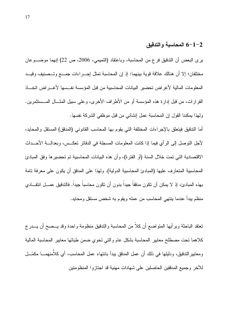#### المحاسبة والتدقيق  $6 - 1 - 2$

برى البعض أن التدفيق فرع من المحاسبة، وباعتقاد (التميمي، 2006، ص 22) إنهما موضـــوعان مختلفان؛ إلا أن هنالك علاقة قوية بينهما: إذ إن المحاسبة نمثل إجـــراءات جمــــع وتـــصنيف وقيـــد المعلومات المالية لأغراض تحضير البيانات المحاسبية من قبل المؤسسة نفــسها لأغـــراض اتخـــاذ القرارات، من قبل إدارة هذه المؤسسة أو من الأطراف الأخرى، وعلى سبيل المثـــال المـــستثمرين. ولهذا يمكننا القول إن المحاسبة عمل إنشائي من قبل موظفي الشركة نفسها.

أما الندقيق فيتعلق بالإجراءات المختلفة التي يقوم بها المحاسب القانوني (المدقق) المستقل والمحايد، لأجل النوصل إلى الرأي فيما إذا كانت المعلومات المسجلة في الدفاتر تعكــس، وبعدالــــة الأحــــداث الاقتصادية التي تمت خلال السنة (أو الفترة)، وأن هذه البيانات المحاسبية تم تحضيرها وفق المبادئ المحاسبية المتعارف عليها (المبادئ المحاسبية الدولية). ولهذا على المدقق أن يكون على معرفة تامة بهذه المبادئ، إذ لا يمكن أن تكون مدفقاً جيداً بدون أن تكون محاسباً جيداً. فالتدقيق عمـــل انتقـــادي منظم ببدأ عندما بنتهي المحاسب من عمله وبقوم به شخص مستقل ومحايد.

تعتقد الباحثة وبرأيها المتواضع أن كلاً من المحاسبة والتدقيق منظومة واحدة وقد يـــصح أن يـــدرج كلاهما تحت مصطلح معايير المحاسبة بشكل عام والتي تحوى ضمن طباتها معايير المحاسبة المالية ومعاييرالندقيق، ودليلها في ذلك أن عمل المدقق يبدأ بانتهاء عمل المحاسب، أي كلاَّمنهمـــا مكمّـــل للأخر وجميع المدفقين الحاصلين على شهادات مهنية قد اجتازوا المنظومتين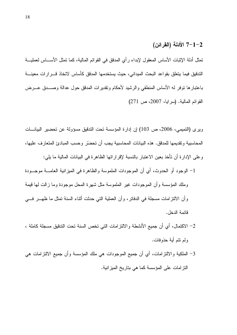#### 7-1-2 الأدلة (القرائن)

تمثِّل أدلة الإثبات الأساس المعقول لإبداء رأي المدقق في القوائم المالية، كما تمثِّل الأســــاس لعمليــــة التدقيق فيما يتعلق بقواعد البحث الميداني، حيث يستخدمها المدقق كأساس لاتخاذ قــــرارات معينــــة باعتبارها نوفر له الأساس المنطقي والرشيد لأحكام ونقديرات المدقق حول عدالة وصـــدق عـــرض القوائم المالية. (سرايا، 2007، ص 271)

ويرى (التميمي، 2006، ص 103) إن إدارة المؤسسة تحت التدقيق مسؤولة عن تحضير البيانـــات المحاسبية وتقديمها للمدقق. هذه البيانات المحاسبية يجب أن تحضّر وحسب المبادئ المتعارف عليها، وعلى الإدارة أن تأخذ بعين الاعتبار بالنسبة لإقراراتها الظاهرة في البيانات المالية ما يلي:

- 1– الوجود أو الحدوث، أي أن الموجودات الملموسة والظاهرة في المبزانية العامــــة موجـــودة وملك المؤسسة وأن الموجودات غير الملموسة مثل شهرة المحل موجودة وما زالت لها قيمة وأن الالنزامات مسجلة في الدفاتر، وأن العملية التي حدثت أثناء السنة نمثل ما ظهـــر فـــي قائمة الدخل.
- 2– الاكتمال، أي أن جميع الأنشطة والالتزامات التي تخص السنة تحت التدقيق مسجلة كاملة ، ولم نتم أية حذوفات.
- 3– الملكية والالتزامات، أي أن جميع الموجودات هي ملك المؤسسة وأن جميع الالتزامات هي النز امات على المؤسسة كما هي بتاريخ الميز انية.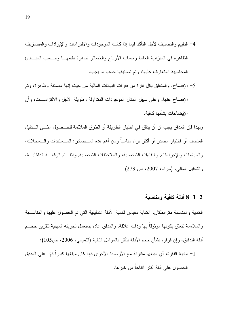- 4– النقييم والنصنيف لأجل النأكد فيما إذا كانت الموجودات والالنز امات والإير ادات والمصاريف الظاهرة في الميز انية العامة وحساب الأرباح والخسائر ظاهرة بقيمهـــا وحـــسب المبــــادئ المحاسبية المتعار ف عليها، وتم تصنيفها حسب ما يجب.
- 5– الإفصاح، والمتعلق بكل فقرة من فقرات البيانات المالية من حيث إنها مصنفة وظاهرة، وتم الإفصاح عنها، وعلى سبيل المثال الموجودات المتداولة وطويلة الأجل والالنز امـــات، وأن الابضاحات بشأنها كافبة.

ولهذا فإن المدقق يجب ان أن يدقق في اختيار الطريقة أو الطرق الملائمة للحـــصـول علــــي الــــدليل المناسب أو اختيار مصدر أو أكثر براه مناسباً ومن أهم هذه المـــصادر: المـــستندات والـــسجلات، والسباسات والإجر اءات, واللقاءات الشخصبة، والملاحظات الشخصبة, ونظــام الرقابــة الداخلبــة، والتحليل المالمي. (سرايا، 2007، ص 273)

#### 8–1–2 أدلة كافية ومناسبة

الكفاية والمناسبة منز ابطنان، الكفاية مقياس لكمية الأدلة الندقيقية النبي نم الحصول عليها والمناســبة والملاءمة تتعلق بكونها موثوقاً بها وذات علاقة، والمدقق عادة يستعمل تجربته المهنية لتقرير حجــم أدلة الندقيق، وإن قرار ه بشأن حجم الأدلة بتأثَّر بالعوامل التالية (التميمي، 2006، ص105):

1– مادية الفقرة، أي مبلغها مقارنة مع الأرصدة الأخرى فإذا كان مبلغها كبيراً فإن على المدقق الحصول على أدلة أكثر اقناعاً من غير ها.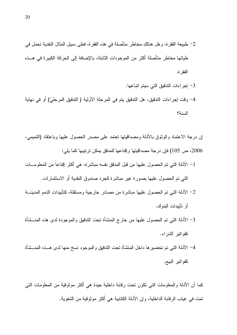- 2– طبيعة الفقرة، وهل هنالك مخاطر متأصلة في هذه الفقرة، فعلى سبيل المثال النقدية تحمل في طياتها مخاطر متأصلة أكثر من الموجودات الثابتة، بالإضافة إلى الحركة الكبيرة في هــذه الفقر ة.
- 3- إجراءات الندقيق التي سيتم اتباعها. 4– وقت إجراءات الندقيق، هل الندقيق يتم في المرحلة الأولية ( الندقيق المرحليّ) أو في نهاية السنة؟

إن درجة الاعتماد والوثوق بالأدلة ومصداقيتها تعتمد على مصدر الحصول عليها وباعتقاد (التميمي، 2006، ص 105) فإن درجة مصداقيتها وإقناعها للمدقق يمكن ترتيبها كما يلي:

- 1– الأدلة التي تم الحصول عليها من قبل المدقق نفسه مباشرة، هي أكثر إقناعا من المعلومـــات التي تم الحصول عليها بصورة غير مباشرة كجرد صندوق النقدية أو الاستثمارات.
- 2– الأدلة التي تم الحصول عليها مباشرة من مصادر خارجية ومستقلة، كتأييدات الذمم المدينــــة أو تأبيدات الينوك.
- 3– الأدلة التي تم الحصول عليها من خارج المنشأة تحت الندفيق والموجودة لدى هذه المنــشأة كفو اتير الشر اء.
- 4– الأدلة التي تم تحضير ها داخل المنشأة تحت الندقيق والموجود نسخ منها لدى هــذه المنــشأة كفو انير البيع.

كما أن الأدلة والمعلومات التي تكون تحت رقابة داخلية جيدة هي أكثر موثوقية من المعلومات التي تمت في غياب الرقابة الداخلية، و إن الأدلة الكتابية هي أكثر موثوقية من الشفوية.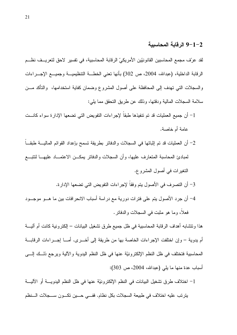#### 9-1-2 الرفابة المحاسبية

لقد عرّف مجمع المحاسبين القانونيّين الأمريكيّ الرقابة المحاسبية، في تفسير لاحق لتعريـــف نظـــم الرقابة الداخلية، (عبدالله، 2004، ص 302) بأنها نعني الخطـــة التنظيميـــة وجميـــع الإجــــراءات والسجلات النبي نهدف إلىي المحافظة على أصول المشروع وضمان كفاية استخدامها، ۖ والنأكد مــــن سلامة السجلات المالية ودقتها، وذلك عن طريق التحقق مما بلي:

- 1– أن جميع العمليات قد تم تتفيذها طبقاً لإجراءات التفويض التي تضعها الإدارة سواء كانــت عامة أم خاصة.
- 2– أن العمليات قد نم إثباتها في السجلات والدفاتر بطريقة تسمح بإعداد القوائم الماليــــة طبقــــا لمبادئ المحاسبة المتعارف عليها، وأن السجلات والدفاتر بمكـــن الاعتمــــاد عليهــــا لتتبـــع التغيرات في أصول المشروع.
	- 3– أن التصرف في الأصول يتم وفقاً لإجراءات التفويض التي تضعها الإدارة.
- 4– أن جرد الأصول يتم على فترات دورية مع دراسة أسباب الانحرافات بين ما هـــو موجـــود فعلا، وما هو مثبت في السجلات والدفاتر .

هذا ونتشابه أهداف الرقابة المحاسبية في ظل جميع طرق نشغيل البيانات – إلكترونية كانت أم آليـــة أم يدوية – وإن اختلفت الإجراءات الخاصة بها من طريقة إلى أخـــرى. أمــــا إجـــراءات الرقابــــة المحاسبية فتختلف في ظل النظم الإلكترونيّة عنها في ظل النظم اليدوية والآلية ويرجع ذلــك الِـــي أسباب عدة منها ما يلي (عبدالله، 2004، ص 303):

1– اختلاف طرق تشغيل البيانات في النظم الإلكترونيّة عنها في ظل النظم اليدويــــة أو الآليـــة يترتب عليه اختلاف في طبيعة السجلات بكل نظام. ففــي حــين تكــون ســـجلات الـــنظم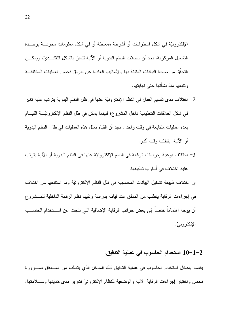الإلكترونيَّة في شكل اسطوانات أو أشرطة ممغنطة أو في شكل معلومات مخزنــــة بوحـــدة التشغيل المركزية، نجد أن سجلات النظم اليدوية أو الآلية تتميز بالشكل النقليــديّ، ويمكـــن النحقِّق من صحة البيانات المثبتة بها بالأساليب العادية عن طر يق فحص العمليات المختلفـــة وتتبعها منذ نشأتها حتى نهابتها.

- 2– اختلاف مدى نقسيم العمل في النظم الإلكترونيّة عنها في ظل النظم اليدوية يترتب عليه تغير في شكل العلاقات التنظيمية داخل المشروع؛ فبينما يمكن في ظل النظم الإلكترونيّــــة القيــــام بعدة عمليات منتابعة في وقت واحد ، نجد أن القيام بمثل هذه العمليات في ظل النظم اليدوية أَوِ الآليةِ يتطلبِ وقتٍ أكبرٍ .
- 3– اختلاف نوعية إجراءات الرقابة في النظم الإلكترونيّة عنها في النظم اليدوية أو الآلية يترتب عليه اختلاف في أسلوب تطبيقها.

إن اختلاف طبيعة نشغيل البيانات المحاسبية في ظل النظم الإلكترونيّة وما استتبعها من اختلاف في إجراءات الرقابة يتطلب من المدقق عند قيامه بدراسة ونقييم نظم الرقابة الداخلية للمـــشروع أن يوجه اهتماماً خاصاً إلى بعض جوانب الرقابة الإضافية التي نتجت عن اســـتخدام الحاســـب الإلكترونيّ.

## 10-1-2 استخدام الحاسوب في عملية التدقيق:

يقصد بمدخل استخدام الحاسوب في عملية التدقيق ذلك المدخل الذي يتطلب من المسدقق ضسرورة فحص و اختبار إجر اءات الر قابة الآلية و الو ضعية للنظام الإلكتر و نبيِّ لنقر بر مدى كفايتها و ســــلامتها،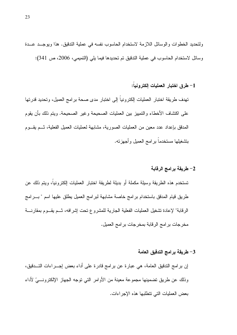ولتحديد الخطوات والوسائل اللازمة لاستخدام الحاسوب نفسه في عملية التدقيق. هذا ويوجــد عــدة وسائل لاستخدام الحاسوب في عملية التدقيق تم تحديدها فيما يلي (التميمي، 2006، ص 341):

## 1– طرق اختبار العمليات إلكترونياً:

تهدف طريقة اختبار العمليات اإكترونياً إلى اختبار مدى صحة برامج العميل، وتحديد قدرتها على اكتشاف الأخطاء والتمييز بين العمليات الصحيحة وغير الصحيحة. ويتم ذلك بأن يقوم المدقق بإعداد عدد معين من العمليات الصورية، مشابهة لعمليات العميل الفعلية، ثـــم يقـــوم بتشغيلها مستخدماً بر امج العميل و أجهز ته.

## 2– طريقة برامج الرقابة

تستخدم هذه الطريقة وسيلة مكملة أو بديلة لطريقة اختبار العمليات إلكترونياً، ويتم ذلك عن طريق قيام المدقق باستخدام برامج خاصة مشابهة لبرامج العميل يطلق عليها اسم " بـــرامج الرقابة" لإعادة تشغيل العمليات الفعلية الجارية للمشروع تحت إشرافه، شـم يقـوم بمقارنــــة مخرجات برامج الرقابة بمخرجات برامج العميل.

## 3– طريقة برامج التدقيق العامة

إن برامج التدقيق العامة، هي عبارة عن برامج قادرة على أداء بعض إجـــراءات التـــدقيق، وذلك عن طريق نضمينها مجموعة معينة من الأوامر التبي نوجه الجهاز الإلكترونـــيّ لأداء بعض العمليات التي تتطلبها هذه الإجر اءات.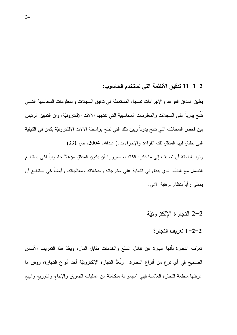# 11-1-2 تدقيق الأنظمة التي تستخدم الحاسوب:

يطبق المدقق القواعد والإجراءات نفسها، المستعملة في ندقيق السجلات والمعلومات المحاسبية التسي تُنْتَج يدوياً على السجلات والمعلومات المحاسبية التي تنتجها الآلات الإلكترونيّة، وإن التمييز الرئيس بين فحص السجلات التي نتنج يدوياً وبين تلك التي نتنج بواسطة الآلات الإلكترونيّة يكمن في الكيفية التي يطبق فيها المدقق نلك القواعد والإجراءات.( عبدالله، 2004، ص 331) وتود الباحثة أن تضيف إلى ما ذكره الكاتب، ضرورة أن يكون المدقق مؤهلاً حاسوبياً لكي يستطيع النعامل مع النظام الذي يدقق في النهاية على مخرجاته ومدخلاته ومعالجاته. وأيضا كي يستطيع أن يعطي ر أياً بنظام الر قابة الآلي.

# 2–2 التجار ة الإلكتر و نبّة

## تعريف التجارة  $1 - 2 - 2$

تعرّف التجارة بأنها عبارة عن نبادل السلع والخدمات مقابل المال، ويُعَدُّ هذا التعريف الأساس الصحيح في أي نوع من أنواع التجارة. وتُعَدُّ التجارة الإلكترونيّة أحد أنواع التجارة، ووفق ما عرفتها منظمة التجارة العالمية فهي "مجموعة متكاملة من عمليات النسويق والإنتاج والنوزيع والبيع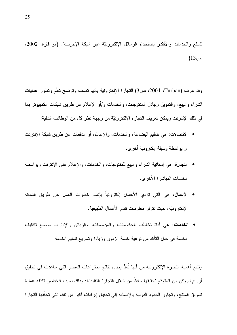للسلع والخدمات والأفكار باستخدام الوسائل الإلكترونيّة عبر شبكة الإنترنت". (أبو فارة، 2002،  $(13)$ ص

وقد عرف Turban)، 2004، ص3) النجارة الإلكترونيّة بأنها نصف ونوضح نقدُّم ونطور عمليات الشراء والبيع، والنمويل ونبادل المنتوجات، والخدمات و/أو الإعلام عن طريق شبكات الكمبيونر بما في ذلك الإنترنت ويمكن تعريف التجارة الإلكترونيّة من وجهة نظر كل من الوظائف التالية:

- الاتصالات: هي تسليم البضاعة، والخدمات، والإعلام، أو الدفعات عن طريق شبكة الإنترنت أو بواسطة وسيلة الكتر ونية أخر ي.
- ال**نتجارة:** هي إمكانية الشراء والبيع للمنتوجات، والخدمات، والإعلام على الإنترنت وبواسطة الخدمات المباشرة الأخرى.
- الأعمال: هي التي تؤدي الأعمال الكترونياً بإتمام خطوات العمل عن طريق الشبكة الإلكترونيّة، حيث نتوفّر معلومات نقدم الأعمال الطبيعية.
- الخدمات: هي أداة تخاطب الحكومات، والمؤسسات، والزبائن والإدارات لوضع تكاليف الخدمة في حال التأكد من نوعية خدمة الزبون وزيادة وتسريع تسليم الخدمة.

ونتبع أهمية التجارة الإلكترونية من أنها تعَدُّ إحدى نتائج اختراعات العصر التي ساعدت في تحقيق أرباح لم يكن من المتوقع تحقيقها سابقا من خلال النجارة النقليديّة؛ وذلك بسبب انخفاض تكلفة عملية تسويق المنتج، وتجاوز الحدود الدولية بالإضافة إلى تحقيق إيرادات أكبر من تلك التي تحققها التجارة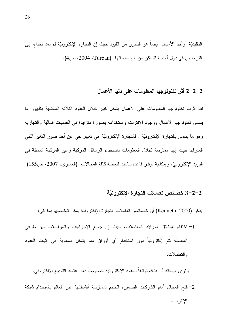التقليديّة. وأحد الأسباب ايضـا هو النحرر من القيود حيث إن النجارة الإلكترونيّة لم نعد نحتاج إلى الترخيص في دول أجنبية لتتمكن من بيع منتجاتها. (Turban، 2004، ص4).

## 2–2–2 أثر تكنولوجيا المعلومات على دنيا الأعمال

لقد أثرت نكنولوجيا المعلومات على الأعمال بشكل كبير خلال العقود الثلاثة الماضية بظهور ما يسمى نكنولوجيا الأعمال ووجود الإنترنت واستخدامه بصورة متزايدة في العمليات المالية والتجارية وهو ما يسمى بالتجارة الإلكترونيَّة . فالتجارة الإلكترونيَّة هي تعبير حي عن أحد صور التغير الفني المنزايد حيث إنها ممارسة لنبادل المعلومات باستخدام الرسائل المركبة وغير المركبة الممثلة في البريد الإلكترونيّ، وإمكانية توفير قاعدة بيانات لتغطية كافة المجالات. (العميري، 2007، ص155).

## 2−2−3 خصائص تعاملات التجارة الإلكترونيّة

- يذكر (Kenneth, 2000) أن خصائص تعاملات النجارة الإلكترونيّة يمكن نلخيصها بما يلي:
- 1- اختفاء الوثائق الورقيّة للمعاملات، حيث إن جميع الإجراءات والمراسلات بين طرفي المعاملة نتم الكترونيا دون استخدام أي أوراق مما يشكل صعوبة في إثبات العقود والتعاملات.

ونرى الباحثة أن هناك نوثيقا للعقود الالكترونية خصوصا بعد اعتماد التوقيع الالكتروني.

2– فتح المجال أمام الشركات الصغيرة الحجم لممارسة أنشطتها عبر العالم باستخدام شبكة الإنترنت.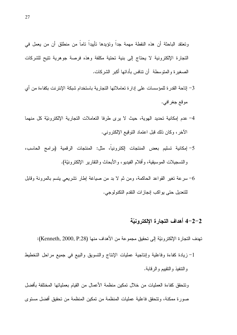ونعتقد الباحثة أن هذه النقطة مهمة جداً ونؤيدها نأييداً ناماً من منطلق أن من يعمل في النجارة الإلكترونية لا يحتاج إلى بنية تحتية مكلفة وهذه فرصة جوهرية تتيح للشركات الصغيرة والمتوسطة أن نتافس بأدائها أكبر الشركات.

- 3– إتاحة القدرة للمؤسسات على إدارة تعاملاتها التجارية باستخدام شبكة الإنترنت بكفاءة من أي موقع جغرافي.
- 4- عدم إمكانية تحديد الهوية، حيث لا يرى طرفا التعاملات التجارية الإلكترونيّة كل منهما الأخر ، وكان ذلك قبل اعتماد التوقيع الإلكتروني.
- 5– إمكانية تسليم بعض المنتجات الكترونياً، مثل: المنتجات الرقمية (برامج الحاسب، والنسجيلات الموسيقية، وأفلام الفيديو، والأبحاث والنقارير الإلكترونيّة).
- سرعة تغير القواعد الحاكمة، ومن ثم لا بد من صياغة إطار نشريعي يتسم بالمرونة وقابل  $-6$ للتعديل حتى يو اكب إنجاز ات النقدم التكنو لوجي.

## 2–2–4 أهداف التجارة الإلكترونيّة

تهدف التجارة الإلكترونيّة إلى تحقيق مجموعة من الأهداف منها (Kenneth, 2000, P.28):

1– زيادة كفاءة وفاعلية وإنتاجية عمليات الإنتاج والتسويق والبيع في جميع مراحل التخطيط و النتفيذ و النقييم و الر قابة.

وتتحقق كفاءة العمليات من خلال تمكين منظمة الأعمال من القيام بعملياتها المختلفة بأفضل صورة ممكنة، وتتحقق فاعلية عمليات المنظمة من تمكين المنظمة من تحقيق أفضل مستوى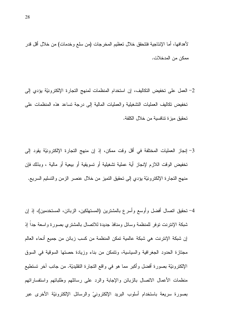لأهدافها، أما الإنتاجية فتتحقق خلال تعظيم المخرجات (من سلع وخدمات) من خلال أقل قدر ممكن من المدخلات.

- 2- العمل على تخفيض التكاليف، إن استخدام المنظمات لمنهج التجارة الإلكترونيّة يؤدي إلى تخفيض نكاليف العمليات النشغيلية والعمليات المالية إلى درجة نساعد هذه المنظمات على تحقيق ميزة تنافسية من خلال الكلفة.
- 3- إنجاز العمليات المختلفة في أقل وقت ممكن، إذ إن منهج التجارة الإلكترونيّة يقود إلى تخفيض الوقت اللازم لإنجاز أية عملية تشغيلية أو تسويقية أو بيعية أو مالية ، وبذلك فإن منهج النجارة الإلكترونيَّة يؤدي إلى نحقيق النميز من خلال عنصر الزمن والتسليم السريع.
- 4– تحقيق انصال أفضل وأوسع وأسرع بالمشترين (المستهلكين، الزبائن، المستخدمين)، إذ إن شبكة الإنترنت نوفر للمنظمة وسائل ومنافذ جديدة للانصال بالمشتري بصورة واسعة جدا إذ إن شبكة الإنترنت هي شبكة عالمية تمكن المنظمة من كسب زبائن من جميع أنحاء العالم مجتازة الحدود الجغرافية والسياسية، ونتمكن من بناء وزيادة حصتها السوقية في السوق الإلكترونيَّة بصورة أفضل وأكبر مما هو في واقع التجارة التقليديَّة. من جانب أخر تستطيع منظمات الأعمال الاتصال بالزبائن والإجابة والرد على رسائلهم وطلباتهم واستفساراتهم بصورة سريعة باستخدام أسلوب البريد الإلكترونيّ والرسائل الإلكترونيّة الأخرى عبر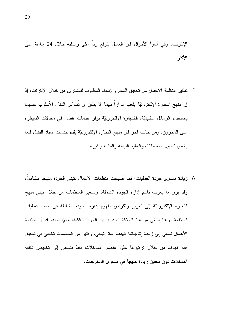الإنترنت، وفي أسوأ الأحوال فإن العميل يتوقع رداً على رسالته خلال 24 ساعة على الأكثر .

- 5– تمكين منظمة الأعمال من تحقيق الدعم والإسناد المطلوب للمشترين من خلال الإنترنت، إذ إن منهج النجارة الإلكترونيّة بلعب أدواراً مهمة لا بمكن أن تُمارَس الدقة والأسلوب نفسهما باستخدام الوسائل النقليديّة، فالتجارة الإلكترونيّة توفر خدمات أفضل في مجالات السيطرة على المخزون. ومن جانب آخر فإن منهج النجارة الإلكترونيَّة يقدم خدمات إسناد أفضل فيما يخص نسهيل المعاملات والعقود البيعية والمالية وغير ها.
- 6– زيادة مستوى جودة العمليات؛ فقد أصبحت منظمات الأعمال نتبنى الجودة منهجاً متكاملاً، وقد برز ما يعرف باسم إدارة الجودة الشاملة، ونسعى المنظمات من خلال نبنى منهج النجارة الإلكترونيَّة إلى تعزيز وتكريس مفهوم إدارة الجودة الشاملة في جميع عمليات المنظمة. وهنا ينبغي مراعاة العلاقة الجدلية بين الجودة والكلفة والإنتاجية، إذ أن منظمة الأعمال تسعى إلى زيادة إنتاجيتها كهدف استراتيجي. وكثير من المنظمات تخطئ في تحقيق هذا الهدف من خلال تركيزها على عنصر المدخلات فقط فتسعى إلى تخفيض تكلفة المدخلات دون تحقيق زيادة حقيقية في مستوى المخرجات.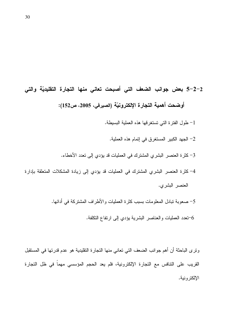# 2–2–5 بعض جوانب الضعف التى أصبحت تعانى منها التجارة التقليديّة والتى أوضحت أهمية التجارة الإلكترونيّة (الصيرفى، 2005، ص152):

- 1- طول الفترة التي تستغرقها هذه العملية البسيطة.
	- 2– الجهد الكبير المستغرق في إتمام هذه العملية.
- 3– كثر ة العنصر البشر ي المشترك في العمليات قد يؤدي إلى تعدد الأخطاء.
- 4– كثرة العنصر البشرى المشترك في العمليات قد يؤدي إلى زيادة المشكلات المتعلقة بإدارة العنصر البشري.
	- 5– صعوبة تبادل المعلومات بسبب كثرة العمليات والأطراف المشتركة في أدائها.

تعدد العمليات والعناصر البشرية بؤدى إلى ارتفاع التكلفة. $\rm 6$ 

وترى الباحثة أن أهم جوانب الضعف التي تعاني منها التجارة التقليدية هو عدم قدرتها في المستقبل القريب على النتافس مع التجارة الإلكترونية، فلم يعد الحجم المؤسسي مهماً في ظل التجارة الإلكتر ونية.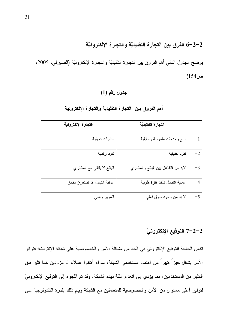6−2−2 الفرق بين التجارة التقليديّة والتجارة الإلكترونيّة

يوضح الجدول النالي أهم الفروق بين النجارة النقليديّة والنجارة الإلكترونيّة (الصيرفي، 2005،  $(154)$ ص

# جدول رقم (1)

|      | التجارة التقليديّة                  | التجارة الإلكترونيّة          |
|------|-------------------------------------|-------------------------------|
| $-1$ | سلع وخدمات ملموسة وحقيقية           | منتجات تخيلية                 |
| $-2$ | نقود حقيقية                         | نقود رقمية                    |
| $-3$ | لابد من النفاعل بين البائع والمشتري | البائع لا يلتقي مع المشتري    |
| -4   | عملية التبادل تأخذ فترة طويلة       | عملية النبادل قد تستغرق دقائق |
| $-5$ | لا بد من وجود سوق فعلي              | السوق وهمي                    |

# أهم الفروق بين التجارة التقليدية والتجارة الإلكترونية

# 7-2-2 التوقيع الإلكترونيّ

تكمن الحاجة للتوقيع الإلكترونيّ في الحد من مشكلة الأمن والخصوصية على شبكة الإنترنت؛ فتوافر الأمن يشغل حيزاً كبيراً من اهتمام مستخدمي الشبكة، سواء أكانوا عملاء أم مزودين كما نثير قلق الكثير من المستخدمين، مما يؤدي إلى انعدام الثقة بهذه الشبكة. وقد تم اللجوء إلى التوفيع الإلكترونيّ لتوفير أعلى مستوى من الأمن والخصوصية للمتعاملين مع الشبكة ويتم ذلك بقدرة التكنولوجيا على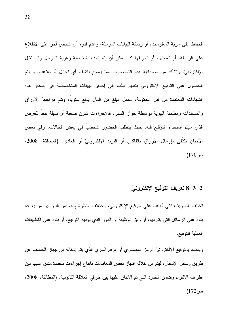الحفاظ على سرية المعلومات، أو رسالة البيانات المرسلة، وعدم قدرة أي شخص آخر على الاطلاع على الرسالة، أو تعديلها، أو تحريفها كما يمكن أن يتم تحديد شخصية وهوية المرسل والمستقبل الإلكترونيِّ، والتأكد من مصداقية هذه الشخصيات مما يسمح بكشف أي تحايل أو تلاعب. و يتم الحصول على التوقيع الإلكترونيّ بتقديم طلب إلى إحدى الهيئات المتخصصة في إصدار هذه الشهادات المعتمدة من قبل الحكومة، مقابل مبلغ من المال يدفع سنويا، ونتم مراجعة الأوراق والمستندات ومطابقة الهوية بواسطة جواز السفر. فالإجراءات نكون صعبة أو سهلة نبعاً للغرض الذي سيتم استخدام التوقيع فيه، حيث يتطلب الحضور شخصياً في بعض الحالات، وفي بعض الأحيان يُكتفى بإرسال الأوراق بالفاكس أو البريد الإلكترونيّ أو العادي. (المطالقة، 2008،  $(170)$ ص

# 3-3-2 تعريف التوفيع الإلكترونيّ

تختلف التعاريف التي أطلقت على التوقيع الإلكترونيّ، باختلاف النظرة إليه، فمن الدارسين من يعرفه بناءً على الرسائل التي يتم بها، أو وفق الوظيفة أو الدور الذي يؤديه التوقيع، أو بناء على التطبيقات العملية للنوقيع.

ويقصد بالنوقيع الإلكترونيّ الرمز المصدري أو الرقم السري الذي يتم إدخاله في جهاز الحاسب عن طريق وسائل الإدخال، ليتم من خلاله إنجاز بعض المعاملات باتباع إجراءات محددة متفق عليها بين أطراف الالتزام وضمن الحدود التي تم الاتفاق عليها بين طرفي العلاقة القانونية. (المطالقة، 2008،  $(172)$ ص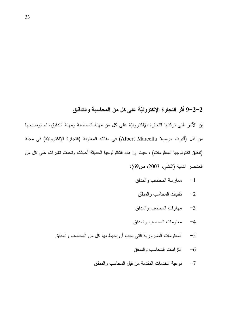# 2–2–9 أثر التجارة الإلكترونيّة على كل من المحاسبة والتدقيق

إن الآثار التي تركتها التجارة الإلكترونيّة على كل من مهنة المحاسبة ومهنة التدفيق، تم توضيحها من قبل (ألبرت مرسيلا Albert Marcella) في مقالته المعنونة (التجارة الإلكترونيّة) في مجلة (ندقيق نكنولوجيا المعلومات) ، حيث إن هذه النكنولوجيا الحديثة أحدثت وتحدث تغيرات على كل من العناصر النالية (القشّي، 2003، ص69):

- ممارسة المحاسب والمدقق  $-1$
- نقنيات المحاسب والمدقق  $-2$
- مهارات المحاسب والمدقق  $-3$
- معلومات المحاسب والمدقق  $-4$
- المعلومات الضرورية التي يجب أن يحيط بها كل من المحاسب والمدقق  $-5$ 
	- النز امات المحاسب والمدقق  $-6$
	- نو عية الخدمات المقدمة من قبل المحاسب و المدقق  $-7$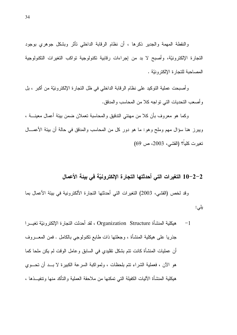والنقطة المهمة والجدير ذكرها ، أن نظام الرقابة الداخلي تأثر وبشكل جوهري بوجود التجارة الإلكترونيَّة، وأصبح لا بد من إجراءات رقابية تكنولوجية تواكب التغيرات التكنولوجية المصاحبة للتجار ة الالكتر ونبّة .

وأصبحت عملية النوكيد على نظام الرقابة الداخلي في ظل النجارة الإلكترونيّة من أكبر ، بل و أصعب النحديات النبي نو اجه كلا من المحاسب و المدقق.

وكما هو معروف بأن كلا من مهنتي الندقيق والمحاسبة نعملان ضمن بيئة أعمال معينــــة ، ويبرز هنا سؤال مهم وملح وهو: ما هو دور كل من المحاسب والمدقق في حالة أن بيئة الأعمـــال تغير ت كلياً؟ (القشي، 2003، ص 69)

# 2–2–10 التغيرات التي أحدثتها التجارة الإلكترونيّة في بيئة الأعمال

وقد لخص (القشي، 2003) التغيرات التي أحدثتها التجارة الألكترونية في بيئة الأعمال بما يلى:

هيكلية المنشأة Organization Structure ، لقد أحدثت النجارة الإلكترونيّة تغيـــرا  $-1$ جذريا على هيكلية المنشأة ، وجعلتها ذات طابع تكنولوجي بالكامل . فمن المعــــروف أن عمليات المنشأة كانت نتم بشكل نقليدي في السابق وعامل الوقت لم يكن ملحا كما هو الآن ، فعملية الشراء نتم بلحظات ، ولمواكبة السرعة الكبيرة لا بــد أن تحـــوى هيكلية المنشأة الآليات الكفيلة التي تمكنها من ملاحقة العملية والنأكد منها ونتفيــذها ،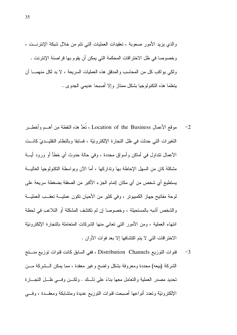والذي يزيد الأمور صعوبة ، تعقيدات العمليات التي نتم من خلال شبكة الإنترنـــت ، وخصوصا في ظل الاختراقات المحكمة التي يمكن أن يقوم بها قراصنة الإنترنت . ولكي يواكب كل من المحاسب والمدقق هذه العمليات السريعة ، لا بد لكل منهمــــا أن يتعلما هذه التكنولوجيا بشكل ممتاز وإلا أصبحا عديمي الجدوى .

- موقع الأعمال Location of the Business ، تَعَدُّ هذه النقطة من أهـــم وأخطـــر  $-2$ النَّغير ات الَّتي حدثت في ظلِّ النَّجارِ ة الإلكتر ونيَّة ، فسابقا وبالنظام النِّقليــديِّ كانــت الأعمال نتداول في أماكن وأسواق محددة ، وفي حالة حدوث أي خطأ أو ورود أيـــة مشكلة كان من السهل الإحاطة بها ونداركها ، أما الآن وبواسطة التكنولوجيا العاليـــة يستطيع أي شخص من أي مكان إتمام الجزء الأكبر من الصفقة بضغطة سريعة على لوحة مفاتيح جهاز الكمبيونر ، وفي كثير من الأحيان نكون عمليـــة نعقـــب العمليـــة والشخص أشبه بالمستحلِّلة ، وخصوصا إن لم تكتشف المشكلة أو التلاعب في لحظة انتهاء العملية ، ومن الأمور التبي نعانبي منها الشركات المتعاملة بالتجارة الإلكترونيّة الاختراقات التي لا يتم اكتشافها إلا بعد فوات الأوان .
- قنوات التوزيع Distribution Channels ، ففي السابق كانت قنوات توزيع منستج  $-3$ الشركة (بيعه) محددة ومعروفة بشكل واضح وغير معقدة ، مما يمكن الـــشركة مـــن تحديد مصدر العملية والنعامل معها بناءً على ذلــك . ولكـــن وفــــى ظـــل النجـــارة الإلكترونيَّة ونعدد أنواعها أصبحت قنوات النوزيع عديدة ومنشابكة ومعقـــدة ، وفــــي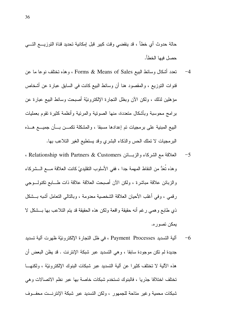حالة حدوث أي خطأ ، قد ينقضـي وقت كبير قبل إمكانية تحديد قناة التوزيـــــع التــــي حصل فبها الخطأ.

- تعدد أشكال وسائط البيع Forms & Means of Sales ، و هذه تختلف نو عا ما عن  $-4$ قنوات النوزيع ، والمقصود هنا أن وسائط البيع كانت في السابق عبارة عن أشخاص مؤهلين لذلك ، ولكن الآن وبظل النجارة الإلكترونيّة أصبحت وسائط البيع عبارة عن برامج محوسبة وبأشكال متعددة، منها الصونية والمرئية وأنظمة كثيرة نقوم بعمليات البيع المبنية على برمجيات تم إعدادها مسبقا ، والمشكلة نكمـــن بـــأن جميــــع هـــذه البر مجيات لا تملك الحس و الذكاء البشر ي وقد يستطيع الغير التلاعب بها.
- . العلاقة مع الشركاء والزبـــائن Relationship with Partners & Customers ،  $-5$ وهذه نُعَدُّ من النقاط المهمة جدا ، ففي الأسلوب النقليديّ كانت العلاقة مــــع الـــشركاء وِ الزِّبائنِ علاقة مباشرة ، ولكن الآن أصبحت العلاقة علاقة ذات طـــابـع نكنولـــوجي رقمي ، وفي أغلب الأحيان العلاقة الشخصية معدومة ، وبالنالي النعامل أشبه بـــشكل ذي طابع وهمي رغم أنه حقيقة واقعة ولكن هذه الحقيقة قد يتم التلاعب بها بـــشكل لا بمكن تصور ه.
- آلية التسديد Payment Processes ، في ظل التجارة الإلكترونيّة ظهرت آلية تسديد  $-6$ جديدة لم نكن موجودة سابقا ، وهي التسديد عبر شبكة الإنترنت . قد يظن البعض أن هذه الآلية لا تختلف كثيرًا عن ألية التسديد عبر شبكات البنوك الإلكترونيَّة ، ولكنهــا تختلف اختلافا جذريا ، فالبنوك تستخدم شبكات خاصة بها عبر نظم الاتصالات وهي شبكات محمية وغير متاحة للجمهور ، ولكن التسديد عبر شبكة الإنترنست محف وف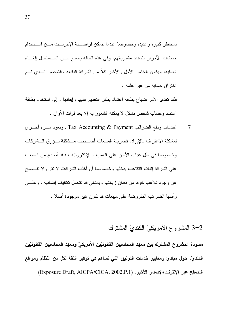بمخاطر كبيرة وعديدة وخصوصا عندما يتمكن قراصـــنة الإنترنـــت مـــن اســـتخدام حسابات الآخرين بنسديد مشتر ياتهم، وفي هذه الحالة يصبح مـــن المــستحيل الغـــاء العملية، ويكون الخاسر الأول والأخير كلاً من الشركة البائعة والشخص الــذي تــم اختر اق حسابه من غبر علمه . فلقد نعدى الأمر ضياع بطاقة اعتماد بمكن النعميم عليها وإيقافها ، إلى استخدام بطاقة اعتماد وحساب شخص بشكل لا يمكنه الشعور به إلا بعد فوات الأوان .

احتساب ودفع الضرائب Tax Accounting & Payment , ونعود مسرة أخسري  $-7$ لمشكلة الاعتر اف بالإير اد، فضر ببة المبيعات أصـــبحت مـــشكلة تـــوْر ق الـــشر كات و خصوصا في ظلِّ غياب الأمان على العمليات الإلكترونيَّة ، فلقد أصبح من الصعب على الشركة اِثبات النلاعب بدخلها وخصوصا أن أغلب الشركات لا نقر ولا نفــصـح عن وجود تلاعب خوفًا من فقدان زبائنها وبالتالي قد تتحمل تكاليف إضافية ، وعلـــي ر أسها الضر ائب المفروضة على مبيعات قد نكون غير موجودة أصلا .

# 2–3 المشروع الأمريكيّ الكنديّ المشترك

مسودة المشروع المشترك بين معهد المحاسبين القانونيّين الأمريكيّ ومعهد المحاسبين القانونيّين الكنديّ، حول مبادئ ومعايير خدمات التوثيق التي تساهم في توفير الثقة لكل من النظام ومواقع التصفح عبر الإنترنت/الإصدار الأخير. (Exposure Draft, AICPA/CICA, 2002,P.1)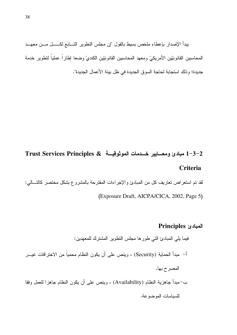يبدأ الإصدار بإعطاء ملخص بسيط بالقول "إن مجلس النطوير النسابع لكــــــل مــــن معهـــد المحاسبين القانو نيّين الأمريكيّ ومعهد المحاسبين القانو نيّين الكنديّ وضعا إطاراً عملياً لتطوير ٍ خدمة جديدة؛ و ذلك استجابة لحاجة السوق الجديدة في ظل بيئة الأعمال الجديدة".

# 7–3–1 مبادئ ومعــايير خــدمات الموثوفيــة & Trust Services Principles **Criteria**

لقد نم استعراض نعاريف كل من المبادئ والإجراءات المقترحة بالمشروع بشكل مختصر كالتسالبي:

(Exposure Draft, AICPA/CICA, 2002, Page 5)

## المبادئ Principles

فيما يلي المبادئ التي طورها مجلس النطوير المشترك للمعهدين:

أ– مبدأ الحماية (Security) ، وينص على أن يكون النظام محمياً من الاختراقات غيـــر المصرح بها. ب–مبدأ جاهزية النظام (Availability) ، وينص على أن يكون النظام جاهزا للعمل وفقا للسباسات الموضوعة.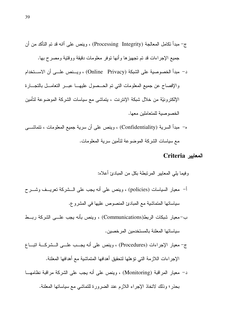- ج– مبدأ نكامل المعالجة (Processing Integrity) ، وينص على أانه قد نم النأكد من أن جميع الإجراءات قد تم تجهيزها وأنها نوفر معلومات دقيقة ووقتية ومصرح بها.
- د– مبدأ الخصوصية على الشبكة (Online Privacy) ، ويــنص علـــي أن الاســـنخدام والإفصاح عن جميع المعلومات التي تم الحـــصول عليهـــا عبـــر التعامـــل بالتجـــارة الإلكترونيّة من خلال شبكة الإنترنت ، بتماشى مع سياسات الشركة الموضوعة لتأمين الخصوصية للمتعاملين معها.
- ه– مبدأ السرية (Confidentiality) ، وينص على أن سرية جميع المعلومات ، نتماشـــي مع سياسات الشركة الموضوعة لتأمين سرية المعلومات.

#### **Criteria** 
\$

- وفيما يلي المعابير المرتبطة بكل من المبادئ أعلاه:
- أ– معيار السياسات (policies) ، وينص على أنه يجب على الـــشركة نعريـــف وشــــر ح سياساتها المتماشية مع المبادئ المنصوص عليها في المشروع.
- ب–معيار شبكات الربط(Communications) ، وينص بأنه يجب علـــي الشركة ربـــط سياساتها المعلنة بالمستخدمين المرخصين.
- ج- معيار الإجراءات (Procedures) ، وينص على أنه يجــب علـــي الـــشركـــة اتبـــاع الإجراءات اللازمة التي تؤهلها لتحقيق أهدافها المتماشية مع أهدافها المعلنة.
- د– معيار المراقبة (Monitoring) ، وينص على أنه يجب على الشركة مراقبة نظامهـــا بحذر؛ وذلك لاتخاذ الإجراء اللازم عند الضرورة للتماشي مع سياساتها المعلنة.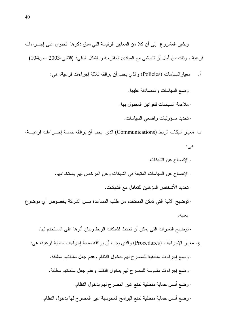ويشير المشروع إلى أن كلا من المعايير الرئيسة التي سبق ذكرها تحتوي على إجـــراءات فرعية ، وذلك من أجل أن نتماشى مع المبادئ المقترحة وبالشكل النالي: (القشى،2003 ،ص104)

- معيار السياسات (Policies) والذي يجب أن ير افقه ثلاثة إجراءات فرعية، هي:  $\overline{\phantom{a}}$ 
	- وضع السياسات والمصادقة عليها. - ملاءمة السياسات للقوانين المعمول بها. - تحديد مسؤوليات واضعى السياسات.

ب. معيار شبكات الربط (Communications) الذي يجب أن ير افقه خمسة إجــــر اءات فر عيــــة،

- هي: - الإفصاح عن الشبكات. - الإفصاح عن السياسات المتبعة في الشبكات وعن المرخص لهم باستخدامها. - تحديد الأشخاص المؤ هلين للتعامل مع الشبكات. - توضيح الآلية التي تمكن المستخدم من طلب المساعدة مـــن الشركة بخصوص أي موضوع يعنيه. - توضيح التغير ات التي يمكن أن تحدث لشبكات الربط وبيان أثر ها على المستخدم لـها. ج. معيار الإجراءات (Procedures) والذي يجب أن يرافقه سبعة إجراءات حماية فرعية، هي: - وضع إجراءات منطقية للمصرح لهم بدخول النظام وعدم جعل سلطتهم مطلقة. - وضع إجراءات ملموسة للمصرح لهم بدخول النظام وعدم جعل سلطتهم مطلقة. - وضع أسس حماية منطقية لمنع غير المصرح لهم بدخول النظام.
	- -وضع أسس حماية منطقية لمنع البرامج المحوسبة غير المصرح لها بدخول النظام.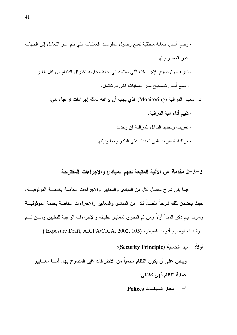-وضع أسس حماية منطقية تمنع وصول معلومات العمليات التبي نتم عبر النعامل إلىي الجهات غير المصرح لها. -نعريف ونوضيح الإجراءات التي ستتخذ في حالة محاولة اختراق النظام من قبل الغير . - وضع أسس تصحيح سير العمليات التي لم تكتمل.

> د. معيار المراقبة (Monitoring) الذي يجب أن يرافقه ثلاثة إجراءات فرعية، هي: - تقبيم أداء آلية المر اقية. - تعريف وتحديد البدائل للمراقبة إن وجدت. - مر اقبة التغير ات التي تحدث على التكنولوجيا وبيئتها.

## 2–3–2 مقدمة عن الآلية المتبعة لفهم المبادئ والإجراءات المقترحة

فيما يلي شرح مفصل لكل من المبادئ والمعايير والإجراءات الخاصة بخدمـــة الموثوقيـــة، حيث يتضمن ذلك شرحاً مفصلاً لكل من المبادئ والمعايير والإجراءات الخاصة بخدمة الموثوقيـــة وسوف يتم ذكر المبدأ أولاً ومن ثم التطرق لمعايير تطبيقه والإجراءات الواجبة للتطبيق ومـــن ثـــم سوف يتم توضيح أدوات السيطرة.(Exposure Draft, AICPA/CICA, 2002, 105 )

أولاً: مبدأ الحماية (Security Principle):

وينص على أن يكون النظام محمياً من الاختراقات غير المصرح بها. أمـــا معـــايير حماية النظام فهي كالتالي:

أ– معيار السياسات Polices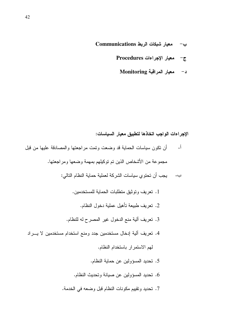- ب- معيار شبكات الربط Communications
	- ج- معيار الإجراءات Procedures
		- د- معيار المراقبة Monitoring

الإجراءات الواجب اتخاذها لتطبيق معيار السياسات:

- أن نكون سباسات الحمابة قد وضعت وتمت مر اجعتها والمصادقة عليها من قبل  $\overline{\mathfrak{h}}$ مجموعة من الأشخاص الذين تم توكيلهم بمهمة وضعها ومراجعتها. ب- بجب أن تحتوي سياسات الشركة لعملية حماية النظام التالي:
	- 1. تعريف وتوثيق متطلبات الحماية للمستخدمين.
		- 2. تعريف طبيعة تأهيل عملية دخول النظام.
	- 3. تعريف آلية منع الدخول غير المصرح له للنظام.
- 4. تعريف آلية إدخال مستخدمين جدد ومنع استخدام مستخدمين لا يـــراد لمهم الاستمرار باستخدام النظام.
	- 5. تحديد المسؤولين عن حماية النظام.
	- 6. نحديد المسؤولين عن صيانة وتحديث النظام.
	- 7. تحديد وتقييم مكونات النظام قبل وضعه في الخدمة.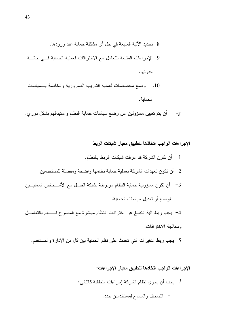- 8. نحديد الآلية المتبعة في حل أي مشكلة حماية عند ورودها. 9. الإجراءات المتبعة للتعامل مع الاختراقات لعملية الحماية فسى حالسة حدو ثبها. 10. وضع مخصصات لعملية الندريب الضرورية والخاصة بسسياسات
- أن يتم نعيين مسؤولين عن وضع سياسات حماية النظام واستبدالهم بشكل دوري.  $-\bar{c}$

الإجراءات الواجب اتخاذها لتطبيق معيار شبكات الربط

الحمابة.

- 1– أن نكون الشركة قد عرفت شبكات الربط بالنظام. 2– أن نكون تعهدات الشركة بعملية حماية نظامها واضحة ومفصلة للمستخدمين.
- 3- أن نكون مسؤولية حماية النظام مربوطة بشبكة اتصال مع الأشـــخاص المعنيـــين لوضع أو تعديل سياسات الحماية.

4– يجب ربط آلية التبليغ عن اختراقات النظام مباشرة مع المصرح لــــــهم بالتعامـــل و معالجة الاختر اقات.

5– يجب ربط التغيرات التي تحدث على نظم الحماية بين كل من الإدارة والمستخدم.

# الإجراءات الواجب اتخاذها لتطبيق معيار الإجراءات:

- أ. يجب أن يحوى نظام الشركة إجراءات منطقية كالتالي:
	- التسجيل والسماح لمستخدمين جدد.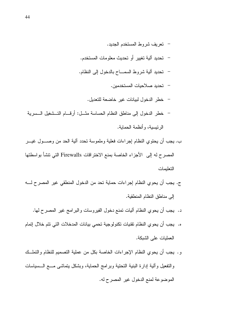- تعريف شروط المستخدم الجديد. – تحديد آلية تغيير أو تحديث معلومات المستخدم. – تحديد ألية شروط السمـــاح بالدخول إلىي النظام. – تحديد صلاحيات المستخدمين. – خطر الدخول لبيانات غير خاضعة للتعديل.
- خطر الدخول إلى مناطق النظام الحساسة مثــل: أرقـــام التــشغيل الـــسرية  $\frac{1}{2}$ الرئيسية، وأنظمة الحماية.
- ب. يجب أن يحتوي النظام إجراءات فعلية وملموسة نحدد ألية الحد من وصـــول غيـــر المصرح له إلى الأجزاء الخاصة بمنع الاخترافات Firewalls التي تتشأ بواسطتها التعليمات
- ج. يجب أن يحوي النظام إجراءات حماية نحد من الدخول المنطقي غير المصرح لــــه إلى مناطق النظام المنطقية.
	- د. يجب أن يحوي النظام أليات تمنع دخول الفيروسات والبرامج غير المصرح لمها.
- ه. يجب أن يحوي النظام نقنيات نكنولوجية تحمي بيانات المدخلات التي نتم خلال إتمام العمليات على الشبكة.
- و. يجب أن يحوي النظام الإجراءات الخاصة بكل من عملية التصميم للنظام والتملــك والتفعيل وألية إدارة البنية النحتية وبرامج الحماية، وبشكل يتماشى مــع الـــسياسات الموضوعة لمنع الدخول غير المصرح له.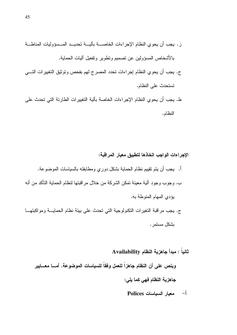- ز . يجب أن يحوي النظام الإجراءات الخاصسة بآليسة تحديد المسسؤوليات المناطسة بالأشخاص المسؤولين عن تصميم وتطوير وتفعيل أليات الحماية.
- ح. يجب أن يحوي النظام إجراءات نحدد المصرح لهم بفحص وتوثيق التغييرات التسي تستحدث على النظام.
- ط. يجب أن يحوي النظام الإجراءات الخاصة بآلية النغييرات الطارئة التي تحدث على النظام.

الإجراءات الواجب اتخاذها لتطبيق معيار المراقبة:

- أ. بجب أن يتم نقييم نظام الحماية بشكل دوري ومطابقته بالسياسات الموضوعة. ب. وجوب وجود آلية معينة تمكن الشركة من خلال مر اقبتها لنظام الحماية التأكد من أنه يؤدي المهام المنوطة به. ج. يجب مراقبة التغيرات النكنولوجية التي تحدث على بيئة نظام الحمايـــة ومواكبتهـــا
	- بشكل مستمر .
		- ثانياً : مبدأ جاهزية النظام Availability وينص على أن النظام جاهزاً للعمل وفقاً للسياسات الموضوعة. أمـــا معـــايير جاهزية النظام فهي كما يلي:
			- أ– معبار السباسات Polices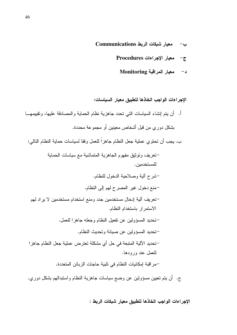- معيار شبكات الربط Communications  $-$ ب
	- Arocedures معيار الاجراءات  $-\epsilon$ 
		- د- معيار المراقبة Monitoring

الإجراءات الواجب اتخاذها لتطبيق معيار السياسات:

أ. أن يتم إنشاء السياسات النبي تحدد جاهزية نظام الحماية والمصادقة عليها، وتقييمهـــا بشكل دور ي من قبل أشخاص معينين أو مجموعة محددة.

ب. يجب أن نحنوي عملية جعل النظام جاهزاً للعمل وفقا لسياسات حماية النظام النالبي:

-تعريف وتوثيق مفهوم الجاهزية المتماشية مع سياسات الحماية للمستخدمين. –شرح آلبة وصلاحبة الدخول للنظام. –منع دخول غير المصرح لهم إلى النظام. –تعريف آلية إدخال مستخدمين جدد ومنع استخدام مستخدمين لا يراد لهم

- الاستمرار باستخدام النظام. –تحديد المسؤولين عن تفعيل النظام وجعله جاهزا للعمل.
- –تحديد المسؤولين عن صبانة وتحديث النظام. –تحديد الآلية المتبعة في حل أي مشكلة تعترض عملية جعل النظام جاهز ا للعمل عند ورودها.

–مراقبة إمكانيات النظام في تلبية حاجات الزبائن المتعددة.

ج. أن يتم تعيين مسؤولين عن وضع سياسات جاهزية النظام واستبدالهم بشكل دوري.

الإجراءات الواجب اتخاذها لتطبيق معيار شبكات الربط :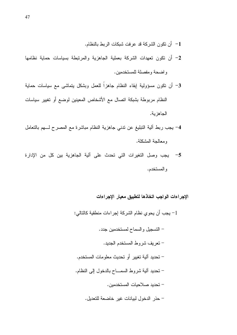- 1– أن نكون الشركة قد عرفت شبكات الربط بالنظام.
- 2- أن نكون تعهدات الشركة بعملية الجاهزية والمرنبطة بسياسات حماية نظامها و اضبحة ومفصلة للمستخدمين.
- 3– أن نكون مسؤولية إبقاء النظام جاهزاً للعمل وبشكل بتماشى مع سياسات حماية النظام مربوطة بشبكة اتصال مع الأشخاص المعينين لوضع أو تغيير سياسات الجاهزية.
- 4- يجب ربط ألية التبليغ عن ندنى جاهزية النظام مباشرة مع المصرح لـــهم بالنعامل ومعالجة المشكلة.
- 5– يجب وصل التغيرات التي تحدث على آلية الجاهزية بين كل من الإدارة والمستخدم.

الإجراءات الواجب اتخاذها لتطبيق معيار الإجراءات

- 1– يجب أن يحوى نظام الشركة إجراءات منطقية كالتالي:
	- التسجيل والسماح لمستخدمين جدد. – تعريف شروط المستخدم الجديد. – تحديد ألية تغيير أو تحديث معلومات المستخدم. – تحديد ألية شروط السمـــاح بالدخول إلىي النظام. – تحديد صلاحيات المستخدمين. – حذر الدخول لبيانات غير خاضعة للتعديل.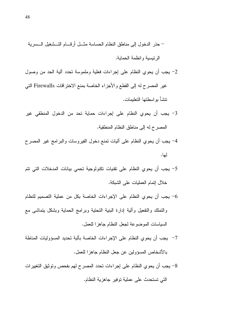- حذر الدخول إلى مناطق النظام الحساسة مثـــل أرقـــام التـــشغيل الــــسرية الرئيسية وانظمة الحماية.
- 2- يجب أن يحوى النظام على إجراءات فعلية وملموسة تحدد ألية الحد من وصول غير المصرح له إلى القطع والأجزاء الخاصة بمنع الاختراقات Firewalls التي نتشأ بو اسطتها التعلبمات.
- 3- يجب أن يحوي النظام على إجراءات حماية تحد من الدخول المنطقى غير المصرح له إلى مناطق النظام المنطقية.
- 4– يجب أن يحوى النظام على أليات نمنع دخول الفيروسات والبرامج غير المصرح لها.
- 5– يجب أن يحوى النظام على نقنيات تكنولوجية تحمى بيانات المدخلات التي نتم خلال إتمام العمليات على الشبكة.
- يجب أن يحوي النظام على الإجراءات الخاصة بكل من عملية التصميم للنظام  $\sim$ والتملك والتفعيل وألية إدارة البنية التحتية وبرامج الحماية وبشكل يتماشى مع السياسات الموضوعة لجعل النظام جاهزا للعمل.
- 7– يجب أن يحوى النظام على الإجراءات الخاصة بآلية تحديد المسؤوليات المناطة بالأشخاص المسؤولين عن جعل النظام جاهز ا للعمل.
- 8– يجب أن يحوي النظام على إجراءات تحدد المصرح لهم بفحص وتوثيق التغييرات التي تستحدث على عملية توفير جاهزية النظام.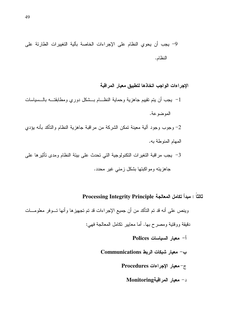9- يجب أن يحوى النظام على الإجراءات الخاصة بآلية التغييرات الطارئة على النظام.

الإجراءات الواجب اتخاذها لتطبيق معيار المراقبة

- 1– يجب أن يتم نقييم جاهزية وحماية النظــام بـــشكل دوري ومطابقتـــه بالـــسياسات الموضوعة.
- 2– وجوب وجود ألية معينة تمكن الشركة من مراقبة جاهزية النظام والنأكد بأنه بؤدي المهام المنوطة به.
- 3– يجب مراقبة التغيرات التكنولوجية التي تحدث على بيئة النظام ومدى تأثيرها على جاهزيته ومواكبتها بشكل زمنى غير محدد.

ثالثاً: مبدأ تكامل المعالجة Processing Integrity Principle

وينص على أنه قد تم التأكد من أن جميع الإجراءات قد تم تجهيزها وأنها تـــوفر معلومـــات دقيقة ووقتية ومصرح بها. أما معابير نكامل المعالجة فهي:

أ- معبار السباسات Polices

- ب- معيار شبكات الربط Communications
	- ج-معيار الإجراءات Procedures
		- د– معيار المراقبةMonitoring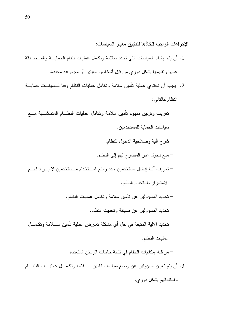#### الإجراءات الواجب اتخاذها لتطبيق معيار السياسات:

- 1. أن يتم إنشاء السياسات التي تحدد سلامة ونكامل عمليات نظام الحمايــــة والمــــصـادقة عليها وتقييمها بشكل دوري من قبل أشخاص معينين أو مجموعة محددة.
- 2. بجب أن تحتوي عملية تأمين سلامة وتكامل عمليات النظام وفقا لــسياسات حمايـــة النظام كالتالي:
	- نعريف ونوثيق مفهوم نأمين سلامة ونكامل عمليات النظـــام المتماشــــية مــــع سياسات الحماية للمستخدمين. – شرح آلية وصلاحية الدخول للنظام. – منع دخول غير المصرح لهم إلى النظام. – تعريف ألية إدخال مستخدمين جدد ومنع اســـتخدام مـــستخدمين لا يــــراد لمهـــم الاستمرار باستخدام النظام. – تحديد المسؤولين عن نأمين سلامة ونكامل عمليات النظام. – تحديد المسؤولين عن صيانة وتحديث النظام. – تحديد الآلية المتبعة في حل أي مشكلة تعترض عملية تأمين ســــلامة وتكامــــل

عمليات النظام.

– مراقبة إمكانيات النظام في تلبية حاجات الزبائن المتعددة.

3. أن يتم تعيين مسؤولين عن وضع سياسات نامين ســــلامة وتكامـــل عمليـــات النظـــام واستبدالهم بشكل دوري.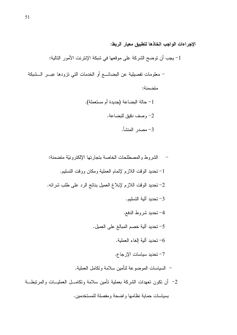الإجراءات الواجب اتخاذها لتطبيق معيار الربط:

– معلومات نفصيلية عن البضائـــع أو الخدمات التي نزودها عبـــر الـــشبكة متضمنة:

- 1- حالة البضاعة (جديدة أم مستعملة). وصف دقيق للبضاعة.  $-2$ 3- مصدر المنشأ.
- الشروط والمصطلحات الخاصة بتجارتها الإلكترونيّة متضمنة: 1- تحديد الوقت اللازم لإتمام العملية ومكان ووقت التسليم. 2- تحديد الوقت اللازم لإبلاغ العميل بناتج الرد على طلب شرائه. 3– تحديد آلية التسليم. 4– تحديد شروط الدفع. 5- تحديد آلية خصم المبالغ على العميل. - تحديد ألية إلغاء العملية $\hbox{--}$ 7- تحديد سياسات الإرجاع. – السياسات الموضوعة لتأمين سلامة وتكامل العملية. 2– أن نكون نعهدات الشركة بعملية نأمين سلامة ونكامـــل العمليـــات والمرتبطـــة بسياسات حماية نظامها واضحة ومفصلة للمستخدمين.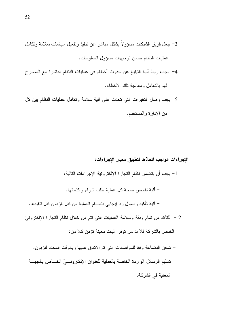- 3– جعل فريق الشبكات مسؤولاً بشكل مباشر عن نتفيذ وتفعيل سياسات سلامة ونكامل عمليات النظام ضمن نوجيهات مسؤول المعلومات.
- 4– يجب ربط آلية التبليغ عن حدوث أخطاء في عمليات النظام مباشرة مع المصر ح لمهم بالتعامل ومعالجة ناك الأخطاء.
- 5- يجب وصل التغيرات التي تحدث على ألية سلامة وتكامل عمليات النظام بين كل من الإدارة والمستخدم.

الإجراءات الواجب اتخاذها لتطبيق معيار الإجراءات:

1- يجب أن يتضمن نظام التجارة الإلكترونيّة الإجراءات التالية:

– آلبة لفحص صحة كل عملبة طلب شر اء واكتمالها.

– ألية تأكيد وصول رد إيجابي بتمـــام العملية من قبل الزبون قبل نتفيذها.

- 2 للتأكد من تمام ودقة وسلامة العمليات التي نتم من خلال نظام التجارة الإلكترونيّ الخاص بالشركة فلا بد من توفر آليات معينة نؤمن كلا من:
	- شحن البضاعة وفقا للمواصفات التي تم الاتفاق عليها وبالوقت المحدد للزبون. – تسليم الرسائل الواردة الخاصة بالعملية للعنوان الإلكترونسيّ الخـــاص بالجهـــة المعنية في الشركة.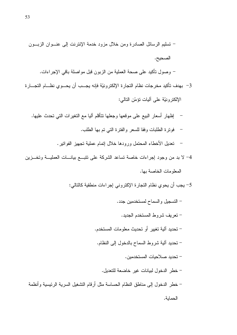- تسليم الرسائل الصادرة ومن خلال مزود خدمة الإنترنت إلى عنـــوان الزبـــون الصحيح. – وصول نأكيد على صحة العملية من الزبون قبل مواصلة باقي الإجراءات. 3– بهدف تأكيد مخرجات نظام التجارة الإلكترونيّة فإنه يجــب أن يحــوى نظـــام التجـــارة الإلكترونيّة على أليات نؤمّن التالي: إظهار أسعار البيع على موقعها وجعلها نتأقلم أليا مع النغيرات الني نحدث عليها.  $\overline{\phantom{0}}$ فوترة الطلبات وفقا للسعر والفترة التي تم بها الطلب.  $\overline{\phantom{0}}$ – تعديل الأخطاء المحتمل ورودها خلال اِتمام عملية تجهيز الفواتير . 4– لا بد من وجود إجراءات خاصة تساعد الشركة على نتبـــع بيانــــات العمليـــة وتخـــزين المعلومات الخاصة بها. 5– يجب أن يحوي نظام التجارة الإكتروني إجراءات منطقية كالتالي: – التسجيل والسماح لمستخدمين جدد. – تعريف شروط المستخدم الجديد. – تحديد آلية تغيير أو تحديث معلومات المستخدم.
	- نحديد ألية شروط السماح بالدخول إلىي النظام.
		- تحديد صلاحيات المستخدمين.
		- خطر الدخول لبيانات غير خاضعة للتعديل.
	- خطر الدخول إلى مناطق النظام الحساسة مثل أرقام التشغيل السرية الرئيسية وأنظمة الحمابة.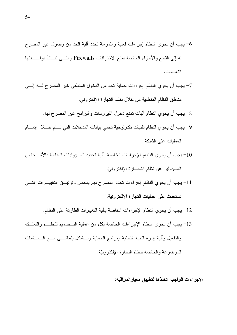- 6– يجب أن يحوي النظام إجراءات فعلية وملموسة نحدد ألية الحد من وصول غير المصرح له إلى القطع والأجزاء الخاصة بمنع الاختر اقات Firewalls والتسي نتسشأ بواســـطتها التعليمات.
- 7- يجب أن يحوي النظام إجراءات حماية تحد من الدخول المنطقي غير المصرح لــــه إلــــى مناطق النظام المنطقية من خلال نظام التجارة الإلكترونيّ.
	- 8– يجب أن يحوي النظام أليات تمنع دخول الفيروسات والبرامج غير المصرح لمها.
- 9– يجب أن يحوي النظام تقنيات تكنولوجية تحمي بيانات المدخلات التي تستم خــــلال إتمــــام العمليات على الشبكة.
- 10- يجب أن يحوي النظام الإجراءات الخاصة بآلية تحديد المسؤوليات المناطة بالأشــخاص المسؤولين عن نظام التجـــار ة الإلكتر ونبيّ.
- 11– يجب أن يحوى النظام إجراءات تحدد المصرح لهم بفحص وتوثيـــق التغييـــرات التــــى تستحدث على عمليات النجارة الإلكتر ونيّة.
	- 12– يجب أن يحوى النظام الإجراءات الخاصة بآلية التغييرات الطارئة على النظام.
- 13- يجب أن يحوي النظام الإجراءات الخاصة بكل من عملية التــصميم للنظــام والتملــك والتفعيل وألية إدارة البنية التحتية وبرامج الحماية وبسشكل يتماشـــي مـــع الـــسياسات الموضوعة والخاصة بنظام النجار ة الإلكتر ونبّة.

الإجراءات الواجب اتخاذها لتطبيق معيارالمراقبة: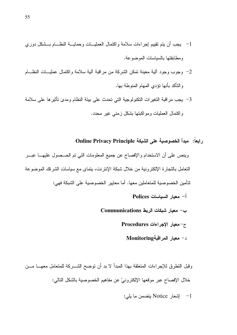- 1− يجب أن يتم نقييم إجراءات سلامة واكتمال العمليـــات وحمايـــة النظـــام بـــشكل دوري ومطابقتها بالسياسات الموضوعة.
- 2- وجوب وجود ألية معينة تمكن الشركة من مراقبة ألية سلامة واكتمال عمليـــات النظـــام و التأكد بأنها نؤدي المهام المنوطة بها.
- 3− يجب مراقبة التغيرات التكنولوجية التي تحدث على بيئة النظام ومدى تأثيرها على سلامة واكتمال العمليات ومواكبتها بشكل زمني غير محدد.

رابعا: مبدأ الخصوصية على الشبكة Online Privacy Principle وينص على أن الاستخدام والإفصاح عن جميع المعلومات التي تم الحــصول عليهـــا عبـــر النعامل بالتجارة الإلكترونية من خلال شبكة الإنترنت، بتماى مع سياسات الشرغك الموضوعة لتأمين الخصوصية للمتعاملين معها. أما معايير الخصوصية على الشبكة فهي: أ– معبار السباسات Polices

- ب- معيار شبكات الربط Communications
	- ج-معيار الإجراءات Procedures
		- د- معيار المراقبةMonitoring

وقبل النظرق للإجراءات المنعلقة بهذا المبدأ لا بد أن نوضح الشــــركة للمنعامل معهــــا مــــن خلال الإفصاح عبر موقعها الإلكترونيّ عن مفاهيم الخصوصية بالشكل التالي:

1- إشعار Notice يتضمن ما يلي: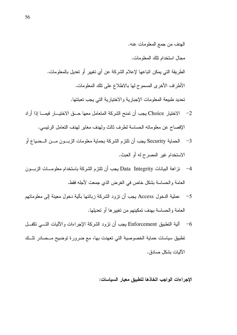الـهدف من جمع المعلومات عنه. مجال استخدام نلك المعلومات. الطريقة التي يمكن اتباعها لإعلام الشركة عن أي تغيير أو تعديل بالمعلومات. الأطر اف الأخر ي المسموح لمها بالاطلاع على نلك المعلومات. تحديد طبيعة المعلومات الإجبارية والاختيارية التي يجب تعبئتها.

- 2− الاختيار Choice يجب أن تمنح الشركة المتعامل معها حـــق الاختيـــار فيمـــا إذا أراد الإفصاح عن معلوماته الحساسة لطرف ثالث ولهدف مغاير لهدف التعامل الرئيسي.
- 3− الحماية Security يجب أن تلتزم الشركة بحماية معلومات الزبـــون مـــن الـــضياع أو الاستخدام غير المصرح له أو العبث.
- 4– نزاهة البيانات Data Integrity يجب أن تلتزم الشركة باستخدام معلومـــات الزبـــون العامة والحساسة بشكل خاص في الغرض الذي جمعت لأجله فقط.
- 5− عملية الدخول Access يجب أن نزود الشركة زبائنها بآلية دخول معينة إلى معلوماتهم العامة والحساسة بهدف تمكينهم من تغيير ها أو تعديلها.
- 6− ألية النطبيق Enforcement يجب أن نزود الشركة الإجراءات والآليات النسـي نكفـــل تطبيق سياسات حماية الخصوصية التي تعهدت بها، مع ضرورة توضيح مــصادر تلــك الآلبات بشكل صادق.

الإجراءات الواجب اتخاذها لتطبيق معيار السياسات: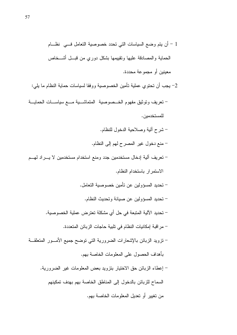- 1 أن يتم وضع السياسات التي تحدد خصوصية التعامل فسي نظــام الحماية والمصادقة عليها ونقييمها بشكل دورى من قبـــل أشـــخاص معبنين أو مجموعة محددة.
- 2– يجب أن نحتوي عملية نأمين الخصوصية ووفقا لسياسات حماية النظام ما يلي:
- تعريف وتوثيق مفهوم الخــصوصية المتماشـــية مـــع سياســـات الحمايـــة للمستخدمين.
- شرح ألية وصلاحية الدخول للنظام. – منع دخول غير المصرح لهم إلى النظام. – تعريف ألية إدخال مستخدمين جدد ومنع استخدام مستخدمين لا يــــراد لمهـــم
	- الاستمرار باستخدام النظام.
	- تحديد المسؤولين عن تأمين خصوصية التعامل.
	- تحديد المسؤولين عن صيانة وتحديث النظام.
	- تحديد الآلية المتبعة في حل أي مشكلة تعترض عملية الخصوصية.
		- مراقبة إمكانيات النظام في تلبية حاجات الزبائن المتعددة.
- نزويد الزبائن بالإشعارات الضرورية التبي نوضح جميع الأمـــور المتعلقـــة بأهداف الحصول على المعلومات الخاصة بهم.
	- إعطاء الزبائن حق الاختيار بتزويد بعض المعلومات غير الضرورية. السماح للزبائن بالدخول إلى المناطق الخاصة بهم بهدف تمكينهم من تغيير أو تعديل المعلومات الخاصة بهم.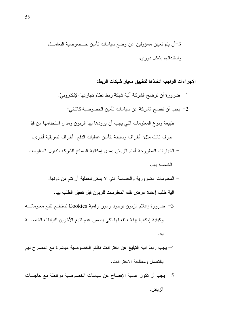3–أن يتم تعيين مسؤولين عن وضع سياسات تأمين خــصوصية التعامـــل واستبدالهم بشكل دوري.

الإجراءات الواجب اتخاذها لتطبيق معيار شبكات الربط:

- 1– ضرورة أن توضح الشركة آلية شبكة ربط نظام تجارتها الإلكترونيّ. 2– يجب أن تفصح الشركة عن سياسات تأمين الخصوصية كالتالي:
- طبيعة ونوع المعلومات النبي يجب أن يزودها بها الزبون ومدى استخدامها من قبل طرف ثالث مثل: أطراف وسبطة بتأمين عمليات الدفع. أطراف نسويقية أخرى.
- الخيارات المطروحة أمام الزبائن بمدى إمكانية السماح للشركة بتداول المعلومات الخاصة بهم.
	- المعلومات الضرورية والحساسة التي لا يمكن للعملية أن نتم من دونها.
		- آلية طلب إعادة عرض نلك المعلومات للزبون قبل تفعيل الطلب بها.
- 3– ضرورة إعلام الزبون بوجود رموز رقمية Cookies تستطيع تتبع معلوماتـــه وكيفية إمكانية إيقاف تفعيلها لكى يضمن عدم تتبع الآخرين للبيانات الخاصسة به.
- 4– يجب ربط آلية التبليغ عن اختراقات نظام الخصوصية مباشرة مع المصرح لهم بالنعامل ومعالجة الاختر اقات.
- 5- يجب أن تكون عملية الإفصاح عن سياسات الخصوصية مرتبطة مع حاجـــات الز بائن.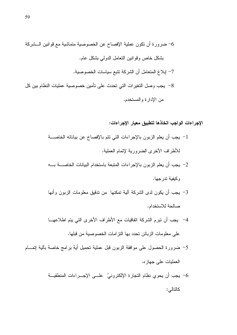الإجراءات الواجب اتخاذها لتطبيق معيار الإجراءات:

- 1– يجب أن يعلم الزبون بالإجراءات التي نتم بالإفصاح عن بياناته الخاصــــة للأطر اف الأخر ي الضرور بة لإتمام العملبة.
- 2– يجب أن يعلم الزبون بالإجراءات المتبعة باستخدام البيانات الخاصــــة بــــه وكيفية تدر جها.
- صالحة للاستخدام.
- 4- يجب أن نبرم الشركة اتفاقيات مع الأطراف الأخرى التي يتم اطلاعهـــا على معلومات الزبائن تحدد بها النزامات الخصوصية من قبلها.
- 5– ضرورة الحصول على موافقة الزبون قبل عملية نحميل أية برامج خاصة بآلية إنمـــام العمليات على جهاز ه.
	- 6- يجب أن يحوي نظام النجارة الإلكترونيّ علــي الإجــراءات المنطقيــة كالتالي: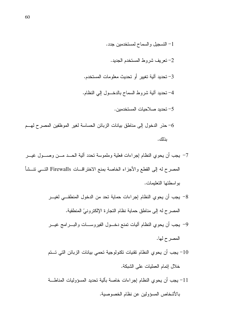1- التسجيل والسماح لمستخدمين جدد. تعريف شروط المستخدم الجديد.  $-2$ 3– تحديد آلية تغيير أو تحديث معلومات المستخدم. 4– تحديد ألية شروط السماح بالدخـــول إلىي النظام. 5– تحديد صلاحيات المستخدمين. خذر الدخول إلى مناطق بيانات الزبائن الحساسة لغير الموظفين المصرح لهــم  $-6$ 

ىذلك.

- 7– يجب أن يحوي النظام إجراءات فعلية وملموسة نحدد ألية الحـــد مـــن وصــــول غيـــر المصرح له إلى القطع والأجزاء الخاصة بمنع الاخترافـــات Firewalls التــــى تتـــشأ بو اسطنها التعليمات.
	- 8- يجب أن يحوي النظام إجراءات حماية تحد من الدخول المنطقــى لغيـــر المصرح له إلى مناطق حماية نظام التجار ة الإلكتر ونيِّ المنطقية.
	- 9- يجب أن يحوى النظام آليات تمنع دخـــول الفيروســــات والبـــــرامج غيــــر المصر ح لها.
	- 10– يجب أن يحوي النظام تقنيات تكنولوجية تحمى بيانات الزبائن التي تـــتم خلال إتمام العمليات على الشبكة.
	- 11- يجب أن يحوي النظام إجراءات خاصة بآلية تحديد المسؤوليات المناطـة بالأشخاص المسؤولين عن نظام الخصوصبة.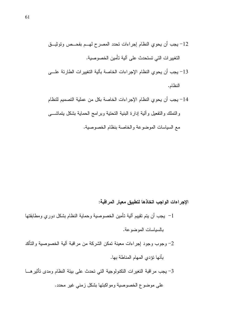- 13– يجب أن يحوى النظام الإجراءات الخاصة بآلية التغييرات الطارئة علـــي النظام.
- 14– يجب أن يحوي النظام الإجراءات الخاصة بكل من عملية التصميم للنظام والنملك والنفعيل وألية إدارة البنية النحنية وبرامج الحماية بشكل يتماشـــي مع السياسات الموضوعة والخاصة بنظام الخصوصية.

الإجراءات الواجب اتخاذها لتطبيق معيار المراقبة:

- 1– يجب أن يتم تقييم ألية تأمين الخصوصية وحماية النظام بشكل دوري ومطابقتها بالسباسات الموضوعة.
- 2– وجوب وجود إجراءات معينة تمكن الشركة من مراقبة آلية الخصوصية والتأكد بأنها نؤدى المهام المناطة بها.
- 3– يجب مر اقبة التغير ات التكنولوجية التي تحدث على بيئة النظام ومدى تأثير هـــا على موضوع الخصوصية ومواكبتها بشكل زمني غير محدد.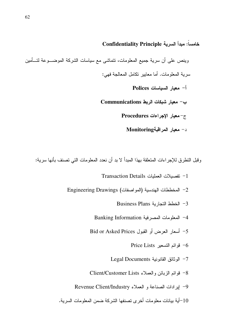# خامساً: مبدأ السرية Confidentiality Principle

وينص على أن سرية جميع المعلومات، نتماشى مع سياسات الشركة الموضـــوعة لتـــأمين سرية المعلومات. أما معايير نكامل المعالجة فهي:

أ- معيار السياسات Polices

ب- معيار شبكات الربط Communications

ج-معيار الإجراءات Procedures

د- معيار المراقبةMonitoring

وقبل التطرق للإجراءات المتعلقة بهذا المبدأ لا بد أن نعدد المعلومات التي تصنف بأنها سرية:

Transaction Details تفصيلات العمليات العمليات

- 2- المخططات الهندسية (المواصفات) Engineering Drawings
	- Business Plans الخطط النجارية
	- 4- المعلومات المصرفية Banking Information
	- 5- أسعار العرض أو القبول Bid or Asked Prices
		- 6- فوائم التسعير Price Lists
		- 7− الوثائق القانونية Legal Documents
	- 8- قوائم الزبائن والعملاء Client/Customer Lists
	- 9- إيرادات الصناعة و العملاء Revenue Client/Industry
- أية بيانات معلومات أخرى تصنفها الشركة ضمن المعلومات السرية. $10$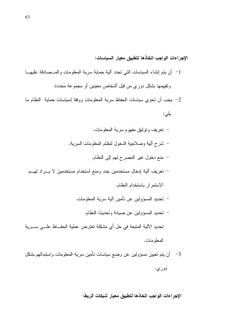الإجراءات الواجب اتخاذها لتطبيق معيار السياسات:

- 1– أن يتم إنشاء السياسات التي تحدد ألية حماية سرية المعلومات والمـــصادقة عليهـــا ونقييمها بشكل دوري من قبل أشخاص معينين أو مجموعة محددة.
- 2– يجب أن نحوي سياسات الحفاظ سرية المعلومات ووفقا لسياسات حماية النظام ما يلى:
- تعريف وتوثيق مفهوم سرية المعلومات. – شرح ألية وصلاحية الدخول لنظام المعلومات السرية. – منع دخول غير المصرح لهم إلى النظام. – تعريف آلية إدخال مستخدمين جدد ومنع استخدام مستخدمين لا يــــراد لهــــم الاستمرار باستخدام النظام. – تحديد المسؤولين عن تأمين آلية سرية المعلومات. – تحديد المسؤولين عن صيانة وتحديث النظام. تحديد الآلية المتبعة في حل أي مشكلة تعترض عملية الحفاظ علـــي ســـرية

المعلو مات.

3− أن يتم نعيين مسؤولين عن وضع سياسات نأمين سرية المعلومات واستبدالهم بشكل دوري.

الإجراءات الواجب اتخاذها لتطبيق معيار شبكات الربط: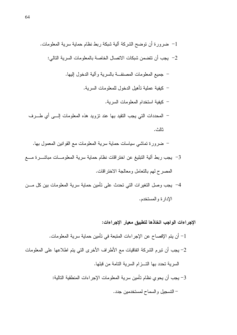– ضرورة تماشي سياسات حماية سرية المعلومات مع القوانين المعمول بها.

- 3− يجب ربط ألية التبليغ عن اختراقات نظام حماية سرية المعلومـــات مباشــــرة مــــع المصرح لهم بالتعامل ومعالجة الاختراقات.
- 4- يجب وصل التغيرات التي تحدث على تأمين حماية سرية المعلومات بين كل مـــن الإدارة والمستخدم.

الإجراءات الواجب اتخاذها لتطبيق معيار الإجراءات: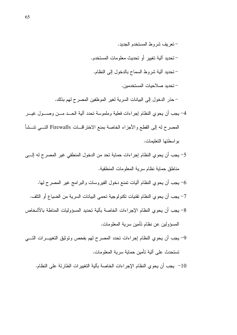- –تعريف شروط المستخدم الجديد. -تحديد آلية تغيير أو تحديث معلومات المستخدم. – تحديد آلية شر وط السماح بالدخول إلى النظام. – تحديد صلاحيات المستخدمين. – حذر الدخول إلى البيانات السرية لغير الموظفين المصرح لهم بذلك.
- 4– يجب أن يحوي النظام إجراءات فعلية وملموسة نحدد ألية الحـــد مـــن وصــــول غيـــر المصرح له إلى القطع والأجزاء الخاصة بمنع الاخترافـــات Firewalls التــــي تتـــشأ بو اسطتها التعليمات.
- 5– يجب أن يحوى النظام إجراءات حماية تحد من الدخول المنطقي غير المصرح له إلـــي مناطق حماية نظام سرية المعلومات المنطقية.
	- يجب أن يحوى النظام آليات تمنع دخول الفير وسات والبر امج غير المصرح لها.  $\sim$
	- 7– يجب أن يحوي النظام تقنيات تكنولوجية تحمي البيانات السرية من الضياع أو النلف.
- 8– يجب أن يحوى النظام الإجراءات الخاصة بآلية تحديد المسؤوليات المناطة بالأشخاص المسؤولين عن نظام نأمين سرية المعلومات.
- 9– يجب أن يحوى النظام إجراءات تحدد المصرح لهم بفحص وتوثيق التغييـــرات التــــي تستحدث على آلبة تأمين حماية سر بة المعلومات.
	- 10 يجب أن يحوى النظام الإجراءات الخاصة بآلية التغييرات الطارئة على النظام.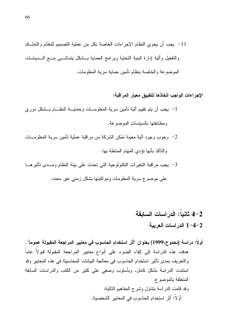الإجراءات الواجب اتخاذها لتطبيق معيار المراقبة:

- 1– يجب أن يتم تقييم آلية تأمين سرية المعلومـــات وحمايــــة النظــــام بـــشكل دوري ومطابقتها بالسياسات الموضوعة.
- 2– وجوب وجود آلية معينة تمكن الشركة من مر اقبة عملية تأمين سرية المعلومـــات والتأكد بأنها نؤدي المهام المناطة بها.
- 3− يجب مراقبة التغيرات التكنولوجية التي تحدث على بيئة النظام ومــدى نأثيرهـــا على موضوع سرية المعلومات ومواكبتها بشكل زمني غير محدد.
	- 4–2 ثانياً: الدر اسات السابقة 1-4-2 الدر اسات العربية

أولاً: دراسة (دحدوح،1999) بعنوان "أثر استخدام الحاسوب في معايير المراجعة المقبولة عموماً". هدفت هذه الدراسة إلى إلقاء الضوء على أنواع معايير المراجعة المقبولة قبولاً عاماً والتعريف بمدى نأثير استخدام الحاسوب في معالجة البيانات المحاسبيّة في هذه المعايير وقد استندت الدراسة بشكل كامل، وبأسلوب وصفى على كثير من الكتب والدراسات السابقة المتعلقة بالموضوع. وقد قامت الدراسة بتناول وشرح المفاهيم النالية: أو لاً: أثر استخدام الحاسوب في المعابير الشخصية.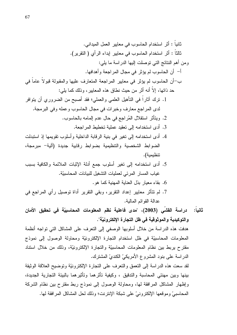- 5. أدى استخدامه إلى نغير أسلوب جمع أدلة الإثبات الملائمة والك غياب المسار المرئي لعمليات التشغيل للبيانات المحاسبيّة.
	- 6. بقاء معيار بذل العناية المهنية كما هو.
- 7. لم نتأثَّر معايير إعداد النقرير، وبقي النقرير أداة نوصيل رأي المراجع في عدالة القوائم المالية.
- ثانياً: دراسة القشَّى (2003)، "مدى فاعلية نظم المعلومات المحاسبيّة في تحقيق الأمان والتوكيدية والموثوقية في ظل التجارة الإلكترونيّة".

هدفت هذه الدراسة من خلال أسلوبها الوصفى إلى النعرف على المشاكل النبي نواجه أنظمة المعلومات المحاسبيّة في ظل استخدام التجارة الإلكترونيّة ومحاولة الوصول إلى نموذج مقترح بربط بين نظام المعلومات المحاسبيّة والنجارة الإلكترونيّة، وذلك من خلال استناد الدراسة على بنود المشروع الأمريكيّ الكنديّ المشترك.

لقد سعت هذه الدراسة إلى النعمق والنعرف على النجارة الإلكترونيّة وتوضيح العلاقة الوثيقة بينها وبين مهنتي المحاسبة والتدقيق ، وكيفية تأثرهما وتأثيرهما بالبيئة التجارية الجديدة، وإظهار المشاكل المرافقة لها، ومحاولة الوصول إلى نموذج ربط مقترح بين نظام الشركة المحاسبيِّ وموقعها الإلكتر ونيِّ على شبكة الإنتر نت؛ وذلك لحل المشاكل المر افقة لها.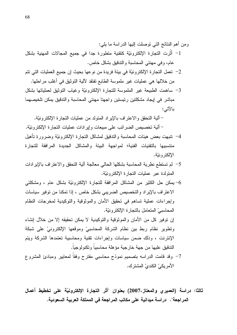# ومن أهم النتائج التي نوصلت إليها الدراسة ما يلي: 1– أَثْرِت التجارة الإلكترونيّة كتقنية متطورة جدا في جميع المجالات المهنية بشكل عام، وفي مهنتي المحاسبة والندفيق بشكل خاص.

- 2– نعمل النجارة الإلكترونيّة في بيئة فريدة من نوعها بحيث إن جميع العمليات التي نتم من خلالها هي عمليات غير ملموسة الطابع تفتقد لآلية التوثيق في أغلب مراحلها.
- 3– ساهمت الطبيعة غير الملموسة للتجارة الإلكترونيّة وغياب التوثيق لعملياتها بشكل مباشر في إيجاد مشكلتين رئيستين واجهتا مهنتي المحاسبة والتدقيق بمكن تلخيصهما بالآتي:

– ألية النحقق والاعتراف بالإيراد المتولد من عمليات النجارة الإلكترونيّة.

– ألية تخصيص الضرائب على مبيعات وإيرادات عمليات التجارة الإلكترونيّة.

- 4– نتبهت بعض هيئات المحاسبة والندقيق لمشاكل النجارة الإلكترونيّة وضرورة نأهيل منتسببها بالتقنبات الفنبة؛ لمواجهة الببئة والمشاكل الجدبدة المرافقة للتجارة الالكتر ونبّة.
- 5– لم تستطع نظرية المحاسبة بشكلها الحالي معالجة آلية التحقق والاعتراف بالإيرادات المنولدة عبر عمليات النجار ة الإلكتر ونبّة.
- يمكن حل الكثير من المشاكل المرافقة للتجارة الإلكترونيّة بشكل عام ، ومشكلتي  $-6$ الاعتراف بالإيراد والتخصيص الضريبي بشكل خاص ، إذا تمكنا من توفير سياسات وإجراءات عملية تساهم في تحقيق الأمان والموثوقية والتوكيدية لمخرجات النظام المحاسبيِّ المتعامل بالتجارة الإلكترونيّة. إن نوفير كل من الأمان والموثوقية والتوكيدية لا يمكن تحقيقه إلا من خلال إنشاء

ونطوير نظام ربط بين نظام الشركة المحاسبيّ وموقعها الإلكترونيّ على شبكة الإنترنت ، وذلك ضمن سياسات وإجراءات نقنية ومحاسبية تعتمدها الشركة ويتم الندقيق عليها من جهة خارجية مؤهلة محاسبياً ونكنولوجياً.

7– وقد قامت الدراسه بتصميم نموذج محاسبي مقترح وفقاً لمعايير ومبادئ المشروع الأمريكيّ الكنديّ المشترك.

ثالثا: دراسة (العميرى والمعتاز،2007) بعنوان "أثر التجارة الإلكترونيّة على تخطيط أعمال المراجعة". دراسة ميدانية على مكاتب المراجعة في المملكة العربية السعودية.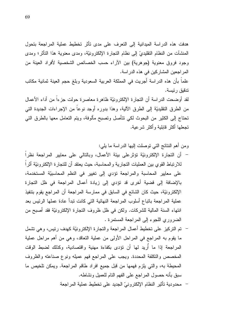هدفت هذه الدراسة الميدانية إلى التعرف على مدى تأثر تخطيط عملية المراجعة بتحول المنشآت من النظام النقليديِّ إلى نظام النجارة الإلكترونيَّة، ومدى معنوية هذا النَّاثر؛ ومدى وجود فروق معنوية (جوهرية) بين الأراء حسب الخصائص الشخصية لأفراد العينة من المراجعين المشاركين في هذه الدراسة.

علماً بأن هذه الدراسة أجريت في المملكة العربية السعودية وبلغ حجم العينة ثمانية مكاتب تدقيق رئيسة.

لقد أوضحت الدراسة أن النجارة الإلكترونيّة ظاهرة معاصرة حولت جزءاً من أداء الأعمال من الطرق التقليديَّة إلى الطرق الألية، وهذا بدوره أوجد نوعاً من الإجراءات الجديدة التي تحتاج إلىي الكثير من البحوث لكي نتأصل ونصبح مألوفة، ويتم النعامل معها بالطرق التي تجعلها أكثر فابلية وأكثر شرعية.

ومن أهم النتائج التي نوصلت إليها الدراسة ما يلي:

- أن التجارة الإلكترونيّة تؤثّرعلى بيئة الأعمال، وبالتالي على معايير المراجعة نظراً للارتباط القوى بين العمليات التجارية والمحاسبة، حيث يعتقد أن للتجارة الإلكترونيّة أثراً على معايير المحاسبة والمراجعة تؤدى إلى تغيير في النظم المحاسبيّة المستخدمة، بالإضافة إلى قضية أخرى قد نؤدي إلى زيادة أعمال المراجعة في ظل التجارة الإلكترونيَّة، حيث كان الشائع في السابق في ممارسة المراجعة أن المراجع يقوم بتتفيذ عملية المراجعة باتباع أسلوب المراجعة النهائية التي كانت نبدأ عادة عملها الرئيس بعد انتهاء السنة المالية للشركات. ولكن في ظل ظروف التجارة الإلكترونيّة فقد أصبح من الضروري اللجوء إلى المراجعة المستمرة .
- تم النركيز على تخطيط أعمال المراجعة والنجارة الإلكترونيّة كهدف رئيس، وهي تشمل ما يقوم به المراجع في المراحل الأولى من عملية النعاقد، وهي من أهم مراحل عملية المراجعة إذا ما أريد لها أن تؤدى بكفاءة مهنية واقتصادية، وكذلك لضبط الوقت المخصص والنكلفة المحددة. ويجب على المراجع فهم عميله ونوع صناعته والظروف المحيطة به، والتي يلزم فهمها من قبل جميع افراد طاقم المراجعة. ويمكن تلخيص ما سبق بأنه حصول المراجع على الفهم النام للعميل ونشاطه.

محدودية تأثير النظام الإلكترونيّ الجديد على تخطيط عملية المراجعة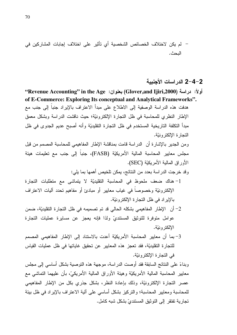– لم يكن لاختلاف الخصائص الشخصية أي تأثير على اختلاف إجابات المشاركين في البحث.

# 2–4–2 الدر اسات الأجنبية

أولاً: دراسة (Glover,and Ijiri,2000) بعثوان: Revenue Accounting" in the Age'' of E-Commerce: Exploring Its conceptual and Analytical Frameworks". هدفت هذه الدراسة الوصفية إلى الاطلاع على مبدأ الاعتراف بالإيراد جنبا إلى جنب مع الإطار النظري للمحاسبة في ظل التجارة الإلكترونيّة؛ حيث ناقشت الدراسة وبشكل معمق مبدأ التكلفة التاريخية المستخدم في ظل التجارة التقليديّة وأنه أصبح عديم الجدوى في ظل النجارة الإلكترونيّة.

ومن الجدير بالإشارة أن الدراسة قامت بمناقشة الإطار المفاهيمي للمحاسبة المصمم من قبل مجلس معايير المحاسبة المالية الأمريكيّة (FASB)، جنباً إلى جنب مع تعليمات هيئة الأوراق المالية الأمريكيّة (SEC).

- وقد خرجت الدر اسة بعدد من النتائج، يمكن تلخيص أهمها بما يلي:
- 1- هناك ضعف ملحوظ في المحاسبة النقليديّة لا يتماشى مع متطلبات التجارة الإلكترونيّة وخصوصاً في غياب معايير أو مبادئ أو مفاهيم تحدد آليات الاعتراف بالإير اد في ظل التجار ة الإلكتر ونيّة.
- 2– أن الإطار المفاهيمي بشكله الحالي قد تم تصميمه في ظل التجارة التقليديّة، ضمن عوامل متوفرة للتوثيق المستنديّ ولذا فإنه يعجز عن مسايرة عمليات النجارة الالكتر ونبّة.
- 3– بما أن معايير المحاسبة الأمريكيّة أعدت بالاستناد إلى الإطار المفاهيمي المصمم للتجار ة التقليديّة، فقد تعجز هذه المعايير عن تحقيق غاياتها في ظل عمليات القياس في النجار ة الإلكتر ونبّة.

وبِناءً على النتائج السابقة فقد أوصت الدراسة، موجهة هذه التوصية بشكل أساسي إلى مجلس معايير المحاسبة المالية الأمريكيَّة وهيئة الأوراق المالية الأمريكيِّ، بأن عليهما التماشي مع عصر التجارة الإلكترونيَّة، وذلك بإعادة النظر، بشكل جذري بكل من الإطار المفاهيمي للمحاسبة ومعايير المحاسبة؛ والنركيز بشكل أساسي على ألية الاعتراف بالإيراد في ظل بيئة تجار ية تفتقر "إلى النو ثبق المستنديّ بشكل شبه كامل.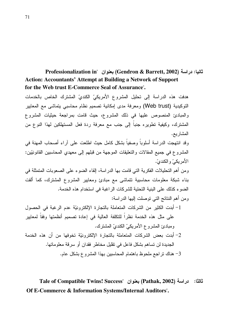# **Professionalization in" بعنوان (Gendron & Barrett, 2002) البعنوان Action: Accountants' Attempt at Building a Network of Support for the Web trust E-Commerce Seal of Assurance**"**.**

هدفت هذه الدراسة إلى تحليل المشروع الأمريكيّ الكنديّ المشترك الخاص بالخدمات التوكيدية (Web trust) ومعرفة مدى إمكانية تصميم نظام محاسبي يتماشى مع المعايير والمبادئ المنصوص عليها في ذلك المشروع، حيث قامت بمراجعة حيثيات المشروع المشترك، وكيفية نطويره جنبا إلى جنب مع معرفة ردة فعل المستهلكين لمهذا النوع من المشاريع.

وقد انتهجت الدراسة أسلوبا وصفيا بشكل كامل حيث اطلعت على اراء أصحاب المهنة في المشروع في جميع المقالات والتعليقات الموجهة من قبلهم إلى معهدي المحاسبين القانونيّين: الأمريكيّ والكنديّ.

ومن أهم التحليلات الفكرية التي قامت بها الدراسة، إلقاء الضوء على الصعوبات المتمثلة في بناء شبكة معلومات محاسبية نتماشى مع مبادئ ومعايير المشروع المشترك، كما ألقت الضوء كذلك على البنية التحتية للشركات الراغبة في استخدام هذه الخدمة.

- ومن أهم النتائج التي توصلت إليها الدراسة:
- 1- أبدت الكثير من الشركات المتعاملة بالتجارة الإلكترونيّة عدم الرغبة في الحصول على مثل هذه الخدمة نظرًا للنكلفة العالية في إعادة تصميم أنظمتها وفقا لمعايير ومبادئ المشروع الأمريكيّ الكنديّ المشترك.
- 2– أبدت بعض الشركات المتعاملة بالتجارة الإلكترونيّة تخوفها من أن هذه الخدمة الجديدة لن تساهم بشكل فاعل في تقليل مخاطر فقدان أو سرقة معلوماتها. 3– هناك نراجع ملحوظ باهتمام المحاسبين بهذا المشروع بشكل عام.

 $T$ ale of Compatible Twins! Success" بعنوان "Pathak, 2002) بعنوان  **Of E-Commerce & Information Systems/Internal Auditors**"**.**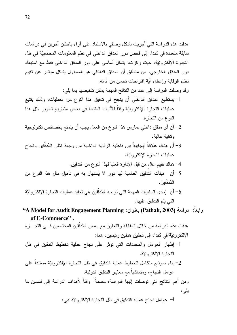هدفت هذه الدراسة التي أجريت بشكل وصفى بالاستناد على آراء باحثين آخرين في دراسات سابقة متعددة في كندا، إلى فحص دور المدقق الداخلي في نظم المعلومات المحاسبيّة في ظل النجارة الإلكترونيّة، حيث ركزت، بشكل أساسي على دور المدقق الداخلي فقط مع استبعاد دور المدفق الخارجي، من منطلق أن المدفق الداخلي هو المسؤول بشكل مباشر عن تقييم نظام الرقابة وإعطاء أية اقتر احات تحسن من أدائه.

وقد وصلت الدراسة إلى عدد من النتائج المهمة بمكن تلخيصها بما يلي:

- 1- يستطيع المدقق الداخلي أن ينجح في ندقيق هذا النوع من العمليات، وذلك بتتبع عمليات النجارة الإلكترونيّة وفقاً للأليات المتبعة في بعض مشاريع نطوير مثل هذا النوع من التجارة.
- 2– أن أي مدقق داخلي يمارس هذا النو ع من العمل يجب أن يتمتع بخصائص تكنولوجية وتقنية عالية.
- 3– أن هناك علاقةُ إيجابيةُ بين فاعلية الرقابة الداخلية من وجهة نظر المُدقَقين ونجاح عمليات التجار ة الإلكتر ونبّة.
	- 4– هناك نفهم عال من قبل الإدار ة العليا لهذا النوع من التدقيق.
- 5– أن هيئات التدقيق العالمية لها دور لا يُستهان به في تأهيل مثل هذا النوع من المُدقّقين .
- التي يتم التدقيق عليها.
- ن ابعا: در اسة (Pathak, 2003) بعنوان: A Model for Audit Engagement Planning' of E-Commerce".

هدفت هذه الدراسة من خلال المقابلة والنعاون مع بعض المُدققين المختصبين فسي النجـــارة الإلكترونيّة في كندا، إلى تحقيق هدفين رئيسين، هما: 1- إظهار العوامل والمحددات التي تؤثر على نجاح عملية تخطيط التدقيق في ظل التجار ة الإلكتر ونيّة. 2– بناء نموذج متكامل لتخطيط عملية التدقيق في ظل التجار ة الإلكتر ونبّة مستنداً على عوامل النجاح، ومتماشياً مع معايير الندفيق الدولية. ومن أهم النتائج التي توصلت إليها الدراسة، مقسمةً وفقاً لأهداف الدراسة إلى قسمين ما يلي: أ– عو امل نجاح عملية الندقيق في ظل التجار ة الإلكتر و نيّة هي: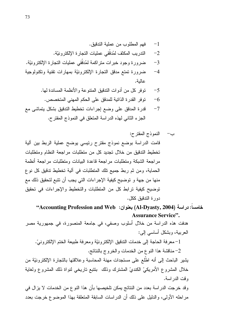.+ 
 , Q & 81 . A (
> D 
 , "9-+P IL( Q 82 . A (
> D 
 , "9-+P (  D7 83 
(  9 & A (
> D 
 + 2 D7 84 .
,

.&
 D ' , + 
  J(  85

$$
-6
$$
 توفر القدرة الناتية للمدقق على الحكم المهني المتخصص.

 2 B J( + 
 6\* 27 B, + D+ 87 .K 9 R4 " 
 34&
 "L
 6

ب– النموذج المقترح: قامت الدراسة بوضع نموذج مقترح رئيسي يوضح عملية الربط بين الية تخطيط التدقيق من خلال تجديد كل من متطلبات مراجعة النظام ومتطلبات مراجعة الشبكة ومنطلبات مراجعة قاعدة البيانات ومنطلبات مراجعة أنظمة الحماية، ومن ثم ربط جميع نلك المنطلبات في الية تخطيط ندقيق كل نوع منها من جهة و توضيح كيفية الإجراءات التي يجب أن نتبع لتحقيق ذلك مع توضيح كيفية نرابط كل من المتطلبات والتخطيط والإجراءات في تحقيق دور ة الندقيق ككل.

**"Accounting Profession and Web** :! \$ (**Al-Dyasty, 2004**) : - **Assurance Service".**

هدفت هذه الدراسة من خلال أسلوب وصفي، في جامعة المنصورة، في جمهورية مصر العربية، وبشكل أساسبي إلى:

1– معرفة الحاجة إلى خدمات التدقيق الإلكترونيّة ومعرفة طبيعة الختم الإلكترونيّ. 2–مناقشة هذا النوع من الخدمات والخروج بالنتائج.

يثمبير الباحث إلى أنه اطلع على مستجدات مهنة المحاسبة وعلاقتها بالتجارة الإلكترونيّة من خلال المشروع الأمريكيّ الكنديّ المشترك وذلك بتتبع ناريخي لنواة ذلك المشروع ولغاية وقت الدر اسة.

وقد خرجت الدراسة بعدد من النتائج يمكن تلخيصها بأن هذا النوع من الخدمات لا يزال في مراحله الأولى، والدليل على ذلك أن الدراسات السابقة المتعلقة بهذا الموضوع خرجت بعدد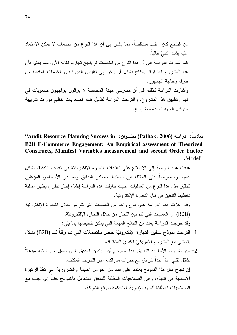,/ ( / S
 45 B
\* )7+ &M ( V% 
 . )
 A"( J( E, Z " ` W
 ) b 
 S
 45 B
\* 
 ( 9 DO
 H9 B
\* \  J( R < S 45 . &  E " : & 
 / & " B
\* <
4( 
   ' :
 < J
4 

 + .S 45  & . S D &
 J+

74

**"Audit Resource Planning Success in** : !6 \$ (**Pathak, 2006**) : - **B2B E-Commerce Engagement: An Empirical assessment of Theorized Constructs, Manifest Variables measurement and second Order Factor** .Model"

 J( + 
 9 " A (
> D 
 9 B, SC / B
\* 
 345 5 5. H :  + 
 : +C
 B, ):: . , , &' ;' \* 6\* 
 345 
 - . S
 45 JL + . A (
> D 
 J' " + 
 A (
> D 
 JC " 
  S B, 
 345 ( + . A (
> D 
 JC 
 " 
 ; (B2B) : " &: ( " 
 & V% 

 + J( (B2B) \$g
 )9 " 
 C 
 H A (
> D 
 + 
 R4 + 81 . < A;( A"( S 2 B )C5. E
C J ;4
 + ( R4 45 
 
 82 .IL( Q 
 , ( 2 ) vJ, "9 J( D(
 ]^\_ " 
 7
 & J 
 , B, R4 45 JL K \* 2 Q B
\* ) R4 J + 9 C:
 "5 34O "

الصلاحيات المطلقة للجهة الإدارية المتحكمة بموقع الشركة.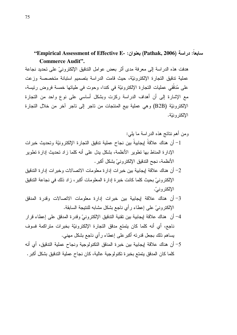سابعاً: دراسة (Pathak, 2006) بعنوان: -Empirical Assessment of Effective E-' **Commerce Audit''.** 

هدفت هذه الدراسة إلى معرفة مدى أثر بعض عوامل التدقيق الإلكترونيّ على تحديد نجاعة عملية تدقيق التجارة الإلكترونيّة، حيث قامت الدراسة بتصميم استبانة متخصصة وزعت على مُدقَّقى عمليات التجارة الإلكترونيَّة في كندا، وحوت في طياتها خمسة فروض رئيسة، مع الإشارة إلى أن أهداف الدراسة ركزت وبشكل أساسى على نوع واحد من التجارة الإلكترونيّة (B2B) وهي عملية بيع المنتجات من تاجر إلى تاجر آخر من خلال التجارة الالكتر ونتة.

ومن أهم نتائج هذه الدر اسة ما يلي:

- 1- أن هناك علاقةً إيجابيةً بين نجاح عملية تدقيق التجارة الإلكترونيّة وتحديث خبرات الإدارة المناط بها تطوير الأنظمة، بشكل يدل على أنه كلما زاد تحديث إدارة تطوير الأنظمة، نجح الندقيق الإلكتر ونيّ بشكل أكبر .
- 2– أن هناك علاقة إيجابية بين خبرات إدارة معلومات الاتصالات وخبرات إدارة التدقيق الإلكترونيِّ بحيث كلما كانت خبرة إدارة المعلومات أكبر ، زاد ذلك في نجاعة التدقيق الإلكتر ونبٍّ.
- 3- أن هناك علاقة إيجابية بين خبرات إدارة معلومات الاتصالات وقدرة المدقق الإلكترونيّ على إعطاء رأي ناجع بشكل مشابه للنتيجة السابقة.
- 4– أن هناك علاقة إيجابية بين تقنية التدقيق الإلكترونيّ وقدرة المدقق على إعطاء قرار ناجع، أي أنه كلما كان يتمتع مدقق التجارة الإلكترونيّة بخبرات متراكمة فسوف يساهم ذلك بجعل قدرته أكبرعلى إعطاء رأي ناجع بشكل مهنى.
- 5– أن هناك علاقة إيجابية بين خبرة المدقق التكنولوجية ونجاح عملية التدقيق، أي أنه كلما كان المدقق يتمتع بخبر ة تكنولوجية عالية، كان نجاح عملية التدقيق بشكل أكبر .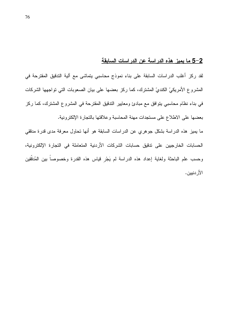#### <u>2–5 ما يميز. هذه الدراسة عن الدراسات السابقة </u>

لقد ركز أغلب الدراسات السابقة على بناء نموذج محاسبي يتماشى مع آلية التدقيق المقترحة في المشروع الأمريكيّ الكنديّ المشترك، كما ركز بعضها على بيان الصعوبات التي تواجهها الشركات في بناء نظام محاسبي يتوافق مع مبادئ ومعايير الندقيق المقترحة في المشروع المشترك، كما ركز بعضها على الاطلاع على مستجدات مهنة المحاسبة وعلاقتها بالتجارة الإلكترونية.

ما يميز هذه الدراسة بشكل جوهري عن الدراسات السابقة هو أنها تحاول معرفة مدى قدرة مدققي الحسابات الخارجيين على تدقيق حسابات الشركات الأردنية المتعاملة في التجارة الإلكترونية، وحسب علم الباحثة ولغاية إعداد هذه الدراسة لم يَجْر قياس هذه القدرة وخصوصاً بين المُدقَقين الأر دنبين.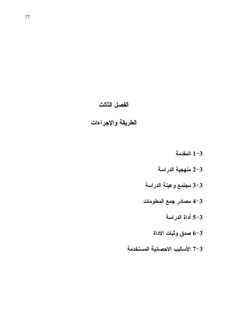# الفصل الثالث

# الطريقة والإجراءات

- $1 3$ المقدمة
- 3–2 منهجية الدراسة
- 3-3 مجتمع وعينة الدراسة
- 4-3 مصادر جمع المعلومات
	- 3-5 أداة الدراسة
	- 3–6 صدق وثبات الاداة
- 7-3 الأساليب الاحصائية المستخدمة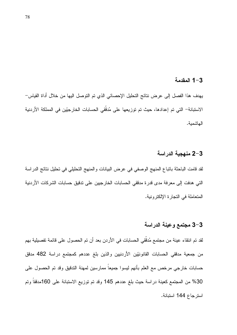#### 1-3 المقدمة

يهدف هذا الفصل إلى عرض نتائج التحليل الإحصائي الذي تم التوصل اليها من خلال أداة القياس– الاستبانة— التي تم إعدادها، حيث تم توزيعها على مُدقِّقي الحسابات الخارجيِّين في المملكة الأردنية الهاشمبة.

## 3–2 منهجية الدراسة

لقد قامت الباحثة باتباع المنهج الوصفي في عرض البيانات والمنهج التحليلي في تحليل نتائج الدراسة التي هدفت إلى معرفة مدى قدرة مدققي الحسابات الخارجيين على ندقيق حسابات الشركات الأردنية المتعاملة في التجارة الإلكترونية.

# 3–3 مجتمع وعينة الدراسة

لقد تم انتقاء عينة من مجتمع مُدقَّقي الحسابات في الأردن بعد أن تم الحصول على قائمة تفصيلية بهم من جمعية مدققي الحسابات القانونيّين الأردنيين والذين بلغ عددهم كمجتمع دراسة 482 مدقق حسابات خارجي مرخص مع العلم بأنهم ليسوا جميعاً ممارسين لمهنة التدقيق وقد تم الحصول على 30% من المجتمع كعينة دراسة حيث بلغ عددهم 145 وقد تم توزيع الاستبانة على 160مدققاً وتم استر جاع 144 استبانة.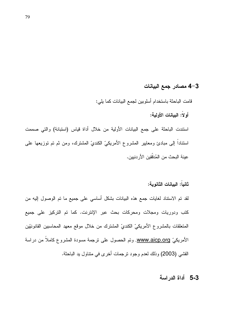# 4-3 مصادر جمع البيانات

قامت الباحثة باستخدام أسلوبين لجمع البيانات كما يلي: أو لا: البيانات الأولية:

استندت الباحثة على جمع البيانات الأولية من خلال أداة قياس (استبانة) والتي صممت استناداً إلى مبادئ ومعايير المشروع الأمريكيّ الكنديّ المشترك، ومن ثم تم توزيعها على عينة البحث من المُدقَّقين الأردنيين.

#### ثانياً: البيانات الثانوية:

لقد تم الاستناد لغايات جمع هذه البيانات بشكل أساسي على جميع ما تم الوصول إليه من كتب ودوريات ومجلات ومحركات بحث عبر الإنترنت. كما تم التركيز على جميع المتعلقات بالمشروع الأمريكيّ الكنديّ المشترك من خلال موقع معهد المحاسبين القانونيّين الأمريكيّ <u>www.aicp.org.</u> وتم الحصول على ترجمة مسودة المشروع كاملاً من دراسة القشي (2003) وذلك لعدم وجود نرجمات أخرى في منتاول يد الباحثة.

5-3 أداة الدراسة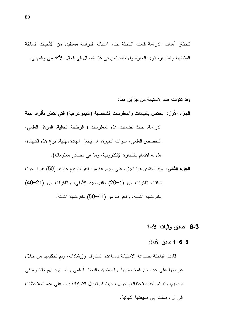لتحقيق أهداف الدراسة قامت الباحثة ببناء استبانة الدراسة مستفيدة من الأدبيات السابقة المشابهة واستشارة ذوي الخبرة والاختصاص في هذا المجال في الحقل الأكاديمي والمهنى.

وقد تكونت هذه الاستبانة من جزأين هما: **الجزء الأول:** يختص بالبيانات والمعلومات الشخصية (الديموغرافية) التي نتعلق بأفراد عينة الدراسة، حيث تضمنت هذه المعلومات ( الوظيفة الحالية، المؤهل العلمي، التخصص العلمي، سنوات الخبرة، هل يحمل شهادة مهنية، نوع هذه الشهادة، هل له اهتمام بالتجارة الإلكترونية، وما هي مصادر معلوماته).

الجزء الثاني: وقد احتوى هذا الجزء على مجموعة من الفقرات بلغ عددها (50) فقرة، حيث نعلقت الفقرات من (1−20) بالفرضية الأولى، والفقرات من (21−40) بالفرضية الثانية، والفقرات من (41–50) بالفرضية الثالثة.

#### 3-6 صدق وثبات الأداة

#### 3−6−3 صدق الأداة:

قامت الباحثة بصياغة الاستبانة بمساعدة المشرف وإرشاداته، وتم تحكيمها من خلال عرضها على عدد من المختصين\* والمهتمين بالبحث العلمي والمشهود لهم بالخبرة في مجالهم، وقد نم أخذ ملاحظاتهم حولها، حيث نم نعديل الاستبانة بناء على هذه الملاحظات إلى أن وصلت إلى صيغتها النهائية.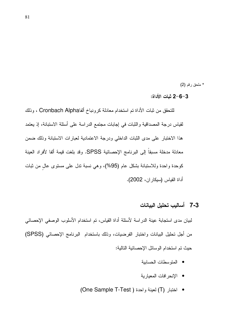\* ملحق رقم (2)

3−6−2 ثبات الأداة:

للتحقق من ثبات الأداة تم استخدام معادلة كرونباخ ألفاCronbach Alpha ، وذلك لقياس درجة المصداقية والثبات في إجابات مجتمع الدراسة على أسئلة الاستبانة، إذ يعتمد هذا الاختبار على مدى الثبات الداخلي ودرجة الاعتمادية لعبارات الاستبانة وذلك ضمن معادلة مدخلة مسبقاً إلى البرنامج الإحصائية SPSS. وقد بلغت قيمة ألفا لأفراد العينة كوحدة واحدة وللاستبانة بشكل عام (95%)، وهي نسبة ندل على مستوى عالٍ من ثبات أداة القياس (سيكاران، 2002).

# 3-7 أساليب تحليل البيانات

لبيان مدى استجابة عينة الدراسة لأسئلة أداة القياس، تم استخدام الأسلوب الوصفي الإحصائي من أجل تحليل البيانات واختبار الفرضيات، وذلك باستخدام البرنامج الإحصائي (SPSS) حيث تم استخدام الوسائل الإحصائية التالية:

- المتوسطات الحسابية
- الإنحر افات المعيارية
- اختبار (T) لعينة واحدة ( One Sample T-Test)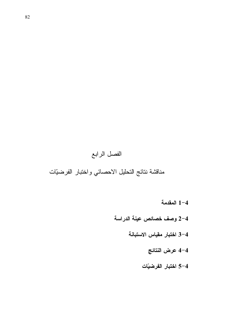الفصل الرابع

مناقشة نتائج التحليل الاحصائي واختبار الفرضيّات

- المقدمة  $1 4$
- 2-4 وصف خصائص عينة الدراسة
	- 3-4 اختبار مقياس الاستبانة
		- 4-4 عرض النتائج
		- 4–5 اختبار الفرضيّات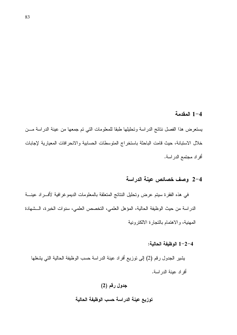#### 1-4 المقدمة

يستعرض هذا الفصل نتائج الدراسة وتحليلها طبقا للمعلومات التي تم جمعها من عينة الدراسة مـــن خلال الاستبانة، حيث قامت الباحثة باستخراج المتوسطات الحسابية والانحرافات المعيارية لإجابات أفراد مجتمع الدراسة.

# 2-4 وصف خصائص عينة الدراسة

في هذه الفقرة سيتم عرض ونحليل النتائج المتعلقة بالمعلومات الديموغرافية لأفسراد عينسة الدراسة من حيث الوظيفة الحالية، المؤهل العلمي، التخصص العلمي، سنوات الخبرة، الــشهادة المهنية، والاهتمام بالتجارة الالكترونية

#### 1-2-4 الوظيفة الحالية:

يشير الجدول رقم (2) إلى نوزيع أفراد عينة الدراسة حسب الوظيفة الحالية التي يشغلها أفر اد عينة الدر اسة.

# جدول رقم (2)

#### توزيع عينة الدراسة حسب الوظيفة الحالية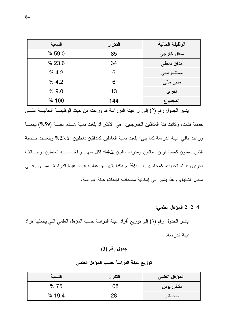| النسبة | التكرار | الوظيفة الحالية |
|--------|---------|-----------------|
| %59.0  | 85      | مدقق خارجي      |
| % 23.6 | 34      | مدقق داخلى      |
| % 4.2  | 6       | مستشارمالي      |
| % 4.2  | 6       | مدیر مالی       |
| %9.0   | 13      | اخر ی           |
| %100   | 144     | المجموع         |

يشير الجدول رقم (2) إلى أن عينة الدرراسة قد وزعت من حيث الوظيفــة الحاليـــة علــــى خمسة فئات، وكانت فئة المدققين الخارجيين هي الاكثر اذ بلغت نسبة هـــذه القئـــة (59%) بينمـــا وزعت باقي عينة الدراسة كما يلي: بلغت نسبة العاملين كمدفقين داخليين 23.6% وبلغــت نــسبة الذين يعملون كمستشارين ماليين ومدراء ماليين 4.2% لكل منهما وبلغت نسبة العاملين بوظــائف اخرى وقد تم تحديدها كمحاسبين بــ 9% ،وهكذا يتبين ان غالبية افراد عينة الدراسة يعملـــون فــــي مجال الندقيق، وهذا يشير الى إمكانية مصداقية اجابات عينة الدراسة.

#### 2-2-4 المؤهل العلمي:

يشير الجدول رقم (3) إلى نوزيع أفراد عينة الدراسة حسب المؤهل العلمي التي يحملها أفراد عينة الدر اسة.

## جدول رقم (3)

| النسبة | التكرار | المؤهل العلمى        |
|--------|---------|----------------------|
| %75    | 108     | ا بكالور <u>ب</u> وس |
| %19.4  | 28      | ماجستير              |

#### توزيع عينة الدراسة حسب المؤهل العلمي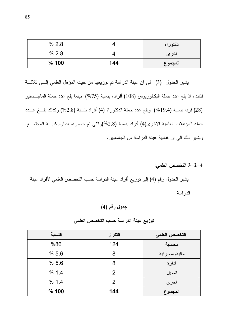| % 2.8 |     | دكتوراه |
|-------|-----|---------|
| % 2.8 |     | اخر ی   |
| %100  | 144 | المجموع |

يشير الجدول (3) الى ان عينة الدراسة تم توزيعها من حيث المؤهل العلمي إلـــى ثلاثـــة فئات، اذ بلغ عدد حملة البكالوريوس (108) أفراد، بنسبة (75%) بينما بلغ عدد حملة الماجــستير (28) فردا بنسبة (19.4%) وبلغ عدد حملة الدكتوراة (4) أفراد بنسبة (2.8%) وكذلك بلـــغ عـــدد حملة المؤهلات العلمية الاخرى(4) أفراد بنسبة (2.8%)والتي تم حصر ها بدبلوم كليـــة المجتمـــع. ويشير ذلك الى ان غالبية عينة الدراسة من الجامعيين.

# 3-2-4 التخصص العلمي:

يشير الجدول رقم (4) إلى نوزيع أفراد عينة الدراسة حسب التخصص العلمي لأفراد عينة الدر اسة.

# جدول رقم (4)

| النسبة | التكرار       | التخصص العلمى |
|--------|---------------|---------------|
| %86    | 124           | محاسبة        |
| %5.6   | 8             | ماليةومصرفية  |
| %5.6   | 8             | ادار ة        |
| % 1.4  | $\mathcal{P}$ | تمويل         |
| % 1.4  | $\mathcal{P}$ | اخر ی         |
| %100   | 144           | المجموع       |

#### توزيع عينة الدراسة حسب التخصص العلمى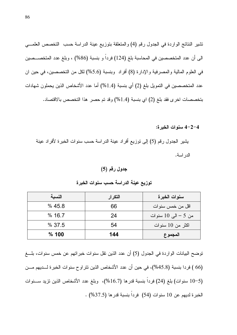نتشير النتائج الواردة في الجدول رقم (4) والمتعلقة بتوزيع عينة الدراسة حسب التخصص العلمـــي الى أن عدد المتخصصين في المحاسبة بلغ (124) فرداً و بنسبة (86%) ، وبلغ عدد المتخصـــصين في العلوم المالية والمصرفية والإدارة (8) أفراد وبنسبة (5.6%) لكل من التخصصين، في حين ان عدد المتخصصين في التمويل بلغ (2) أي بنسبة (1.4%) أما عدد الأشخاص الذين يحملون شهادات بتخصصات اخرى فقد بلغ (2) اي بنسبة (1.4%) وقد تم حصر هذا التخصص بالاقتصاد.

4-2-4 سنو ات الخبر ة:

يشير الجدول رقم (5) إلى توزيع أفراد عينة الدراسة حسب سنوات الخبرة لأفراد عينة الدر اسة.

# جدول رقم (5)

| النسبة | التكرار | سنوات الخبرة        |
|--------|---------|---------------------|
| %45.8  | 66      | اقل من خمس سنوات    |
| %16.7  | 24      | من 5 – الى 10 سنوات |
| % 37.5 | 54      | اكثر من 10 سنوات    |
| %100   | 144     | المجموع             |

توزيع عينة الدراسة حسب سنوات الخبرة

توضح البيانات الواردة في الجدول (5) أن عدد الذين نقل سنوات خبراتهم عن خمس سنوات، بلـــغ (66 ) فردا بنسبة (45.8%)، في حين أن عدد الأشخاص الذين نتر او ح سنوات الخبر ة لـــديهم مـــن (5–10 سنوات) بلغ (24) فرداً بنسبة قدرها (16.7%)، وبلغ عدد الأشخاص الذين نزيد ســنوات الخبرة لديهم عن 10 سنوات (54) فرداً بنسبة قدرها (37.5%) .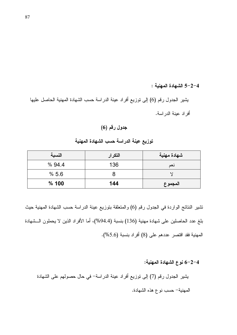الشَّهادة المهنية :  $5\hbox{--}2\hbox{--}4$ 

يشير الجدول رقم (6) إلى نوزيع أفراد عينة الدراسة حسب الشهادة المهنية الحاصل عليها أفراد عينة الدراسة.

جدول رقم (6)

توزيع عينة الدراسة حسب الشهادة المهنية

| النسبة | التكرار | شهادة مهنية |
|--------|---------|-------------|
| %94.4  | 136     | نعد         |
| %5.6   |         |             |
| %100   | 144     | المجموع     |

نشير النتائج الواردة في الجدول رقم (6) والمنعلقة بتوزيع عينة الدراسة حسب الشهادة المهنية حيث بلغ عدد الحاصلين على شهادة مهنية (136) بنسبة (94.4%)، أما الأفراد الذين لا يحملون الـــشهادة المهنية فقد اقتصر عددهم على (8) أفراد بنسبة (5.6%).

#### 6−2−4 نوع الشهادة المهنية:

يشير الجدول رقم (7) إلى نوزيع أفراد عينة الدراسة– في حال حصولهم على الشهادة المهنية– حسب نوع هذه الشهادة.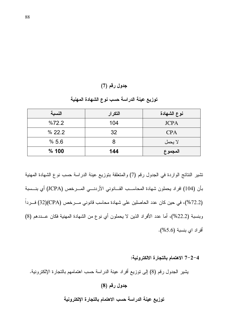|  |  | جدول رقم (7) |
|--|--|--------------|
|--|--|--------------|

#### النسبة نوع الشهادة التكرار  $%72.2$ 104 **JCPA**  $% 22.2$ **CPA** 32  $% 5.6$ 8 لا يحمل

144

توزيع عينة الدراسة حسب نوع الشهادة المهنية

تشير النتائج الواردة في الجدول رقم (7) والمتعلقة بتوزيع عينة الدراسة حسب نوع الشهادة المهنية بأن (104) افراد يحملون شهادة المحاســب القـــانوني الأردنـــي المـــرخص (JCPA) أي بنـــسبة (72.2%)، في حين كان عدد الحاصلين على شهادة محاسب قانوني مـــرخص (CPA)(32) فـــردا وبنسبة (22.2%)، أما عدد الأفراد الذين لا يحملون أي نوع من الشهادة المهنية فكان عـــددهم (8) أفراد اي بنسبة (5.6%).

#### 7-2-4 الاهتمام بالتجارة الالكترونية:

المجموع

يشير الجدول رقم (8) إلى نوزيع أفراد عينة الدراسة حسب اهتمامهم بالتجارة الإلكترونية. جدول رقم (8) توزيع عينة الدراسة حسب الاهتمام بالتجارة الإلكترونية

 $%100$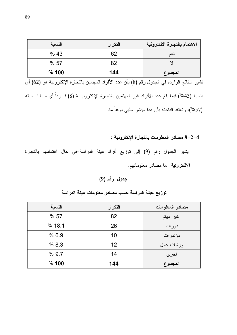| النسبة | التكرار | الاهتمام بالتجارة الالكترونية |
|--------|---------|-------------------------------|
| %43    | 62      | نحد                           |
| %57    | 82      |                               |
| %100   | 144     | المجموع                       |
|        |         |                               |

نتثمير النتائج الواردة في الجدول رقم (8) بأن عدد الأفراد المهتمين بالتجارة الإلكترونية هو (62) أي بنسبة (43%) فيما بلغ عدد الأفراد غير المهتمين بالتجارة الإلكترونيـــة (8) فـــرداً أي مــــا نـــسبته (57%)، وتعتقد الباحثة بأن هذا مؤشر سلبي نوعاً ما.

4–2–8 مصادر المعلومات بالتجارة الإلكترونية :

يشير الجدول رقم (9) إلى توزيع أفراد عينة الدراسة–في حال اهتمامهم بالتجارة الإلكترونية– ما مصادر معلوماتهم.

# جدول رقم (9)

| النسبة | التكرار | مصادر المعلومات |
|--------|---------|-----------------|
| %57    | 82      | غير مهتم        |
| %18.1  | 26      | دو ر ات         |
| %6.9   | 10      | مؤتمرات         |
| % 8.3  | 12      | ورشات عمل       |
| %9.7   | 14      | اخر ی           |
| % 100  | 144     | المجموع         |

توزيع عينة الدراسة حسب مصادر معلومات عينة الدراسة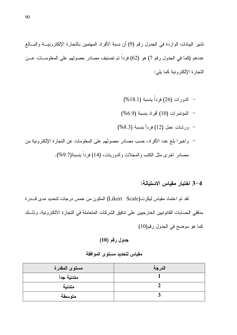نتثنير البيانات الواردة في الجدول رقم (9) أن نسبة الأفراد المهتمين بالتجارة الإلكترونيــــة والبــــالـغ عددهم (كما في الجدول رقم 7) هو (62) فرداً تم تصنيف مصادر حصولهم على المعلومـــات عـــن التجارة الإلكترونية كما يلي:

# 3-4 اختبار مقياس الاستبانة:

لقد تم اعتماد مقياس ليكرت(Likert Scale) المكون من خمس درجات لتحديد مدى قـــدرة مدققي الحسابات القانونيين الخارجيين على ندقيق الشركات المتعاملة في التجارة الالكترونية، وذلــك كما هو موضح في الجدول رقم(10)

| مقياس لتحديد مستو ىالموافقة |  |  |
|-----------------------------|--|--|
|                             |  |  |

| مستوى المقدرة | الدرجة |
|---------------|--------|
| متدنية جدأ    |        |
| متدنية        |        |
| متوسطة        |        |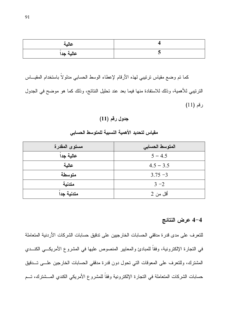| عالية     |  |
|-----------|--|
| عالية جدا |  |

كما نم وضع مقياس نرنيبي لهذه الأرقام لإعطاء الوسط الحسابي مدلولاً باستخدام المقيـــاس الترنيبي للأهمية، وذلك للاستفادة منها فيما بعد عند تحليل النتائج، وذلك كما هو موضح في الجدول رقم (11)

## جدول رقم (11)

| مستوى المقدرة | المتوسط الحسابى |
|---------------|-----------------|
| عالية جداً    | $5 - 4.5$       |
| عالبة         | $4.5 - 3.5$     |
| متوسطة        | $3.75 - 3$      |
| متدنية        | $3 - 2$         |
| متدنية جداً   | أقل من 2        |

مقياس لتحديد الأهمية النسبية للمتوسط الحسابي

# 4-4 عرض النتائج

للتعرف على مدى قدرة مدققي الحسابات الخارجيين على ندقيق حسابات الشركات الأردنية المتعاملة في النجارة الإلكترونية، وفقا للمبادئ والمعايير المنصوص عليها في المشروع الأمريكـــي الكنـــدي المشترك، وللنعرف على المعوفات التي تحول دون قدرة مدققي الحسابات الخارجين علـــي تــدقيق حسابات الشركات المتعاملة في التجارة الإلكترونية وفقاً للمشروع الأمريكي الكندي المـــشترك، تـــم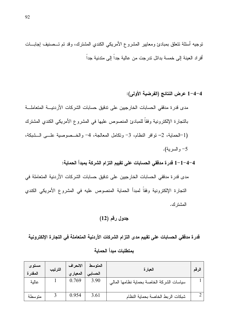نوجيه أسئلة نتعلق بمبادئ ومعايير المشروع الأمريكي الكندي المشنرك، وقد نم تـــصنيف إجابــــات أفراد العينة إلى خمسة بدائل ندرجت من عالية جداً إلى متدنية جداً

4–4–1 عرض النتائج (الفرضية الأولى):

مدى قدرة مدققى الحسابات الخارجيين على ندقيق حسابات الشركات الأردنيـــة المتعاملـــة بالنجارة الإلكترونية وفقاً للمبادئ المنصوص عليها في المشروع الأمريكي الكندى المشترك (1–الحماية، 2– نوافر النظام، 3– وتكامل المعالجة، 4– والخــصوصية علـــى الــشبكة، 5- و السر ية).

4−4−1 −1 قدر ة مدفقي الحسابات على تقييم التزام الشركة بمبدأ الحماية:

مدى قدرة مدققي الحسابات الخارجيين على ندقيق حسابات الشركات الأردنية المتعاملة في النجارة الإلكترونية وفقاً لمبدأ الحماية المنصوص عليه في المشروع الأمريكي الكندى المشترك.

## جدول رقم (12)

قدرة مدققي الحسابات على تقييم مدى التزام الشركات الأردنية المتعاملة في التجارة الإلكترونية بمتطلبات مبدأ الحمابة

| مستوى<br>المقدر ة | الترتيب | الانحراف<br>المعيارى | المتوسط<br>الحسابى | العبارة                                   | الرقم |
|-------------------|---------|----------------------|--------------------|-------------------------------------------|-------|
| عالية             |         | 0.769                | 3.90               | سياسات الشركة الخاصة بحماية نظامها المالى |       |
| متوسطة            |         | 0.954                | 3.61               | شبكات الربط الخاصة بحماية النظام          |       |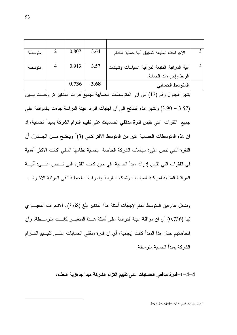| متوسطة |                | 0.807 | 3.64 | الإجراءات المتبعة لتطبيق ألية حماية النظام    |  |
|--------|----------------|-------|------|-----------------------------------------------|--|
| متوسطة | $\overline{4}$ | 0.913 | 3.57 | ألية المراقبة المتبعة لمراقبة السياسات وشبكات |  |
|        |                |       |      | الربط وإجراءات الحماية.                       |  |
|        |                | 0.736 | 3.68 | المتوسط الحسابي                               |  |

يشير الجدول رقم (12) الى ان المتوسطات الحسابية لجميع فقرات المتغير تراوحــت بـــين (3.57 – 3.90) ونَشير هذه النتائج الى ان اجابات افراد عينة الدراسة جاءت بالموافقة على جميع الفقر ات التي تقيس **قدر ة مدققي الحسابات على تقييم التز ام الشركة بمبدأ الحماية،** إذ ان هذه المتوسطات الحسابية اكبر من المتوسط الافتراضيي (3) ٌ ويتضح مـــن الجـــدول أن الفقر ة النتبي نتص على: سياسات الشركة الخاصة بحماية نظامها المالي "كانت الاكثر أهمية في الفقرات التي تقيس إدراك مبدأ الحماية، في حين كانت الفقرة التي تـــنص علـــي: آليــــة المراقبة المنبعة لمراقبة السياسات وشبكات الربط واجراءات الحماية " في المرتبة الاخيرة .

وبشكل عام فإن المنوسط العام لإجابات أسئلة هذا المتغير بلغ (3.68) والانحراف المعيساري لمها (0.736) أي أن موافقة عينة الدراسة على أسئلة هــذا المتغيـــر كانـــت متوســـطة، وأن اتجاهاتهم حيال هذا المبدأ كانت ايجابية، أي ان قدرة مدفقي الحسابات علـــي تقيـــيم التـــزام الشر كة بمبدأ الحماية متوسطة.

4–4–1–قدرة مدققي الحسابات على تقييم التزام الشركة مبدأ جاهزية النظام:

" المتوسط الافتراضي = 5+4+3+1=15=3=5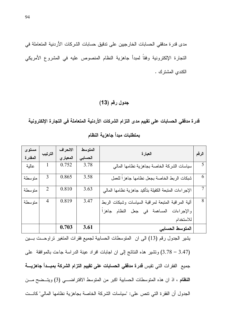مدى قدرة مدققى الحسابات الخارجيين على ندقيق حسابات الشركات الأردنية المتعاملة في النجارة الإلكترونية وفقاً لمبدأ جاهزية النظام المنصوص عليه في المشروع الأمريكي الكندى المشتر ك .

## جدول رقم (13)

قدرة مدققي الحسابات على تقييم مدى التزام الشركات الأردنية المتعاملة في التجارة الإلكترونية

| مستوى   |                | الانحراف  | المتوسط |                                                       |       |
|---------|----------------|-----------|---------|-------------------------------------------------------|-------|
| المقدرة | الترتيب        | المعيار ي | الحسابى | العبارة                                               | الرقم |
| عالية   |                | 0.752     | 3.78    | سياسات الشركة الخاصة بجاهزية نظامها المالى            | 5     |
| متوسطة  | 3              | 0.865     | 3.58    | شبكات الربط الخاصة بجعل نظامها جاهزا للعمل            | 6     |
| متوسطة  | $\overline{2}$ | 0.810     | 3.63    | الإجراءات المتبعة الكفيلة بتأكيد جاهزية نظامها المالى | 7     |
| متوسطة  | $\overline{4}$ | 0.819     | 3.47    | ألية المراقبة المتبعة لمراقبة السياسات وشبكات الربط   | 8     |
|         |                |           |         | والإجراءات<br>المساهمة في جعل<br>جاهزا<br>النظام      |       |
|         |                |           |         | للاستخدام                                             |       |
|         |                | 0.703     | 3.61    | المتوسط الحسابى                                       |       |

| بمتطلبات مبدأ جاهزية النظام |  |
|-----------------------------|--|
|-----------------------------|--|

يشير الجدول رقم (13) الى ان المتوسطات الحسابية لجميع فقرات المتغير تراوحــت بـــين

(3.47 – 3.78) ونتثمير هذه النتائج إلى ان اجابات افراد عينة الدراسة جاءت بالموافقة على جميع الفقر ات التي تقيس قدر ة مدفقي الحسابات على تقييم التزام الشركة بمبــدأ جاهزيــــة النظام ، اذ ان هذه المتوسطات الحسابية اكبر من المتوسط الافتراضـــي (3) ويتــضح مـــن الجدول أن الفقر ة التي تنص على: "سياسات الشركة الخاصة بجاهزية نظامها المالي" كانــت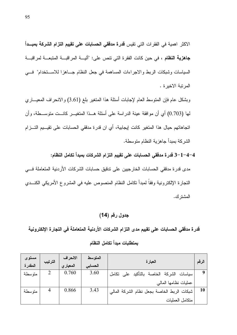الاكثر اهمية في الفقرات التي تقيس **قدرة مدققي الحسابات على تقييم التزام الشركة بمبــد**أ جاهزية النظام ، في حين كانت الفقرة التي نتص على: "آليـــة المراقبـــة المتبعـــة لمراقبـــة السياسات وشبكات الربط والاجراءات المساهمة في جعل النظام جــاهزا للاســتخدام" فـــي المرتبة الاخبر ة .

وبشكل عام فإن المتوسط العام لإجابات أسئلة هذا المتغير بلغ (3.61) والانحراف المعيـــاري لمها (0.703) أي أن موافقة عينة الدراسة على أسئلة هــذا المتغيـــر كانـــت متوســـطة، وأن اتجاهاتهم حيال هذا المتغير كانت إيجابية، أي ان قدرة مدققي الحسابات على تقيـــيم التـــزام الشر كة بمبدأ جاهز ية النظام متوسطة.

4–4–1–3 فدر ة مدفقي الحسابات على تقييم التزام الشركات بمبدأ تكامل النظام: مدى قدرة مدققي الحسابات الخارجيين على ندقيق حسابات الشركات الأردنية المتعاملة فسي النجارة الإلكترونية وفقاً لمبدأ نكامل النظام المنصوص عليه في المشروع الأمريكي الكنـــدي المشتر ك.

#### جدول رقم (14)

قدرة مدققي الحسابات على تقييم مدى التزام الشركات الأردنية المتعاملة في التجارة الإلكترونية

| مستوى   | الترتيب | الانحراف | المتوسط | العبارة                                    | الرقم |
|---------|---------|----------|---------|--------------------------------------------|-------|
| المقدرة |         | المعيارى | الحسابى |                                            |       |
| متوسطة  |         | 0.760    | 3.60    | سياسات الشركة الخاصة بالتأكيد على تكامل    | 9     |
|         |         |          |         | عمليات نظامها المالي                       |       |
| متوسطة  | 4       | 0.866    | 3.43    | شبكات الربط الخاصة بجعل نظام الشركة المالي | - 10  |
|         |         |          |         | متكامل العمليات                            |       |

#### بمتطلبات مبدأ تكامل النظام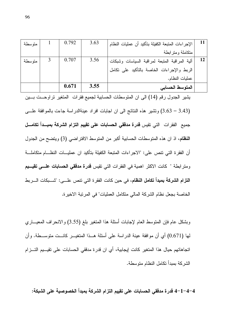| متوسطة | 0.792 | 3.63 | الإجراءات المتبعة الكفيلة بتأكيد أن عمليات النظام |           |
|--------|-------|------|---------------------------------------------------|-----------|
|        |       |      | متكاملة ومتر ابطة                                 |           |
| متوسطة | 0.707 | 3.56 | ألية المراقبة المنبعة لمراقبة السياسات وشبكات     | <b>12</b> |
|        |       |      | الربط والإجراءات الخاصة بالتأكيد على نكامل        |           |
|        |       |      | عمليات النظام.                                    |           |
|        | 0.671 | 3.55 | المتوسط الحسابي                                   |           |

يشير الجدول رقم (14) الى ان المتوسطات الحسابية لجميع فقرات المتغير تراوحت بسين (3.43 – 3.63) وتشير هذه النتائج الى ان اجابات افراد عينةالدراسة جاءت بالموافقة علـــي جميع الفقرات التي تقيس **قدرة مدققي الحسابات على تقييم التزام الشركة بمبــدأ تكامـــل** النظام، اذ ان هذه المتوسطات الحسابية أكبر من المتوسط الافتراضي (3) ويتضح من الجدول أن الفقرة التي نتص على: "الاجراءات المتبعة الكفيلة بتأكيد ان عمليـــات النظـــام متكاملـــة ومتر ابطة " كانت الاكثر اهمية في الفقر ات التي نقيس قدرة مدققي الحسابات علـــي تقيـــيم **التزام الشركة بمبدأ تكامل النظام،** في حين كانت الفقر ة التي تتص علـــي: "شـــبكات الـــربط الخاصة بجعل نظام الشركة المالي متكامل العمليات" في المرتبة الاخيرة.

وبشكل عام فإن المتوسط العام لإجابات أسئلة هذا المنغير بلغ (3.55) والانحراف المعيـــاري لمها (0.671) أي أن موافقة عينة الدراسة على أسئلة هــذا المتغيـــر كانـــت متوســـطة. وأن اتجاهاتهم حيال هذا المتغير كانت إيجابية، أي ان قدر ة مدققي الحسابات على تقيـــيم التـــزام الشر كة بمبدأ تكامل النظام متوسطة.

4–4–1–4 قدر ة مدفقي الحسابات على تقييم التزام الشركة بمبدأ الخصوصية على الشبكة: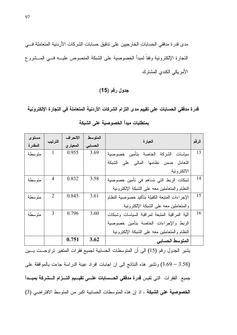مدى قدرة مدفقي الحسابات الخارجيين على ندقيق حسابات الشركات الأردنية المتعاملة فسي النجارة الإلكترونية وفقاً لمبدأ الخصوصية على الشبكة المنصوص عليـــه فـــى المـــشروع الأمريكي الكندي المشترك

## جدول رقم (15)

قدر ة مدفقي الحسابات على تقييم مدى التزام الشركات الأردنية المتعاملة في التجار ة الإلكترونية

| مستوى                                                                               |                | الانحراف  | المتوسط |                                                |       |  |  |
|-------------------------------------------------------------------------------------|----------------|-----------|---------|------------------------------------------------|-------|--|--|
| المقدرة                                                                             | الترتيب        | المعيار ي | الحسابى | العبارة                                        | الرقم |  |  |
| متوسطة                                                                              | $\mathbf{1}$   | 0.955     | 3.69    | سياسات الشركة الخاصة بتأمين خصوصية             | 13    |  |  |
|                                                                                     |                |           |         | التعامل ضمن نظامها المالي على الشبكة           |       |  |  |
|                                                                                     |                |           |         | الالكترونية                                    |       |  |  |
| متو سطة                                                                             | $\overline{4}$ | 0.832     | 3.58    | شبكات الربط التي تساهم في تأمين خصوصية         | 14    |  |  |
|                                                                                     |                |           |         | النظام والمتعاملين معه على الشبكة الإلكترونية  |       |  |  |
| متوسطة                                                                              | $\overline{2}$ | 0.845     | 3.61    | الإجراءات المتبعة الكفيلة بتأكيد خصوصية النظام | 15    |  |  |
|                                                                                     |                |           |         | والمتعاملين معه على الشبكة الإلكترونية         |       |  |  |
| متوسطة                                                                              | 3              | 0.796     | 3.60    | ألية المراقبة المتبعة لمراقبة السياسات وشبكات  | 16    |  |  |
|                                                                                     |                |           |         | الربط والإجراءات الخاصة بتأمين خصوصية          |       |  |  |
|                                                                                     |                |           |         | النظام والمتعاملين معه على الشبكة الإلكترونية  |       |  |  |
|                                                                                     |                | 0.751     | 3.62    | المتوسط الحسابي                                |       |  |  |
| يشير الجدول رقم (15) الى أن المتوسطات الحسابية لجميع فقرات المتغير نراوحـــت بـــين |                |           |         |                                                |       |  |  |

|  | بمتطلبات مبدأ الخصوصية على الشبكة |  |
|--|-----------------------------------|--|
|  |                                   |  |

(3.69 - 3.58) ونتثمير هذه النتائج الى ان اجابات افراد عينة الدراسة جاءت بالموافقة على جميع الفقرات التي تقيس قدرة مدققي الحسمابات علسى تقيسيم التسزام السشركة بمبسدأ الخصوصية على الشبكة ، اذ إن هذه المتوسطات الحسابية اكبر من المتوسط الافتراضي (3)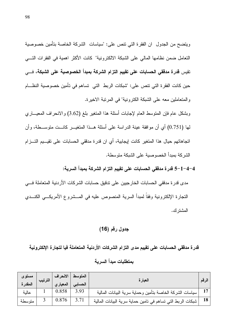ويتضح من الجدول ان الفقرة التي نتص على: "سياسات الشركة الخاصة بتأمين خصوصية التعامل ضمن نظامها المالي على الشبكة الالكترونية" كانت الأكثر اهمية في الفقرات التـــي تقيس قدرة مدفقي الحسابات على تقييم التزام الشركة بمبدأ الخصوصية على الشبكة، فــــ, حين كانت الفقر ة التي نتص على: "شبكات الربط التي تساهم في تأمين خصوصية النظـــام والمتعاملين معه على الشبكة الكترونية" في المرتبة الاخيرة.

وبشكل عام فإن المتوسط العام لإجابات أسئلة هذا المتغير بلغ (3.62) والانحراف المعيـــاري لمها (0.751) أي أن موافقة عينة الدراسة على أسئلة هــذا المتغيـــر كانـــت متوســـطة، وأن اتجاهاتهم حيال هذا المتغير كانت ايجابية، أي ان قدر ة مدققي الحسابات على تقيـــيم التـــز ام الشر كة بمبدأ الخصوصبة على الشبكة متوسطة.

4–4–1–5 قدرة مدققي الحسابات على تقييم التزام الشركة بمبدأ السرية:

مدى قدر ة مدققي الحسابات الخار جيين على ندقيق حسابات الشركات الأر دنية المتعاملة فـــي النجارة الإلكترونية وفقاً لمبدأ السرية المنصوص عليه في المـــشروع الأمريكـــي الكنـــدي المشتر ك.

#### جدول رقم (16*)*

قدرة مدققي الحسابات على تقييم مدى التزام الشركات الأردنية المتعاملة فيا لتجارة الإلكترونية

| مستوى<br>المقدرة | الترتيب | المتوسط   الانحراف | الحسابي   المعيار ي | العبار ة                                                    | الرقم |
|------------------|---------|--------------------|---------------------|-------------------------------------------------------------|-------|
| عالية            |         | 0.858              | 3.93                | سياسات الشركة الخاصة بتأمين وحماية سرية البيانات المالية    |       |
| متوسطة           |         | 0.876              | 3.71                | شبكات الربط التي تساهم في تامين حماية سرية البيانات المالية |       |

#### بمتطلبات مبدأ السرية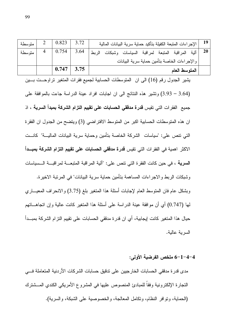|        | 0.747 | 3.75 | المتوسط العام                                                |  |
|--------|-------|------|--------------------------------------------------------------|--|
|        |       |      | والإجراءات الخاصة بتأمين حماية سرية البيانات                 |  |
| متوسطة | 0.754 | 3.64 | ألية المراقبة المتبعة لمراقبة السياسات وشبكات                |  |
| متوسطة | 0.823 |      | الإجراءات المنبعة الكفيلة بتأكيد حماية سرية البيانات المالية |  |

يشير الجدول رقم (16) الى ان المتوسطات الحسابية لجميع فقرات المتغير تراوحــت بـــين (3.64 – 3.93) وتشير هذه النتائج الى ان اجابات افراد عينة الدراسة جاءت بالموافقة على جميع الفقر ات التي تقيس **قدر ة مدققي الحسابات على تقييم التز ام الشركة بمبدأ السرية ،** اذ ان هذه المتوسطات الحسابية اكبر من المتوسط الافتراضي (3) ويتضح من الجدول ان الفقرة التي نتص على: "سياسات الشركة الخاصة بتأمين وحماية سرية البيانات الماليـــة" كانـــت الاكثر اهمية في الفقرات التي تقيس **قدرة مدققي الحسابات على تقييم التزام الشركة بمبــد**أ السرية ، في حين كانت الفقرة التي نتص على: "آلية المراقبة المتبعــــة لمراقبــــة الـــسياسات وشبكات الربط و الاجر اءات المساهمة بتأمين حماية سرية البيانات" في المرتبة الاخير ة. وبشكل عام فان المتوسط العام لإجابات أسئلة هذا المتغير بلغ (3.75) والانحراف المعيـــاري لمها (0.747) أي أن موافقة عينة الدراسة على أسئلة هذا المتغير كانت عالية وإن اتجاهـــاتهم حيال هذا المتغير كانت إيجابية، أي ان قدر ة مدققي الحسابات على تقييم التزام الشركة بمبـــدأ السرية عالية.

#### 4–4–1–6 ملخص الفرضية الأولى:

مدى قدرة مدفقي الحسابات الخارجيين على ندقيق حسابات الشركات الأردنية المتعاملة فسي النجارة الإلكترونية وفقا للمبادئ المنصوص عليها في المشروع الأمريكي الكندى المـــشترك (الحماية، وتوافُّر النظام، وتكامل المعالجة، والخصوصية على الشبكة، والسرية).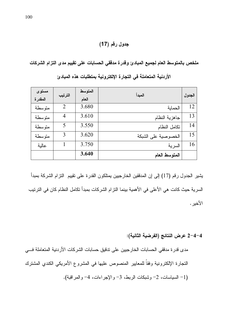### جدول رقم (17)

ملخص بالمتوسط العام لجميع المبادئ وقدرة مدفقي الحسابات على تقييم مدى التزام الشركات

| مستوى   | الترتيب        | المتوسط | المبدأ              | الجدول |
|---------|----------------|---------|---------------------|--------|
| المقدرة |                | العام   |                     |        |
| متوسطة  | $\overline{2}$ | 3.680   | الحمابة             | 12     |
| متوسطة  | 4              | 3.610   | جاهزية النظام       | 13     |
| متوسطة  | 5              | 3.550   | تكامل النظام        | 14     |
| متوسطة  | 3              | 3.620   | الخصوصية على الشبكة | 15     |
| عالبة   |                | 3.750   | السرية              | 16     |
|         |                | 3.640   | المتوسط العام       |        |

الأردنية المتعاملة في التجارة الإلكترونية بمتطلبات هذه المبادئ

يشير الجدول رقم (17) إلى إن المدققين الخارجيين يمتلكون القدرة على نقييم النزام الشركة بمبدأ السرية حيث كانت هي الأعلى في الأهمية بينما التزام الشركات بمبدأ تكامل النظام كان في الترتيب الأخير .

4–4–2 عرض النتائج (الفرضية الثانية):

مدى قدرة مدققي الحسابات الخارجيين على ندقيق حسابات الشركات الأردنية المتعاملة فسي النجارة الإلكترونية وفقاً للمعابير المنصوص عليها في المشروع الأمريكي الكندي المشترك (1- السباسات، 2- وشبكات الربط، 3- والإجر اءات، 4- والمر اقبة).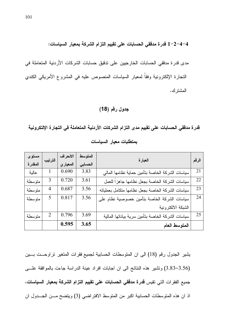4–4–2–1 قدر ة مدفقي الحسابات على تقييم التزام الشركة بمعيار السياسات:

مدى قدرة مدفقى الحسابات الخارجيين على ندقيق حسابات الشركات الأردنية المتعاملة في النجارة الإلكترونية وفقاً لمعيار السياسات المنصوص عليه في المشروع الأمريكي الكندي المشتر ك.

#### جدول رقم (18)

قدرة مدققي الحسابات على تقييم مدى التزام الشركات الأردنية المتعاملة في التجارة الإلتكرونية بمتطلبات معيار السياسات

| مستوى   | الترتيب        | الانحراف  | المتوسط | العبارة                                           | الرقم |
|---------|----------------|-----------|---------|---------------------------------------------------|-------|
| المقدرة |                | المعيار ي | الحسابى |                                                   |       |
| عالية   |                | 0.690     | 3.83    | سياسات الشركة الخاصة بتأمين حماية نظامها المالى   | 21    |
| متوسطة  | 3              | 0.720     | 3.61    | سياسات الشركة الخاصة بجعل نظامها جاهزاً للعمل     | 22    |
| متوسطة  | 4              | 0.687     | 3.56    | سياسات الشركة الخاصة بجعل نظامها متكامل بعملياته  | 23    |
| متوسطة  | 5              | 0.817     | 3.56    | سياسات الشركة الخاصة بتأمين خصوصية نظام على       | 24    |
|         |                |           |         | الشبكة الالكترونية                                |       |
| متوسطة  | $\overline{2}$ | 0.796     | 3.69    | سياسات الشركة الخاصة بتأمين سرية بياناتها المالية | 25    |
|         |                | 0.595     | 3.65    | المتوسط العام                                     |       |

يشير الجدول رقم (18) الى ان المتوسطات الحسابية لجميع فقرات المتغير تراوحــت بـــين (3.83-3.56) وتشير هذه النتائج البي ان اجابات افراد عينة الدراسة جاءت بالموافقة علـــي جميع الفقرات التي تقيس <mark>قدرة مدققي الحسابات على تقييم التز</mark>ام الشركة بمعيار السياسات، اذ ان هذه المتوسطات الحسابية اكبر من المتوسط الافتراضي (3) ويتضح مـن الجـدول ان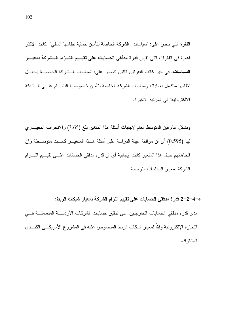الفقرة التي نتص على: "سياسات الشركة الخاصة بتأمين حماية نظامها المالي" كانت الاكثر اهمية في الفقرات التي تقيس **قدرة مدققي الحسابات على تقيــيم التــزام الــشركة بمعيــار** السياسات، في حين كانت الفقر تين اللتين تتصان على: "سياسات الــشركة الخاصـــة بجعــل نظامها متكامل بعملياته وسياسات الشركة الخاصة بتأمين خصوصية النظسام علسى السشبكة الالكترونية" في المرتبة الاخيرة.

وبشكل عام فإن المنوسط العام لإجابات أسئلة هذا المتغير بلغ (3.65) والانحراف المعيساري لمها (0.595) أي أن موافقة عينة الدر اسة على أسئلة هــذا المنغيـــر كانـــت متوســـطة وإن اتجاهاتهم حيال هذا المتغير كانت إيجابية أي ان قدرة مدققي الحسابات علـــي تقيـــيم التـــزام الشركة بمعيار السياسات منوسطة.

4–4–2 −2 قدرة مدققي الحسابات على تقييم التزام الشركة بمعيار شبكات الربط: مدى قدر ة مدققي الحسابات الخار جيين على تدقيق حسابات الشركات الأر دنيــــة المتعاملــــة فــــى النجارة الإلكترونية وفقاً لمعيار شبكات الربط المنصوص عليه في المشروع الأمريكـــي الكنـــدي المشترك.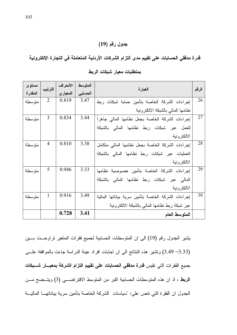قدرة مدققي الحسابات على تقييم مدى التزام الشركات الأردنية المتعاملة في التجارة الإلكترونية

| مستوى   | الترتيب        | الانحراف  | المتوسط | العبارة                                            |    |
|---------|----------------|-----------|---------|----------------------------------------------------|----|
| المقدرة |                | المعيار ي | الحسابى |                                                    |    |
| متو سطة | $\overline{2}$ | 0.819     | 3.47    | إجراءات الشركة الخاصة بتأمين حماية شبكات ربط       | 26 |
|         |                |           |         | نظامها المالى بالشبكة الالكترونية                  |    |
| متوسطة  | 3              | 0.834     | 3.44    | إجراءات الشركة الخاصة بجعل نظامها المالى جاهزا     | 27 |
|         |                |           |         | عبر شبكات ربط نظامها المالي بالشبكة<br>للعمل       |    |
|         |                |           |         | الالكتر ونية                                       |    |
| متو سطة | $\overline{4}$ | 0.810     | 3.38    | إجراءات الشركة الخاصة بجعل نظامها المالي متكامل    | 28 |
|         |                |           |         | العمليات عبر شبكات ربط نظامها المالى بالشبكة       |    |
|         |                |           |         | الالكترونية                                        |    |
| متو سطة | 5              | 0.946     | 3.33    | إجراءات الشركة الخاصة بتأمين خصوصية نظامها         | 29 |
|         |                |           |         | المالي عبر شبكات ربط نظامها المالي بالشبكة         |    |
|         |                |           |         | الالكترونية                                        |    |
| متوسطة  | 1              | 0.916     | 3.49    | إجراءات الشركة الخاصة بتأمين سرية بياناتها المالية | 30 |
|         |                |           |         | عبر شبكة ربط نظامها المالى بالشبكة الالكترونية     |    |
|         |                | 0.728     | 3.41    | المتوسط العام                                      |    |

بمتطلبات معبار شبكات الربط

يشير الجدول رقم (19) الى ان المتوسطات الحسابية لجميع فقرات المتغير تراوحــت بـــين (3.33– 3.49) ونتثمير هذه النتائج الى ان اجابات افراد عينة الدراسة جاءت بالموافقة علـــى جميع الفقرات التي تقيس قدرة مدققي الحسابات على تقييم التزام الشركة بمعيـــار شـــبكات ا**لربط** ، اذ ان هذه المتوسطات الحسابية اكبر من المتوسط الافتراضـــي (3) ويتــضـح مـــن الجدول ان الفقر ة التي تتص على: "سياسات الشركة الخاصة بتأمين سرية بياناتهـــا الماليـــة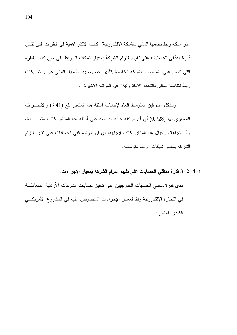عبر شبكة ربط نظامها المالي بالشبكة الالكترونية" كانت الاكثر اهمية في الفقرات التي تقيس قدرة مدققي الحسابات على تقييم التزام الشركة بمعيار شبكات السربط، في حين كانت الفقرة التي تتص على: "سياسات الشركة الخاصة بتأمين خصوصية نظامها المالي عبـــر شـــبكات ربط نظامها المالي بالشبكة الالكترونية" في المرتبة الاخيرة .

وبشكل عام فإن المتوسط العام لإجابات أسئلة هذا المتغير بلغ (3.41) والانحــــراف المعياري لها (0.728) أي أن موافقة عينة الدراسة على أسئلة هذا المتغير كانت متوســـطة، وأن اتجاهاتهم حيال هذا المتغير كانت إيجابية، أي ان قدرة مدققي الحسابات على تقييم التزام الشركة بمعيار شبكات الربط متوسطة.

4–4–3 3-2–3 قدر ة مدفقي الحسابات على تقييم التزام الشركة بمعيار الإجراءات:

مدى قدر ة مدققي الحسابات الخار جيين على تدقيق حسابات الشركات الأر دنية المتعاملـــة في التجارة الإلكترونية وفقاً لمعيار الإجراءات المنصوص عليه في المشروع الأمريكـــي الكندي المشترك.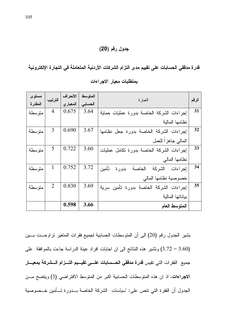قدرة مدفقي الحسابات على تقييم مدى التزام الشركات الأردنية المتعاملة في التجارة الإلكترونية

| مستوى   | الترتيب        | الانحراف | المتوسط | العبارة                                        |       |
|---------|----------------|----------|---------|------------------------------------------------|-------|
| المقدرة |                | المعياري | الحسابى |                                                | الرقم |
| متوسطة  | $\overline{4}$ | 0.675    | 3.64    | إجراءات الشركة الخاصة بدورة عمليات حماية       | 31    |
|         |                |          |         | نظامها المالية                                 |       |
| متوسطة  | 3              | 0.690    | 3.67    | إجراءات الشركة الخاصة بدورة جعل نظامها         | 32    |
|         |                |          |         | المالي جاهزا للعمل                             |       |
| متوسطة  | 5              | 0.722    | 3.60    | إجراءات الشركة الخاصة بدورة نكامل عمليات       | 33    |
|         |                |          |         | نظامها المالي                                  |       |
| متوسطة  | 1              | 0.752    | 3.72    | الخاصة<br>الشركة<br>إجر اءات<br>تأمين<br>بدورة | 34    |
|         |                |          |         | خصوصية نظامها المالي                           |       |
| متوسطة  | $\overline{2}$ | 0.830    | 3.69    | إجراءات الشركة الخاصة بدورة نأمين سرية         | 35    |
|         |                |          |         | بياناتها المالية                               |       |
|         |                | 0.598    | 3.66    | المتوسط العام                                  |       |

بمتطلبات معيار الاجراءات

يشير الجدول رقم (20) الى أن المتوسطات الحسابية لجميع فقرات المتغير نراوحــت بـــين (3.60 - 3.72) وتشير هذه النتائج الى ان اجابات افراد عينة الدراسة جاءت بالموافقة على جميع الفقرات التي تقيس قدرة مدققي الحسسابات علسى تقيسيم التسزام السشركة بمعيسار الاجراءات، اذ ان هذه المتوسطات الحسابية اكبر من المتوسط الافتراضي (3) ويتضح مـــن الجدول أن الفقرة التي نتص على: "سياسات الشركة الخاصة بـــدورة تـــأمين خـــصوصية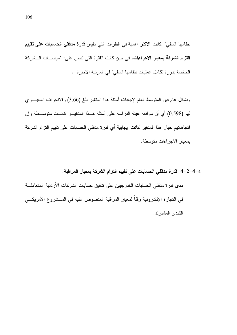نظامها المالي" كانت الاكثر اهمية في الفقرات التي تقيس **قدرة مدققي الحسابات على تقييم** ا**لتزام الشركة بمعيار الاجراءات**، في حين كانت الفقر ة التي نتص على: "سياســـات الـــشركة الخاصة بدورة تكامل عمليات نظامها المالي" في المرتبة الاخيرة .

وبشكل عام فإن المنوسط العام لإجابات أسئلة هذا المتغير بلغ (3.66) والانحراف المعيساري لمها (0.598) أي أن موافقة عينة الدراسة على أسئلة هــذا المتغيـــر كانـــت متوســـطة وإن اتجاهاتهم حيال هذا المتغير كانت إيجابية أي قدرة مدققي الحسابات على تقييم التزام الشركة بمعيار الاجر اءات متوسطة.

4–4–2–4 قدرة مدفقي الحسابات على تقييم التزام الشركة بمعيار المراقبة:

مدى قدر ة مدققي الحسابات الخار جيين على ندقيق حسابات الشركات الأر دنية المتعاملـــة في التجارة الإلكترونية وفقاً لمعيار المراقبة المنصوص عليه في المـــشروع الأمريكـــي الكندى المشترك.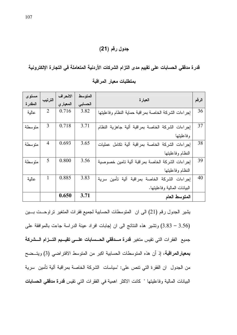قدر ة مدققي الحسابات على تقييم مدى التزام الشركات الأردنية المتعاملة في التجار ة الالكتر ونية

| مستوى   | الترتيب        | الانحراف  | المتوسط | العبارة                                              |       |
|---------|----------------|-----------|---------|------------------------------------------------------|-------|
| المقدرة |                | المعيار ي | الحسابى |                                                      | الرقم |
| عالية   | $\overline{2}$ | 0.716     | 3.82    | إجراءات الشركة الخاصة بمراقبة حماية النظام وفاعليتها | 36    |
|         |                |           |         |                                                      |       |
| متوسطة  | 3              | 0.718     | 3.71    | إجراءات الشركة الخاصة بمراقبة ألية جاهزية النظام     | 37    |
|         |                |           |         | وفاعليتها                                            |       |
| متوسطة  | $\overline{4}$ | 0.693     | 3.65    | إجراءات الشركة الخاصة بمراقبة ألية تكامل عمليات      | 38    |
|         |                |           |         | النظام وفاعليتها                                     |       |
| متوسطة  | 5              | 0.800     | 3.56    | إجراءات الشركة الخاصة بمراقبة ألية تامين خصوصية      | 39    |
|         |                |           |         | النظام وفاعليتها                                     |       |
| عالية   | 1              | 0.885     | 3.83    | آلية تأمين سرية<br>الخاصة بمراقبة<br>إجراءات الشركة  | 40    |
|         |                |           |         | البيانات المالية وفاعليتها.                          |       |
|         |                | 0.650     | 3.71    | المتوسط العام                                        |       |

بمتطلبات معيار المراقبة

يشير الجدول رقم (21) الى ان المتوسطات الحسابية لجميع فقرات المتغير تراوحــت بـــين (3.56 – 3.83) ونتشير هذه النتائج الى ان إجابات افراد عينة الدراسة جاءت بالموافقة على جميع الفقرات التي تقيس متغير **قدرة مــدققي الحــسابات علـــى تقيـــيم التـــزام الــــشركة** بمعيارالمراقبة، إذ أن هذه المتوسطات الحسابية اكبر من المتوسط الافتراضي (3) ويتــضح من الجدول ان الفقرة التي نتص على: "سياسات الشركة الخاصة بمراقبة ألية تأمين سرية البيانات المالية وفاعليتها " كانت الاكثر اهمية في الفقرات التي تقيس **قدرة مدققي الحسابات**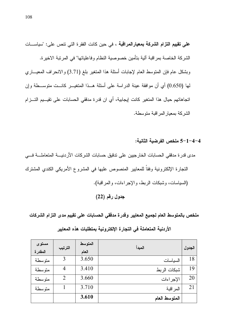4–4–1–5 ملخص الفرضية الثانية:

ملخص بالمتوسط العام لجميع المعايير وقدرة مدفقي الحسابات على تقييم مدى التزام الشركات

| مستوى   |                | المتوسط | المبدأ        | الجدول |
|---------|----------------|---------|---------------|--------|
| المقدرة | الترتيب        | العام   |               |        |
| متوسطة  | 3              | 3.650   | السياسات      | 18     |
| متوسطة  | 4              | 3.410   | شبكات الربط   | 19     |
| متوسطة  | $\overline{2}$ | 3.660   | الإجراءات     | 20     |
| متوسطة  |                | 3.710   | المر اقبة     | 21     |
|         |                | 3.610   | المتوسط العام |        |

الأردنية المتعاملة في التجارة الإلكترونية بمتطلبات هذه المعايير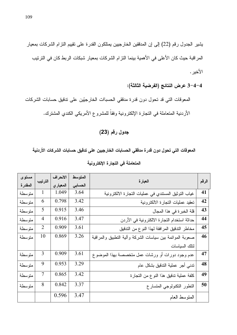يشير الجدول رقم (22) إلى إن المدققين الخارجيين يمتلكون القدرة على نقييم التزام الشركات بمعيار المر اقبة حيث كان الأعلى في الأهمية بينما النزام الشركات بمعيار شبكات الربط كان في النرنيب الأخبر .

4–4–3 عرض النتائج (الفرضية الثالثة):

المعوقات التي قد تحول دون قدرة مدققي الحسباات الخارجيّين على ندقيق حسابات الشركات الأردنية المتعاملة في التجارة الإلكترونية وفقاً للمشروع الأمريكي الكندي المشترك.

جدول رقم (23)

المعوفات التي تحول دون قدرة مدفقي الحسابات الخارجيين على تدقيق حسابات الشركات الأردنية

| مستوى    | الترتيب        | الانحراف  | المتوسط | العبارة                                                  |    |
|----------|----------------|-----------|---------|----------------------------------------------------------|----|
| المقدر ة |                | المعيار ي | الحسابى |                                                          |    |
| متوسطة   | 1              | 1.049     | 3.64    | غياب التوثيق المستندي في عمليات التجارة الالكترونية      | 41 |
| متوسطة   | 6              | 0.798     | 3.42    | تعقيد عمليات التجارة الالكترونية                         | 42 |
| متوسطة   | 5              | 0.915     | 3.46    | قلة الخبرة في هذا المجال                                 | 43 |
| متوسطة   | $\overline{4}$ | 0.916     | 3.47    | حداثة استخدام التجارة الالكترونية في الأردن              | 44 |
| متوسطة   | $\overline{2}$ | 0.909     | 3.61    | مخاطر التدقيق المرافقة لهذا النوع من التدقيق             | 45 |
| متوسطة   | 10             | 0.869     | 3.26    | صعوبة الموائمة بين سياسات الشركة وألية النطبيق والمراقبة | 46 |
|          |                |           |         | لتلك السياسات                                            |    |
| متوسطة   | 3              | 0.909     | 3.61    | عدم وجود دورات أو ورشات عمل متخصصة بهذا الموضوع          | 47 |
| متوسطة   | 9              | 0.953     | 3.29    | تدني أجر عملية التدقيق بشكل عام                          | 48 |
| متوسطة   | $\overline{7}$ | 0.865     | 3.42    | كلفة عملية تدقيق هذا النوع من التجارة                    | 49 |
| متوسطة   | 8              | 0.842     | 3.37    | التطور النكنولوجي المتسارع                               | 50 |
|          |                | 0.596     | 3.47    | المنوسط العام                                            |    |

المتعاملة في التجارة الإلكترونية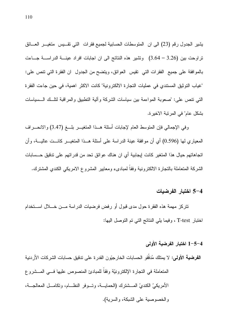يشير الجدول رقم (23) الى ان المتوسطات الحسابية لجميع فقرات التي نقـــيس متغيـــر العــــائق تراوحت بين (3.26 – 3.64) وتشير هذه النتائج الى ان اجابات افراد عينــــة الدراســــة جــــاءت بالموافقة على جميع الفقرات التي تقيس العوائق، ويتضح من الجدول ان الفقرة التي تنص على: "غياب التوثيق المستندي في عمليات التجارة الالكترونية" كانت الاكثر اهمية، في حين جاءت الفقرة التبي نتص على: "صعوبة المواءمة بين سياسات الشركة وألية التطبيق والمراقبة لنلَّــك الـــسياسات بشكل عام" في المرتبة الاخيرة.

وفي الإجمالي فإن المنوسط العام لإجابات أسئلة هــذا المتغيـــر بلـــغ (3.47) والانحــــراف المعياري لـها (0.596) أي أن موافقة عينة الدراسة علـي أسئلة هــذا المنغيـــر كانـــت عاليـــة، وأن اتجاهاتهم حيال هذا المتغير كانت إيجابية أي ان هناك عوائق تحد من قدر اتهم على تدقيق حـــسابات الشركة المتعاملة بالتجارة الالكترونية وفقاً لمبادىء ومعايير المشروع الامريكي الكندى المشترك.

#### 4–5 اختبار الفرضيات

تتركز مهمة هذه الفقرة حول مدى قبول أو رفض فرضيات الدراسة مـــن خــــلال اســـتخدام اختبار T-test ، وفيما يلي النتائج التي تم التوصل اليها:

#### 4–5–1 اختبار الفرضية الأولى

ا**لفرضية الأولى:** لا يمتلك مُدفقو الحسابات الخارجيّون القدرة على ندفيق حسابات الشركات الأردنية المتعاملة في النجارة الإلكترونيَّة وفقًا للمبادئ المنصوص عليها فسي المسشروع الأمريكيّ الكنديّ المـــشترك (الـحمايـــة، وتـــوفر النظــــام، وتكامـــل المعالـجـــة، والخصوصية على الشبكة، والسرية).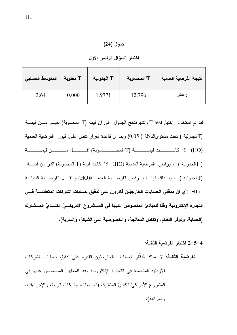#### جدول (24)

اختبار السؤال الرئيس الاول

| المتوسط الحسابي | T معنوية | T الجدولية | المحسوبة $\mathbf T$ | نتيجة الفرضية العدمية |
|-----------------|----------|------------|----------------------|-----------------------|
| 3.64            | 0.000    | 1.9771     | 12.796               | رفض                   |

لقد تم استخدام اختبار T-test وتشير نتائج الجدول إلى ان قيمة (T المحسوبة) اكبـــر مـــن قيمـــة (Tالجدولية ) تحت مستوىالدلالة ( 0.05) وبما ان قاعدة القرار نتص على: قبول الفرضية العدمية ( Tالجدولية ) ، ورفض الفرضية العدمية (HO) اذا كانت قيمة (T المحسوبة) اكبر من قيمـــة (Tالجدولية ) ، وبسنالك فإننسا نسرفض الفرضسية العدمية(HO) و نقبــل الفرضسية البديلــة (H1 )أي ان مدفقي الحسابات الخارجيّين قادرون على تدقيق حسابات الشركات المتعاملـــــة فــــي التجارة الإلكترونية وفقاً للمبادئ المنصوص عليها في المـــشروع الأمريكـــيّ الكنـــديّ المـــشترك (الحماية، وتوفِّر النظام، وتكامل المعالجة، والخصوصية على الشبكة، والسرية).

4–5–2 اختبار الفرضية الثانية:

ا**لفرضية الثانية:** لا يمتلك مُدقّقو الحسابات الخارجيّون القدرة على تدقيق حسابات الشركات الأردنية المتعاملة في النجارة الإلكترونيّة وفقاً للمعايير المنصوص عليها في المشروع الأمريكيّ الكنديّ المشنرك (السياسات، وشبكات الربط، والإجراءات، و المر اقبة).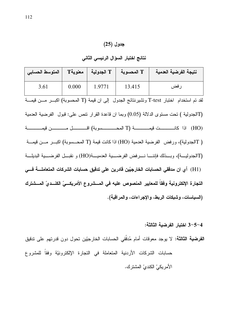# جدول (25)

نتائج اختبار السؤال الرئيسى الثانى

| المتوسط الحسابي | معنويةT | T الجدولية | T المحسوبة | نتيجة الفرضية العدمية                                                                            |
|-----------------|---------|------------|------------|--------------------------------------------------------------------------------------------------|
| $3.61$ 0.000    |         | 1.9771     | 13.415     | رفض                                                                                              |
|                 |         |            |            | لقد نم استخدام  اختبار  T-test ونشيرنتائج الجدول  إلى ان قيمة (T المحسوبة) اكبـــر مـــن قيمـــة |
|                 |         |            |            | (Tالجدولية ) نحت مستوى الدلالة (0.05) وبما ان قاعدة القرار نتص على: قبول  الفرضية العدمية        |
|                 |         |            |            |                                                                                                  |
|                 |         |            |            | ( Tالجدولية)، ورفض  الفرضية العدمية (HO) اذا كانت قيمة (T المعــــسوبة) اكبـــر مـــن قيمـــة    |
|                 |         |            |            | (Tالجدولية)، وبسنالك فإننسا نسرفض الفرضسية العدميسة(HO) و نقبــل الفرضسية البديلـــة             |
|                 |         |            |            | (H1)  أي ان مدفقي الحسابات الخارجيّين قادرين على تدقيق حسابات الشركات المتعاملـــــة فـــي       |
|                 |         |            |            | التجارة الإلكترونية وفقاً للمعايير المنصوص عليه في المـــشروع الأمريكـــيّ الكنـــديّ المـــشترك |
|                 |         |            |            | (السياسات، وشبكات الربط، والإجراءات، والمراقبة).                                                 |

4–5–3 اختبار الفرضية الثالثة:

ا**لفرضية الثالثة:** لا يوجد معوقات أمام مُدقّقي الحسابات الخارجيّين تحول دون قدرتهم على تدقيق حسابات الشركات الأردنية المتعاملة في التجارة الإلكترونيّة وفقاً للمشروع الأمريكيّ الكنديّ المشترك.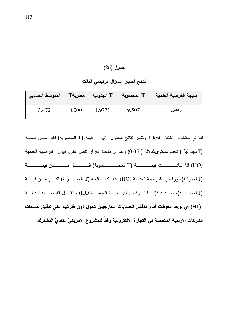#### جدول (26)

نتائج اختبار السؤال الرئيسي الثالث

| المتوسط الحسابي |       | T الجدولية   معنويةT | المحسوبة $\mathbf T$ | نتيجة الفرضية العدمية |
|-----------------|-------|----------------------|----------------------|-----------------------|
| 3.472           | 0.000 | 1.9771               | 9.507                | رفض                   |

لقد نم استخدام اختبار T-test وتشير نتائج الجدول إلى ان قيمة (T المحسوبة) اكبر مــن قيمــة (Tالجدولية ) تحت مستوىالدلالة ( 0.05) وبما ان قاعدة القرار نتص على: قبول الفرضية العدمية (Tالجدولية)، ورفض الفرضية العدمية (HO) اذا كانت قيمة (T المحــسوبة) اكبـــر مـــن قيمـــة (Tالجدولية)، وبسناك فإننسا نسرفض الفرضسية العدميسة(HO) و نقبسل الفرضسية البديلة (H1) أي يوجد معوقات أمام مدققي الحسابات الخارجيين تحول دون قدرتهم على تدقيق حسابات الشركات الأردنية المتعاملة في التجارة الإلكترونية وفقاً للمشروع الأمريكيّ الكنديّ المشترك.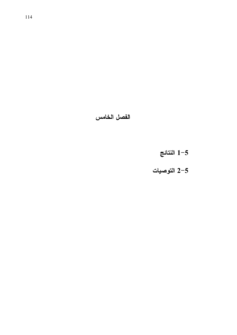الفصل الخامس

النتائج  $1\text{--}5$ 

2-5 التوصيات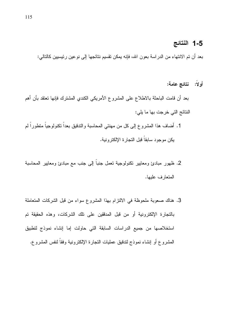# 5-1 النتائج

بعد أن تم الانتهاء من الدراسة بعون الله، فإنه يمكن نقسيم نتائجها إلى نوعين رئيسيين كالتالي:

أولاً: نتائج عامة:

بعد أن قامت الباحثة بالاطلاع على المشروع الأمريكي الكندي المشترك فإنها تعتقد بأن أهم النتائج التي خرجت بها ما يلي:

- 1. أضـاف هذا المشروع إلـى كل من مـهنتـى المـحاسبة والندقيق بـعداً نكنولوجياً متطوراً لم يكن موجود سابقاً قبل التجارة الإلكترونية.
- 2. ظهور مبادئ ومعايير نكنولوجية نعمل جنباً إلى جنب مع مبادئ ومعايير المحاسبة المتعارف علبها.
- 3. هناك صعوبة ملحوظة في الالنزام بهذا المشروع سواء من قبل الشركات المتعاملة بالتجارة الإلكترونية أو من قبل المدققين على نلك الشركات، وهذه الحقيقة تم استخلاصها من جميع الدراسات السابقة التي حاولت إما إنشاء نموذج لتطبيق المشروع أو إنشاء نموذج لندقيق عمليات النجارة الإلكترونية وفقا لنفس المشروع.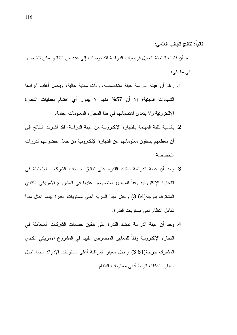ثانياً: نتائج الجانب العلمى:

بعد أن قامت الباحثة بتحليل فرضيات الدراسة فقد توصلت إلى عدد من النتائج يمكن تلخيصها في ما يلي:

- 1. رغم أن عينة الدراسة عينة متخصصة، وذات مهنية عالية، ويحمل أغلب أفرادها الشهادات المهنية؛ إلا أن 57% منهم لا يبدون أي اهتمام بعمليات التجارة الإلكترونية ولا يتعدى اهتماماتهم في هذا المعبال، المعلومات العامة.
- 2. بالنسبة للفئة المهتمة بالتجارة الإلكترونية من عينة الدراسة، فقد أشارت النتائج إلى أن معظمهم يستقون معلوماتهم عن النجارة الإلكترونية من خلال خضوعهم لدورات متخصصة.
- 3. وجد أن عينة الدراسة تمتلك القدرة على تدقيق حسابات الشركات المتعاملة في النجارة الإلكترونية وفقاً للمبادئ المنصوص عليها في المشروع الأمريكي الكندي المشترك بدرجة(3.64) واحتل مبدأ السرية أعلى مستويات القدرة بينما احتل مبدأ تكامل النظام أدنى مستويات القدرة.
- 4. وجد أن عينة الدراسة تمتلك القدرة على تدقيق حسابات الشركات المتعاملة في النجارة الإلكترونية وفقا للمعابير المنصوص عليها في المشروع الأمريكي الكندي المشترك بدرجة(3.61) واحتل معيار المراقبة أعلى مستويات الإدراك بينما احتل معيار شبكات الربط أدنبي مستويات النظام.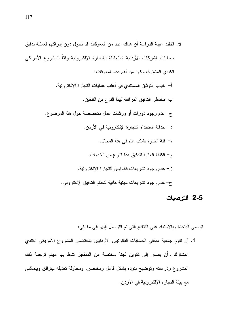5. انفقت عينة الدراسة أن هناك عدد من المعوفات قد تحول دون إدراكهم لعملية تدقيق حسابات الشركات الأردنية المتعاملة بالتجارة الإلكترونية وفقاً للمشروع الأمريكي الكندي المشترك وكان من أهم هذه المعوقات: أ– غياب النوثيق المستندى في أغلب عمليات التجارة الإلكترونية. ب–مخاطر الندقيق المرافقة لهذا النوع من الندقيق. ج– عدم وجود دورات أو ورشات عمل متخصصة حول هذا الموضوع. د– حداثة استخدام التجارة الإلكترونية في الأردن. ه– قلة الخبر ة بشكل عام في هذا المجال. و – الكلفة العالية لندقيق هذا النوع من الخدمات. ز – عدم وجود تشريعات فانونيين للتجارة الإلكترونية. ح– عدم وجود تشريعات مهنية كافية لتحكم الندقيق الإلكتروني.

# 2-5 التوصيات

نوصبي الباحثة وبالاستناد على النتائج التي نم النوصل إليها إلى ما يلي:

1. أن نقوم جمعية مدققي الحسابات القانونيين الأردنيين باحتضان المشروع الأمريكي الكندي المشترك وأن يصار إلى تكوين لجنة مختصة من المدققين نتاط بها مهام ترجمة ذلك المشروع ودراسته وتوضيح بنوده بشكل فاعل ومختصر، ومحاولة تعديله ليتوافق ويتماشى مع بيئة التجار: الإلكترونية في الأردن.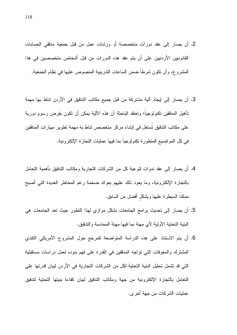- 2. أن يصار إلى عقد دورات متخصصة أو ورشات عمل من قبل جمعية مدققي الحسابات القانونيين الأردنيين على أن يتم عقد هذه الدورات من قبل أشخاص متخصصين في هذا المشر و ع، و أن تكون شر طاً ضمن الساعات الندر بيبة المنصوص عليها في نظام الجمعية.
- 3. أن يصـار إلى إيجاد آلية مشتركة من قبل جميع مكاتب التدقيق في الأردن نتاط بها مهمة تأهيل المدققين تكنولوجياً؛ وتعتقد الباحثة أن هذه الآلية بمكن أن تكون بفرض رسوم دورية على مكاتب التدقيق تُستغل في إنشاء مركز متخصص نتاط به مهمة تطوير مهارات المدققين في كل المو اضبع المتطور ة تكنو لوجيا بما فيها عمليات التجار ة الإلكتر ونية.
- 4. أن يصار إلى عقد ندوات لتوعية كل من الشركات التجارية ومكاتب التدقيق بأهمية التعامل بالنجارة الإلكترونية، وما يعود ذلك عليهم بعوائد ضخمة رغم المخاطر العديدة الني أصبح ممكناً السيطرة عليها وبشكل أفضل من السابق.
- 5. أن يصار إلى تحديث برامج الجامعات بشكل موازى لهذا النطور حيث تعد الجامعات هي البنية التحتية الأولية لأي مهنة بما فيها مهنة المحاسبة والتدقيق.
- 6. أن يتم الاستناد على هذه الدراسة المتواضعة كمرجع حول المشروع الأمريكي الكندي المشترك والمعوفات التي تواجه المدققين في القدرة على فهم بنوده لعمل دراسات مستقبلية التي قد تشمل تحليل البنية التحتية لكل من الشركات التجارية في الأردن لبيان قدرتها على النعامل بالنجارة الإلكترونية من جهة ومكاتب الندفيق لبيان كفاءة بنيتها النحتية لندفيق عمليات الشر كات من جهة أخر ي.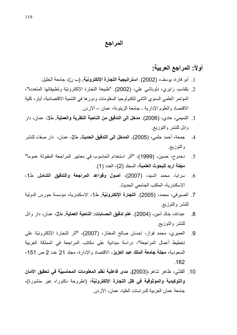## المراجع

## أولاً: المراجع العربية:

- 1. أبو فارة، يوسف، (2002). ا**ستراتيجية التجارة الإلكترونيّة. (**ب ن)، جامعة الخليل.
- 2. بلقاسم، زايري، دلوباشي علي، (2002). "طبيعة التجارة الإلكترونيّة وتطبيقاتها المتعددة"، المؤتمر العلمي السنوي الثاني لتكنولوجيا المعلومات ودورها في التنمية الاقتصادية، أيار، كلية الاقتصاد والعلوم الإدارية ، جامعة الزيتونة- عمان ــ الأردن.
- 3. التميمي، هادي، (2006). م**دخل إلى التدقيق من الناحية النظرية والعملية.** ط3، عمان، دار وائل للنشر والتوزيع
- 4. جمعة، أحمد حلمي، (2005). ا**لمدخل إلى التدقيق الحديث. ط**2، عمان، دار صفاء للنشر والتوزيع
- دحدوح، حسين، (1999)، "أثر استخدام الحاسوب في معايير المراجعة المقبولة عموماً"  $.5$ مجلة اربد للبحوث العلمية، المجلد (2)، العدد (1).
- سرايا، محمد السيد، (2007)، أ**صول وقواعد المراجعة والتدقيق الشامل.** ط1،  $.6$ الإسكندر ية، المكتب الجامعي الحديث.
- 7. الصيرفي، محمد، (2005). ا**لتجارة الإلكترونيّة.** ط1، الاسكندرية، مؤسسة حورس الدولية للنشر والتوزيع
- عبدالله، خالد أمين، (2004). علم تدقيق الحسابات: الناحية العملية. ط2، عمان، دار وائل  $.8$ للنشر والنوزيع
- العميري، محمد فواز، إحسان صالح المعتاز، (2007)، "أثر التجارة الإلكترونيّة على .9 تخطيط أعمال المراجعة"، دراسة ميدانية على مكاتب المراجعة في المملكة العربية السعودية، مجلة جامعة الملك عبد العزيز، الاقتصاد والإدارة، مجلد 21 عدد 2 ص 151- $.182$
- 10. القشّي، ظاهر شاهر،(2003). مدى فاعلية نظم المعلومات المحاسبيّة في تحقيق الأمان وا**لتوكيدية والموثوقية ف***ي* **ظل التجارة الإلكترونيّة،** (اطروحة دكتوراه غير منشورة)، جامعة عمان العربية للدر اسات العليا، عمان، الأردن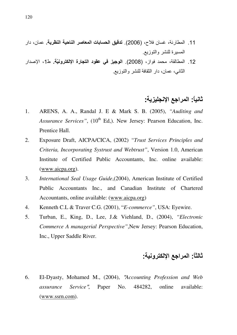- 11. المطار نة، غسان فلاح، (2006). تدقيق الحسابات المعاصر الناحية النظرية. عمان، دار المسيرة للنشر والتوزيع
- 12. المطالقة، محمد فواز، (2008). ا**لوجيز في عقود التجارة الإلكترونيّة.** ط1، الإصدار الثاني، عمان، دار الثقافة للنشر والتوزيع.

# ثانياً: المراجع الإنجليزية<u>:</u>

- 1. ARENS, A. A., Randal J. E & Mark S. B. (2005), *"Auditing and Assurance Services"*, (10<sup>th</sup> Ed,). New Jersey: Pearson Education, Inc. Prentice Hall.
- 2. Exposure Draft, AICPA/CICA, (2002) *"Trust Services Principles and Criteria, Incorporating Systrust and Webtrust"*, Version 1.0, American Institute of Certified Public Accountants, Inc. online available: (www.aicpa.org).
- 3. *International Seal Usage Guide*,(2004), American Institute of Certified Public Accountants Inc., and Canadian Institute of Chartered Accountants, online available: (www.aicpa.org)
- 4. Kenneth C.L & Traver C.G. (2001), "*E-commerce"*, USA: Eyewire.
- 5. Turban, E., King, D., Lee, J.& Viehland, D., (2004), *"Electronic Commerce A managerial Perspective"*,New Jersey: Pearson Education, Inc., Upper Saddle River.

# ثالثاً: المراجع الإلكترونية:

6. El-Dyasty, Mohamed M., (2004), "*Accounting Profession and Web assurance Service*", Paper No. 484282, online available: (www.ssrn.com).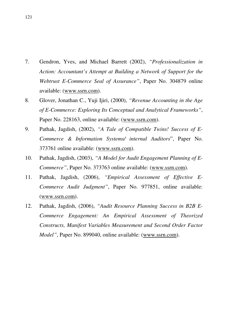- 7. Gendron, Yves, and Michael Barrett (2002), *"Professionalization in Action: Accountant's Attempt at Building a Network of Support for the Webtrust E-Commerce Seal of Assurance"*, Paper No. 304879 online available: (www.ssrn.com).
- 8. Glover, Jonathan C., Yuji Ijiri, (2000), *"Revenue Accounting in the Age of E-Commerce: Exploring Its Conceptual and Analytical Frameworks"*, Paper No. 228163, online available: (www.ssrn.com).
- 9. Pathak, Jagdish, (2002), *"A Tale of Compatible Twins! Success of E-Commerce & Information Systems/ internal Auditors*", Paper No. 373761 online available: (www.ssrn.com).
- 10. Pathak, Jagdish, (2003), *"A Model for Audit Engagement Planning of E-Commerce"*, Paper No. 373763 online available: (www.ssrn.com).
- 11. Pathak, Jagdish, (2006), *"Empirical Assessment of Effective E-Commerce Audit Judgment"*, Paper No. 977851, online available: (www.ssrn.com).
- 12. Pathak, Jagdish, (2006), *"Audit Resource Planning Success in B2B E-Commerce Engagement: An Empirical Assessment of Theorized Constructs, Manifest Variables Measurement and Second Order Factor Model"*, Paper No. 899040, online available: (www.ssrn.com).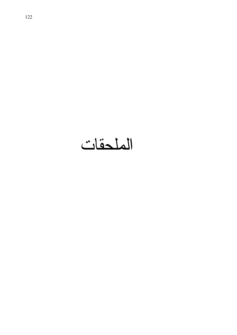الملحقات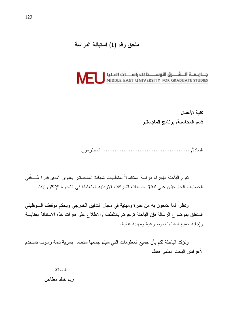## ملحق رقم (1) استبانة الدراسة

# 

كلبة الأعمال قسم المحاسبة/ برنامج الماجستير

تقوم الباحثة بإجراء دراسة استكمالاً لمتطلبات شهادة الماجستير بعنوان "مدى قدرة مُــدقّقى الحسابات الخارجيِّين على تدفيق حسابات الشركات الاردنية المتعاملة في التجارة الإلكترونيَّة".

ونظراً لما نتمعون به من خبرة ومهنية في مجال الندقيق الخارجي وبحكم موقعكم الـــوظيفي المتعلق بموضوع الرسالة فإن الباحثة نرجوكم بالتلطف والاطلاع على فقرات هذه الاستبانة بعنايـــة وإجابة جميع اسئلتها بموضوعية ومهنية عالية.

ونؤكد الباحثة لكم بأن جميع المعلومات التي سيتم جمعها ستعامل بسرية نامة وسوف تستخدم لأغراض البحث العلمي فقط.

> الناحثة ريم خالد مطاحن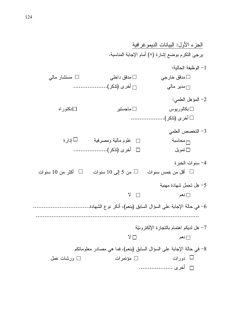الجزء الأول: البيانات الديموغرافية يرجى النكرم بوضع إشارة (×) أمام الإجابة المناسبة. 1– الو ظبفة الحالبة: □ مستشار مال*ی* مدقق داخلى $\Box$ □ مدقق خار جي ∏ أخرى (تذكر)..................... مدیر مال*ی* – 2– المؤهل العلمي: ماجستير $\Box$ بكالوريوس  $\Box$ □دكتوراه 3– التخصص العلمي علوم مالية ومصرفية  $\Box$  إدارة  $\Box$ ├ محاسبة □ أخرى (تذكر)...................... □ تمو پل 4– سنو ات الخبر ۃ  $\Box$  أقل من خمس سنوات  $\Box$  من 5 إلى 10 سنوات  $\Box$  أكثر من 10 سنوات  $\Box$ 5– هل تحمل شهادة مهنبة  $Y \Box$ نعم $\Box$ 7– هل لديكم اهتمام بالتجارة الإلكترونيّة  $Y \Box$ نعم $\Box$ 8– في حالة الإجابة على السؤال السابق (بنعم)، فما هي مصـادر معلوماتكم □ مؤتمرات  $\Box$  دورات □ ورشات عمل □ أخرى .......................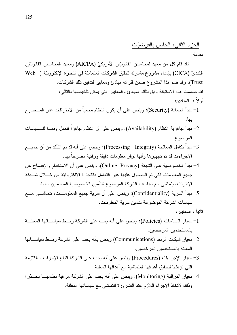الجزء الثاني: الخاص بالفرضيّات

مقدمة:

لقد قام كل من معهد لمحاسبين القانونيّين الأمريكيّ (AICPA) ومعهد المحاسبين القانونيّين الكنديّ (CICA) بإنشاء مشروع مشترك لتدقيق الشركات المتعاملة في التجارة الإلكترونيّة ( Web Trust)، وقد ضم هذا المشروع ضمن فقرانه مبادئ ومعايير لندقيق نلك الشركات. لقد صممت هذه الاستبانة وفق لتلك المبادئ والمعابير التي بمكن تلخيصها بالتالي: أولا : الممبادئ: 1– مبدأ الحماية (Security): وينص على أن يكون النظام محمياً من الاختراقات غير المـــصر ح بها. 2– مبدأ جاهزية النظام (Availability): وينص على أن النظام جاهزاً للعمل وفقـــاً للــــسياسات الموضوع. 3– مبداً نكامل المعالجة (Processing Integrity): وينص على أنه قد نم النأكد من أن جميـــع الإجراءات قد تم تجهيزها وأنها توفر معلومات دقيقة ووقتية مصرحاً بها. 4- مبدأ الخصوصية على الشبكة (Online Privacy): وينص على أن الاستخدام والإفصاح عن جميع المعلومات التي تم الحصول عليها عبر النعامل بالنجارة الإلكترونيّة من خــــلال شــــبكة الإنترنت، يتماشى مع سياسات الشركة الموضوع تلتأمين الخصوصية المتعاملين معها. 5– مبدأ السرية (Confidentiality): وينص على أن سرية جميع المعلومـــات، نتماشــــي مــــع سباسات الشركة الموضوعة لتأمين سربة المعلومات. ثانيا : المعايير : 1- معيار السياسات (Policies): وينص على أنه يجب على الشركة ربسط سياســـاتها المعلنـــة

- بالمستخدمين المرخصين.
- 2- معيار شبكات الربط (Communications) وينص بأنه بجب على الشركة ربسط سياســـاتها المعلنة بالمستخدمين المر خصين.
- 3– معيار الإجراءات (Procedures) وينص على أنه يجب على الشركة اتباع الإجراءات اللازمة التي تؤ هلها لتحقيق أهدافها المتماشية مع أهدافها المعلنة.
- 4– معبار المر اقبة (Monitoring): وبنص على أنه بجب على الشركة مر اقبة نظامهـــا بحـــذر ؛ وذلك لاتخاذ الإجراء اللازم عند الضرورة للتماشي مع سياساتها المعلنة.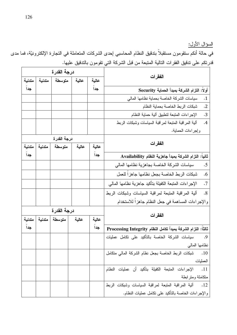السؤال الأول:

في حالة أنكم ستقومون مستقبلاً بتدقيق النظام المحاسبي إحدى الشركات المتعاملة في التجارة الإلكترونيّة، فما مدى قدرتكم على ندقيق الفقرات النالية المتبعة من قبل الشركة التي تقومون بالتدقيق عليها.

|                                                                   | درجة القدرة |       |             |                 |        |  |
|-------------------------------------------------------------------|-------------|-------|-------------|-----------------|--------|--|
| الفقرات                                                           | عالية       | عالية | متوسطة ا    | متدنية          | متدنية |  |
| أولاً: التزام الشركة بمبدأ الحماية Security                       | جدا         |       |             |                 | جدا    |  |
| سياسات الشركة الخاصة بحماية نظامها المالى                         |             |       |             |                 |        |  |
| شبكات الربط الخاصة بحماية النظام                                  |             |       |             |                 |        |  |
| الإجراءات المتبعة لتطبيق ألية حماية النظام                        |             |       |             |                 |        |  |
| ألية المراقبة المنبعة لمراقبة السياسات وشبكات الربط               |             |       |             |                 |        |  |
| وإجراءات الحماية.                                                 |             |       |             |                 |        |  |
|                                                                   |             |       | درجة القدرة |                 |        |  |
| الفقرات                                                           | عالية       | عالية | متوسطة      | متدنية          | متدنية |  |
| ثانيا: التزام الشركة بمبدأ جاهزية النظام Availability             | جدا         |       |             |                 | جدا    |  |
| سياسات الشركة الخاصة بجاهزية نظامها المالى                        |             |       |             |                 |        |  |
| شبكات الربط الخاصة بجعل نظامها جاهزا للعمل                        |             |       |             |                 |        |  |
| الإجراءات المتبعة الكفيلة بتأكيد جاهزية نظامها المالى             |             |       |             |                 |        |  |
| ألية المراقبة المتبعة لمراقبة السياسات وشبكات الربط               |             |       |             |                 |        |  |
| والإجراءات المساهمة في جعل النظام جاهزا للاستخدام                 |             |       |             |                 |        |  |
|                                                                   |             |       | درجة القدرة |                 |        |  |
| الفقرات                                                           | عالية       | عالية | متوسطة      | متدنية   متدنية |        |  |
| ثالثا: التزام الشركة بمبدأ تكامل النظام Processing Integrity      | جدا         |       |             |                 | جدا    |  |
| سياسات الشركة الخاصة بالتأكيد على تكامل عمليات                    |             |       |             |                 |        |  |
| نظامها المالي                                                     |             |       |             |                 |        |  |
| شبكات الربط الخاصة بجعل نظام الشركة المالي متكامل<br>.10          |             |       |             |                 |        |  |
| العمليات                                                          |             |       |             |                 |        |  |
| الإجراءات المتبعة الكفيلة بتأكيد أن عمليات النظام                 |             |       |             |                 |        |  |
| متكاملة ومترابطة                                                  |             |       |             |                 |        |  |
| ألية المراقبة المتبعة لمراقبة السياسات وشبكات الربط<br>$\cdot$ 12 |             |       |             |                 |        |  |
| والإجراءات الخاصة بالتأكيد علىى نكامل عمليات النظام.              |             |       |             |                 |        |  |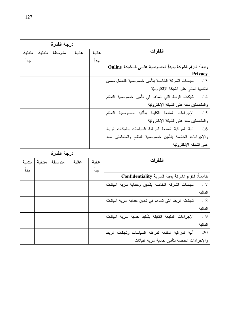|        |        | درجة القدرة     |       |       |                                                              |
|--------|--------|-----------------|-------|-------|--------------------------------------------------------------|
| متدنية |        | متوسطة   متدنية | عالية | عالية | الفقرات                                                      |
| جداً   |        |                 |       | جدأ   |                                                              |
|        |        |                 |       |       | رابعا: التزام الشركة بمبدأ الخصوصية علــــى الـــشبكة Online |
|        |        |                 |       |       | Privacy                                                      |
|        |        |                 |       |       | سياسات الشركة الخاصة بتأمين خصوصية التعامل ضمن<br>.13        |
|        |        |                 |       |       | نظامها المالي على الشبكة الإلكترونيّة                        |
|        |        |                 |       |       | 14.     شبكات الربط التي تساهم في تأمين خصوصية النظام        |
|        |        |                 |       |       | والمنعاملين معه على الشبكة الإلكترونيّة                      |
|        |        |                 |       |       | 15. الإجراءات المتبعة الكفيلة بتأكيد خصوصية النظام           |
|        |        |                 |       |       | والمنعاملين معه على الشبكة الإلكترونيّة                      |
|        |        |                 |       |       |                                                              |
|        |        |                 |       |       | والإجراءات الخاصة بتأمين خصوصية النظام والمتعاملين معه       |
|        |        |                 |       |       | على الشبكة الإلكترونيّة                                      |
|        |        | درجة القدرة     |       |       |                                                              |
| متدنية | متدنية | متوسطة          | عالية | عالية | الفقرات                                                      |
| جدا    |        |                 |       | جدا   |                                                              |
|        |        |                 |       |       | خامسا: التزام الشركة بمبدأ السرية Confidentiality            |
|        |        |                 |       |       | سياسات الشركة الخاصة بتأمين وحماية سرية البيانات<br>.17      |
|        |        |                 |       |       | المالية                                                      |
|        |        |                 |       |       | .18<br>شبكات الربط التي تساهم في تامين حماية سرية البيانات   |
|        |        |                 |       |       | المالية                                                      |
|        |        |                 |       |       | الإجراءات المتبعة الكفيلة بتأكيد حماية سرية البيانات<br>.19  |
|        |        |                 |       |       | المالية                                                      |
|        |        |                 |       |       | آلية المراقبة المتبعة لمراقبة السياسات وشبكات الربط<br>.20   |
|        |        |                 |       |       |                                                              |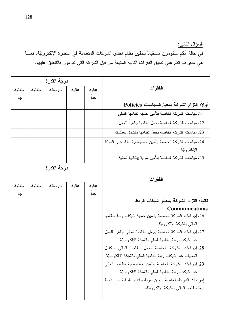السؤال الثاني: في حالة أنكم ستقومون مستقبلاً بتدقيق نظام إحدى الشركات المتعاملة في التجارة الإلكترونيّة، فمـــا هي مدى قدرتكم على ندقيق الفقرات النالية المتبعة من قبل الشركة التي تقومون بالتدقيق عليها.

|               |        | درجة القدرة           |       |              |                                                             |
|---------------|--------|-----------------------|-------|--------------|-------------------------------------------------------------|
| متدنبة<br>جدا | متدنبة | متوسطة                | عالية | عالية<br>جدا | الفقرات                                                     |
|               |        |                       |       |              | أولا: التزام الشركة بمعيارالسياسات Policies                 |
|               |        |                       |       |              | 21. سياسات الشركة الخاصة بتأمين حماية نظامها المالي         |
|               |        |                       |       |              | 22. سياسات الشركة الخاصة بجعل نظامها جاهزا للعمل            |
|               |        |                       |       |              | 23. سياسات الشركة الخاصة بجعل نظامها متكامل بعملياته        |
|               |        |                       |       |              | 24. سياسات الشركة الخاصة بتأمين خصوصية نظام على الشبكة      |
|               |        |                       |       |              | الإلكتر ونيّة                                               |
|               |        |                       |       |              | 25. سياسات الشركة الخاصة بتأمين سرية بياناتها المالية       |
| متدنية        | متدنية | درجة القدرة<br>متوسطة | عالية | عالية        | الفقرات                                                     |
| جدا           |        |                       |       | جدا          | ثانيا: التزام الشركة بمعيار شبكات الربط                     |
|               |        |                       |       |              | <b>Communications</b>                                       |
|               |        |                       |       |              | 26. إجراءات الشركة الخاصة بتأمين حماية شبكات ربط نظامها     |
|               |        |                       |       |              | المالى بالشبكة الإلكترونيّة                                 |
|               |        |                       |       |              | 27. إجراءات الشركة الخاصة بجعل نظامها المالي جاهزا للعمل    |
|               |        |                       |       |              | عبر شبكات ربط نظامها المالى بالشبكة الإلكترونيّة            |
|               |        |                       |       |              | 28. إجراءات الشركة الخاصة بجعل نظامها المالي متكامل         |
|               |        |                       |       |              | العمليات عبر شبكات ربط نظامها المالي بالشبكة الإلكترونيّة   |
|               |        |                       |       |              |                                                             |
|               |        |                       |       |              | 29. إجراءات الشركة الخاصة بتأمين خصوصية نظامها المالي       |
|               |        |                       |       |              | عبر شبكات ربط نظامها المالى بالشبكة الإلكترونيّة            |
|               |        |                       |       |              | إجراءات الشركة الخاصة بتأمين سرية بياناتها المالية عبر شبكة |
|               |        |                       |       |              | ربط نظامها المالي بالشبكة الإلكترونيّة.                     |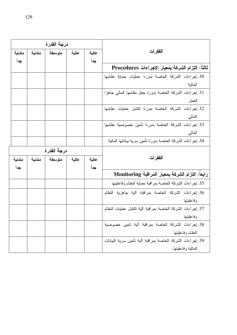|        |        | درجة القدرة |       |       |                                                             |
|--------|--------|-------------|-------|-------|-------------------------------------------------------------|
| متدنية | متدنية | متوسطة      | عالية | عالية | الفقرات                                                     |
| جدا    |        |             |       | جدا   |                                                             |
|        |        |             |       |       | ثالثا: التزام الشركة بمعيار الإجراءات Procedures            |
|        |        |             |       |       | 30. إجراءات الشركة الخاصة بدورة عمليات حماية نظامها         |
|        |        |             |       |       | المالية                                                     |
|        |        |             |       |       | 31. إجراءات الشركة الخاصة بدورة جعل نظامها المالي جاهزا     |
|        |        |             |       |       | للعمل                                                       |
|        |        |             |       |       | 32. إجراءات الشركة الخاصة بدورة نكامل عمليات نظامها         |
|        |        |             |       |       | المالي                                                      |
|        |        |             |       |       | 33. إجراءات الشركة الخاصة بدورة تأمين خصوصية نظامها         |
|        |        |             |       |       | المالي                                                      |
|        |        |             |       |       | 34. إجراءات الشركة الخاصة بدورة تأمين سرية بياناتها المالية |
|        |        |             |       |       |                                                             |
|        |        | درجة القدرة |       |       |                                                             |
| متدنية | متدنية | متوسطة      | عالية | عالية | الفقرات                                                     |
| جدا    |        |             |       | جدا   |                                                             |
|        |        |             |       |       | رابعا: التزام الشركة بمعيار المراقبة Monitoring             |
|        |        |             |       |       | 35. إجراءات الشركة الخاصة بمراقبة حماية النظام وفاعليتها    |
|        |        |             |       |       | 36. إجراءات الشركة الخاصة بمراقبة ألية جاهزية النظام        |
|        |        |             |       |       | وفاعليتها                                                   |
|        |        |             |       |       | 37. إجراءات الشركة الخاصة بمراقبة ألية تكامل عمليات النظام  |
|        |        |             |       |       | وفاعليتها                                                   |
|        |        |             |       |       | 38. إجراءات الشركة الخاصة بمراقبة ألية تامين خصوصية         |
|        |        |             |       |       | النظام وفاعليتها                                            |
|        |        |             |       |       | 39. إجراءات الشركة الخاصة بمراقبة آلية تأمين سرية البيانات  |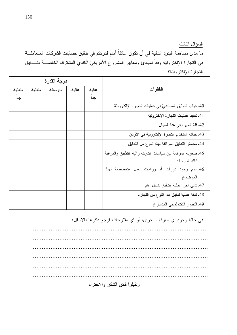السؤال الثالث

ما مدى مساهمة البنود النالية في أن نكون عائقاً أمام قدرتكم في ندقيق حسابات الشركات المتعاملـــة في التجارة الإلكترونيّة وفقاً لمبادئ ومعايير المشروع الأمريكيّ الكنديّ المشترك الخاصــــة بتـــدقيق التجارة الإلكترونيّة؟

|        |        | درجة القدرة |       |       |                                                              |
|--------|--------|-------------|-------|-------|--------------------------------------------------------------|
| متدنية | متدنية | متوسطة      | عالية | عالية | الفقرات                                                      |
| جدا    |        |             |       | جدا   |                                                              |
|        |        |             |       |       | 40. غياب النوثيق المستنديّ في عمليات التجارة الإلكترونيّة    |
|        |        |             |       |       | 41. نعقيد عمليات النجارة الإلكترونيّة                        |
|        |        |             |       |       | 42. قلة الخبرة في هذا المجال                                 |
|        |        |             |       |       | 43. حداثة استخدام التجارة الإلكترونيّة في الأردن             |
|        |        |             |       |       | 44. مخاطر الندقيق المرافقة لهذا النوع من الندقيق             |
|        |        |             |       |       | 45. صعوبة الموائمة بين سياسات الشركة وألية النطبيق والمراقبة |
|        |        |             |       |       | لتلك السياسات                                                |
|        |        |             |       |       | 46. عدم وجود دورات أو ورشات عمل متخصصة بهنذا                 |
|        |        |             |       |       | الموضوع                                                      |
|        |        |             |       |       | 47. ندني أجر عملية الندفيق بشكل عام                          |
|        |        |             |       |       | 48. كلفة عملية تدقيق هذا النوع من التجارة                    |
|        |        |             |       |       | 49. النطور النكنولوجي المنسار ع                              |

في حالة وجود اي معوقات اخرى، أو اي مقترحات ارجو ذكرها بالاسفل:

ونقبلوا فائق الشكر والاحترام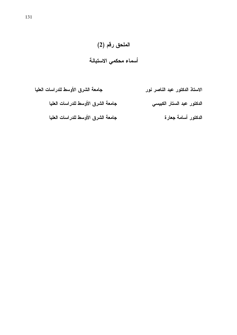# الملحق رقم (2) أسماء محكمى الاستبانة

جامعة الشرق الأوسط للدراسات العليا الاستاذ الدكتور عبد الناصر نور جامعة الشرق الأوسط للدراسات العليا الدكتور عبد الستار الكبي*سي* جامعة الشرق الأوسط للدراسات العليا الدكتور أسامة جعارة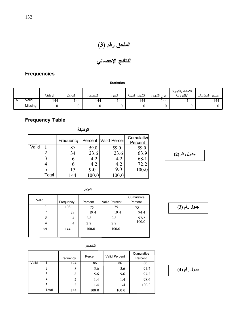

### Frequencies

**Statistics** 

|         | اله ظنفة | المؤ هل | التخصص | الخبر ة | الشهادة المهنية | نو ع الشهادة | الاهتماء بالتحار ة<br>الالكترونية | المعله مات<br>مصىادر |
|---------|----------|---------|--------|---------|-----------------|--------------|-----------------------------------|----------------------|
| Valid   | 144      | 144     | 144    | 144     | 144             | 144          | 144                               | 144                  |
| Missing |          |         |        |         |                 |              | ν                                 |                      |

### Frequency Table

|       | الوظيفة |           |       |                      |                       |  |  |  |  |  |
|-------|---------|-----------|-------|----------------------|-----------------------|--|--|--|--|--|
|       |         | Frequency |       | Percent Valid Percer | Cumulative<br>Percent |  |  |  |  |  |
| Valid |         | 85        | 59.0  | 59.0                 | 59.0                  |  |  |  |  |  |
|       |         | 34        | 23.6  | 23.6                 | 63.9                  |  |  |  |  |  |
|       |         | 6         | 4.2   | 4.2                  | 68.1                  |  |  |  |  |  |
|       |         | 6         | 4.2   | 4.2                  | 72.2                  |  |  |  |  |  |
|       |         | 13        | 9.0   | 9.0                  | 100.0                 |  |  |  |  |  |
|       | Total   | 144       | 100.0 | 100.0                |                       |  |  |  |  |  |

| Valid | Frequency      | Percent | <b>Valid Percent</b> | Cumulative<br>Percent |
|-------|----------------|---------|----------------------|-----------------------|
|       | 108            | 75      | 75                   | 75                    |
| 2     | 28             | 19.4    | 19.4                 | 94.4                  |
| 3     | 4              | 2.8     | 2.8                  | 97.2                  |
|       | $\overline{4}$ | 2.8     | 2.8                  | 100.0                 |
| tal   | 144            | 100.0   | 100.0                |                       |
|       |                |         |                      |                       |

المؤهل

جدول رقم (3)

جدول رقم (4)

3ول ر (**2** )

|       |       | Frequency | Percent | <b>Valid Percent</b> | Cumulative<br>Percent |
|-------|-------|-----------|---------|----------------------|-----------------------|
| Valid |       | 124       | 86      | 86                   | 86                    |
|       | 2     | 8         | 5.6     | 5.6                  | 91.7                  |
|       | 3     | 8         | 5.6     | 5.6                  | 97.2                  |
|       | 4     | 2         | 1.4     | 1.4                  | 98.6                  |
|       |       | 2         | 1.4     | 1.4                  | 100.0                 |
|       | Total | 144       | 100.0   | 100.0                |                       |

التخصص

132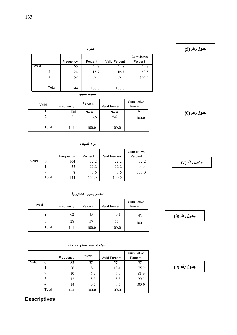#### الخبر ة

|       |       | Frequency | Percent | Valid Percent | Cumulative<br>Percent |
|-------|-------|-----------|---------|---------------|-----------------------|
| Valid |       | 66        | 45.8    | 45.8          | 45.8                  |
|       |       | 24        | 16.7    | 16.7          | 62.5                  |
|       | 3     | 52        | 37.5    | 37.5          | 100.0                 |
|       | Total | 144       | 100.0   | 100.0         |                       |

-<br>|-<br>|-

| Valid | Frequency | Percent | <b>Valid Percent</b> | Cumulative<br>Percent |
|-------|-----------|---------|----------------------|-----------------------|
|       | 136       | 94.4    | 94.4                 | 94.4                  |
|       |           | 5.6     | 5.6                  | 100.0                 |
| Total | 144       | 100.0   | 100.0                |                       |

نوع الشهادة

|       |       |           |         |               | Cumulative |
|-------|-------|-----------|---------|---------------|------------|
|       |       | Frequency | Percent | Valid Percent | Percent    |
| Valid |       | 104       | 72.2    | 72.2          | 72.2       |
|       |       | 32        | 22.2    | 22.2          | 94.4       |
|       |       |           | 5.6     | 5.6           | 100.0      |
|       | Total | 144       | 100.0   | 100.0         |            |

#### الاهتمام بالتجارة الالكترونية

| Valid | Frequency | Percent | Valid Percent | Cumulative<br>Percent |
|-------|-----------|---------|---------------|-----------------------|
|       | 62        | 43      | 43.1          | 43                    |
|       | 28        | 57      | 57            | 100                   |
| Total | 144       | 100.0   | 100.0         |                       |

|  |  | عينة الدراسة مصادر معلومات |  |
|--|--|----------------------------|--|
|--|--|----------------------------|--|

|       |       | Frequency | Percent | <b>Valid Percent</b> | Cumulative<br>Percent |
|-------|-------|-----------|---------|----------------------|-----------------------|
| Valid | 0     | 82        | 57      | 57                   | 57                    |
|       |       | 26        | 18.1    | 18.1                 | 75.0                  |
|       | 2     | 10        | 6.9     | 6.9                  | 81.9                  |
|       | 3     | 12        | 8.3     | 8.3                  | 90.3                  |
|       | 4     | 14        | 9.7     | 9.7                  | 100.0                 |
|       | Total | 144       | 100.0   | 100.0                |                       |

## Descriptives



جدول رقم (7)

جدول رقم (9<u>)</u>

جدول رقم (8)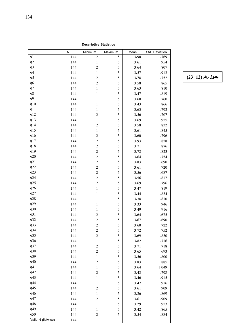|                    | N   | Minimum          | Maximum | Mean | Std. Deviation |
|--------------------|-----|------------------|---------|------|----------------|
| q1                 | 144 | $\overline{2}$   | 5       | 3.90 | .769           |
| q2                 | 144 | $\mathbf{1}$     | 5       | 3.61 | .954           |
| q3                 | 144 | $\overline{c}$   | 5       | 3.64 | .807           |
| q4                 | 144 | $\,1$            | 5       | 3.57 | .913           |
| q5                 | 144 | $\overline{c}$   | 5       | 3.78 | .752           |
| q6                 | 144 | $\overline{c}$   | 5       | 3.58 | .865           |
| q7                 | 144 | $\,1$            | 5       | 3.63 | .810           |
| q8                 | 144 | $\,1$            | 5       | 3.47 | .819           |
| q9                 | 144 | $\,1$            | 5       | 3.60 | .760           |
| q10                | 144 | $\,1$            | 5       | 3.43 | .866           |
| q11                | 144 | $\,1$            | 5       | 3.63 | .792           |
| q12                | 144 | $\overline{2}$   | 5       | 3.56 | .707           |
| q13                | 144 | $\,1$            | 5       | 3.69 | .955           |
| q14                | 144 | $\overline{c}$   | 5       | 3.58 | .832           |
| q15                | 144 | $\,1\,$          | 5       | 3.61 | .845           |
| q16                | 144 | $\overline{c}$   | 5       | 3.60 | .796           |
| q17                | 144 | $\overline{c}$   | 5       | 3.93 | .858           |
| q18                | 144 | $\overline{c}$   | 5       | 3.71 | .876           |
| q19                | 144 | $\overline{c}$   | 5       | 3.72 | .823           |
| q20                | 144 | $\overline{c}$   | 5       | 3.64 | .754           |
| q21                | 144 | $\overline{c}$   | 5       | 3.83 | .690           |
| q22                | 144 | $\overline{c}$   | 5       | 3.61 | .720           |
| q23                | 144 | $\overline{2}$   | 5       | 3.56 | .687           |
| q24                | 144 | $\overline{c}$   | 5       | 3.56 | .817           |
| q25                | 144 | $\overline{c}$   | 5       | 3.69 | .796           |
| q26                | 144 | $\,1$            | 5       | 3.47 | .819           |
| q27                | 144 | $\,1$            | 5       | 3.44 | .834           |
| q28                | 144 | $\mathbf{1}$     | 5       | 3.38 | .810           |
| q29                | 144 | $\,1$            | 5       | 3.33 | .946           |
| q30                | 144 | $\,1$            | 5       | 3.49 | .916           |
| q31                | 144 | $\overline{c}$   | 5       | 3.64 | .675           |
| q32                | 144 | $\boldsymbol{2}$ | 5       | 3.67 | .690           |
| q33                | 144 | $\overline{c}$   | 5       | 3.60 | .722           |
| q34                | 144 | $\boldsymbol{2}$ | 5       | 3.72 | .752           |
| q35                | 144 | $\overline{c}$   | 5       | 3.69 | .830           |
| q36                | 144 | $\,1$            | 5       | 3.82 | .716           |
| q37                | 144 | $\overline{c}$   | 5       | 3.71 | .718           |
| q38                | 144 | $\overline{c}$   | 5       | 3.65 | .693           |
| q39                | 144 | $\,1$            | 5       | 3.56 | .800           |
| q40                | 144 | $\overline{c}$   | 5       | 3.83 | .885           |
| q41                | 144 | $\,1$            | 5       | 3.64 | 1.049          |
| q42                | 144 | $\overline{c}$   | 5       | 3.42 | .798           |
| q43                | 144 | $\,1$            | 5       | 3.46 | .915           |
| q44                | 144 | $\,1$            | 5       | 3.47 | .916           |
| q45                | 144 | $\overline{c}$   | 5       | 3.61 | .909           |
| q46                | 144 | $\,1$            | 5       | 3.26 | .869           |
| q47                | 144 | $\overline{2}$   | 5       | 3.61 | .909           |
| q48                | 144 | $\,1$            | 5       | 3.29 | .953           |
| q49                | 144 | $\,1$            | 5       | 3.42 | .865           |
| q50                | 144 | $\overline{c}$   | 5       | 3.54 | .884           |
| Valid N (listwise) | 144 |                  |         |      |                |

### جدول رقم (12-23)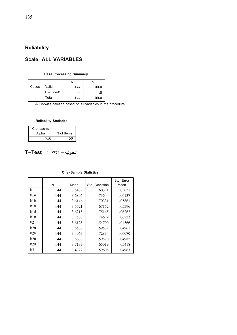### Reliability

#### Scale: ALL VARIABLES

#### Case Processing Summary

|       |                  |     | $\frac{0}{0}$ |
|-------|------------------|-----|---------------|
| Cases | Valid            | 144 | 100.0         |
|       | <b>Excludeda</b> |     | .0            |
|       | Total            | 144 | 100.0         |

a. Listwise deletion based on all variables in the procedure.

#### Reliability Statistics

| Cronbach's |            |
|------------|------------|
| Alpha      | N of Items |
| .950       |            |

### $T-Test$   $1.9771 =$ الجدولية

|                  |           |        |                | Std. Error |  |
|------------------|-----------|--------|----------------|------------|--|
|                  | Ν<br>Mean |        | Std. Deviation | Mean       |  |
| $\overline{h1}$  | 144       | 3.6437 | .60371         | .05031     |  |
| h1a              | 144       | 3.6806 | .73644         | .06137     |  |
| h1b              | 144       | 3.6146 | .70331         | .05861     |  |
| h1c              | 144       | 3.5521 | .67152         | .05596     |  |
| h <sub>1</sub> d | 144       | 3.6215 | .75145         | .06262     |  |
| h1e              | 144       | 3.7500 | .74679         | .06223     |  |
| h2               | 144       | 3.6125 | .54790         | .04566     |  |
| h2a              | 144       | 3.6500 | .59532         | .04961     |  |
| h2b              | 144       | 3.4063 | .72834         | .06070     |  |
| h2c              | 144       | 3.6639 | .59820         | .04985     |  |
| h2d              | 144       | 3.7139 | .65019         | .05418     |  |
| h <sub>3</sub>   | 144       | 3.4722 | .59608         | .04967     |  |

#### One-Sample Statistics